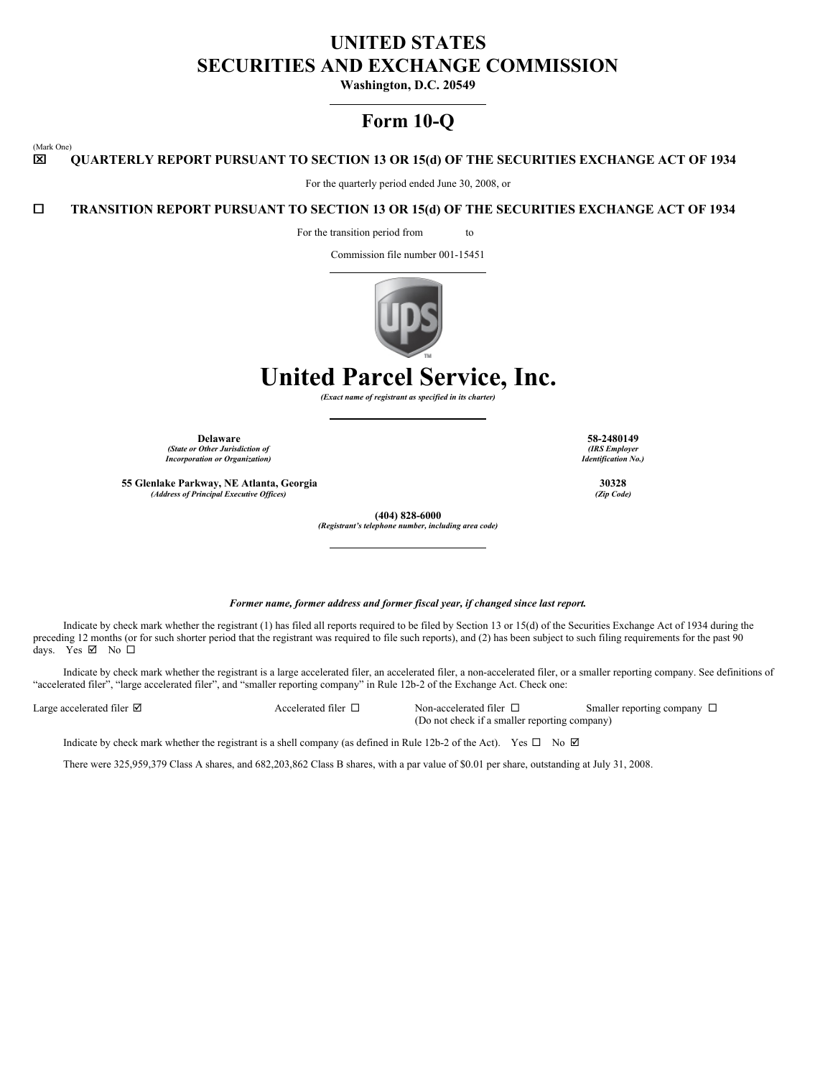# **UNITED STATES SECURITIES AND EXCHANGE COMMISSION**

**Washington, D.C. 20549**

# **Form 10-Q**

### x **QUARTERLY REPORT PURSUANT TO SECTION 13 OR 15(d) OF THE SECURITIES EXCHANGE ACT OF 1934**

For the quarterly period ended June 30, 2008, or

# ¨ **TRANSITION REPORT PURSUANT TO SECTION 13 OR 15(d) OF THE SECURITIES EXCHANGE ACT OF 1934**

For the transition period from to

Commission file number 001-15451



**United Parcel Service, Inc.**

*(Exact name of registrant as specified in its charter)*

**Delaware 58-2480149** *(State or Other Jurisdiction of Incorporation or Organization)*

**55 Glenlake Parkway, NE Atlanta, Georgia 30328**  $(A$ *ddress of Principal Executive Offices*)

*(IRS Employer Identification No.)*

*Former name, former address and former fiscal year, if changed since last report.*

**(404) 828-6000** *(Registrant's telephone number, including area code)*

Indicate by check mark whether the registrant (1) has filed all reports required to be filed by Section 13 or 15(d) of the Securities Exchange Act of 1934 during the preceding 12 months (or for such shorter period that the registrant was required to file such reports), and (2) has been subject to such filing requirements for the past 90 days. Yes  $\boxtimes$  No  $\square$ 

Indicate by check mark whether the registrant is a large accelerated filer, an accelerated filer, a non-accelerated filer, or a smaller reporting company. See definitions of "accelerated filer", "large accelerated filer", and "smaller reporting company" in Rule 12b-2 of the Exchange Act. Check one:

(Mark One)

Large accelerated filer  $\Box$  Accelerated filer  $\Box$  Non-accelerated filer  $\Box$  Smaller reporting company  $\Box$ (Do not check if a smaller reporting company)

Indicate by check mark whether the registrant is a shell company (as defined in Rule 12b-2 of the Act). Yes  $\Box$  No  $\Box$ 

There were 325,959,379 Class A shares, and 682,203,862 Class B shares, with a par value of \$0.01 per share, outstanding at July 31, 2008.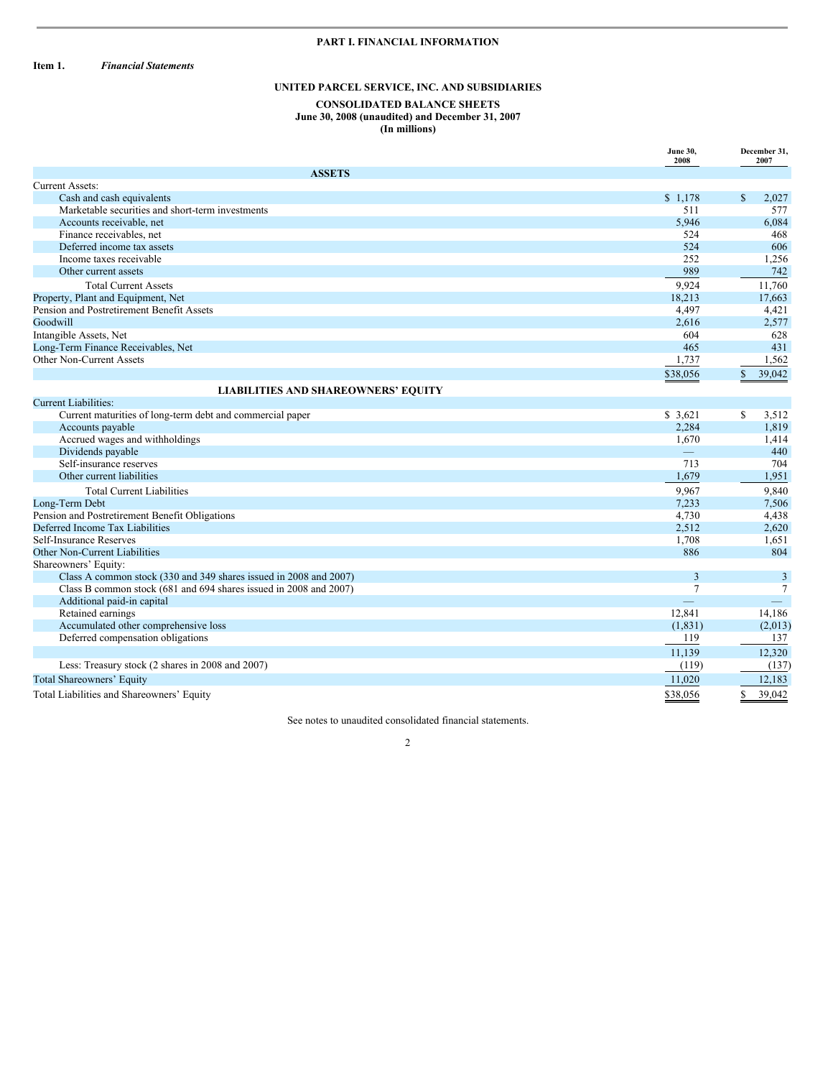# **PART I. FINANCIAL INFORMATION**

**Item 1.** *Financial Statements*

# **UNITED PARCEL SERVICE, INC. AND SUBSIDIARIES**

### **CONSOLIDATED BALANCE SHEETS June 30, 2008 (unaudited) and December 31, 2007 (In millions)**

|                                                                   | <b>June 30,</b><br>2008  | December 31,<br>2007   |
|-------------------------------------------------------------------|--------------------------|------------------------|
| <b>ASSETS</b>                                                     |                          |                        |
| <b>Current Assets:</b>                                            |                          |                        |
| Cash and cash equivalents                                         | \$1,178                  | $\mathbb{S}$<br>2,027  |
| Marketable securities and short-term investments                  | 511                      | 577                    |
| Accounts receivable, net                                          | 5,946                    | 6,084                  |
| Finance receivables, net                                          | 524                      | 468                    |
| Deferred income tax assets                                        | 524                      | 606                    |
| Income taxes receivable                                           | 252                      | 1,256                  |
| Other current assets                                              | 989                      | 742                    |
| <b>Total Current Assets</b>                                       | 9,924                    | 11,760                 |
| Property, Plant and Equipment, Net                                | 18,213                   | 17.663                 |
| Pension and Postretirement Benefit Assets                         | 4,497                    | 4,421                  |
| Goodwill                                                          | 2,616                    | 2,577                  |
| Intangible Assets, Net                                            | 604                      | 628                    |
| Long-Term Finance Receivables, Net                                | 465                      | 431                    |
| Other Non-Current Assets                                          | 1,737                    | 1,562                  |
|                                                                   | \$38,056                 | 39,042<br>$\mathbf{s}$ |
| <b>LIABILITIES AND SHAREOWNERS' EQUITY</b>                        |                          |                        |
| Current Liabilities:                                              |                          |                        |
| Current maturities of long-term debt and commercial paper         | \$3,621                  | S<br>3,512             |
| Accounts payable                                                  | 2,284                    | 1,819                  |
| Accrued wages and withholdings                                    | 1,670                    | 1,414                  |
| Dividends payable                                                 | $\overline{\phantom{0}}$ | 440                    |
| Self-insurance reserves                                           | 713                      | 704                    |
| Other current liabilities                                         | 1,679                    | 1,951                  |
| <b>Total Current Liabilities</b>                                  | 9.967                    | 9,840                  |
| Long-Term Debt                                                    | 7,233                    | 7,506                  |
| Pension and Postretirement Benefit Obligations                    | 4,730                    | 4,438                  |
| Deferred Income Tax Liabilities                                   | 2,512                    | 2,620                  |
| <b>Self-Insurance Reserves</b>                                    | 1,708                    | 1,651                  |
| Other Non-Current Liabilities                                     | 886                      | 804                    |
| Shareowners' Equity:                                              |                          |                        |
| Class A common stock (330 and 349 shares issued in 2008 and 2007) | 3                        | 3                      |
| Class B common stock (681 and 694 shares issued in 2008 and 2007) | $\tau$                   | $\tau$                 |
| Additional paid-in capital                                        |                          |                        |
| Retained earnings                                                 | 12,841                   | 14,186                 |
| Accumulated other comprehensive loss                              | (1, 831)                 | (2,013)                |
| Deferred compensation obligations                                 | 119                      | 137                    |
|                                                                   | 11,139                   | 12,320                 |
| Less: Treasury stock (2 shares in 2008 and 2007)                  | (119)                    | (137)                  |
| <b>Total Shareowners' Equity</b>                                  | 11,020                   | 12,183                 |
| Total Liabilities and Shareowners' Equity                         | \$38,056                 | 39.042<br>S.           |

See notes to unaudited consolidated financial statements.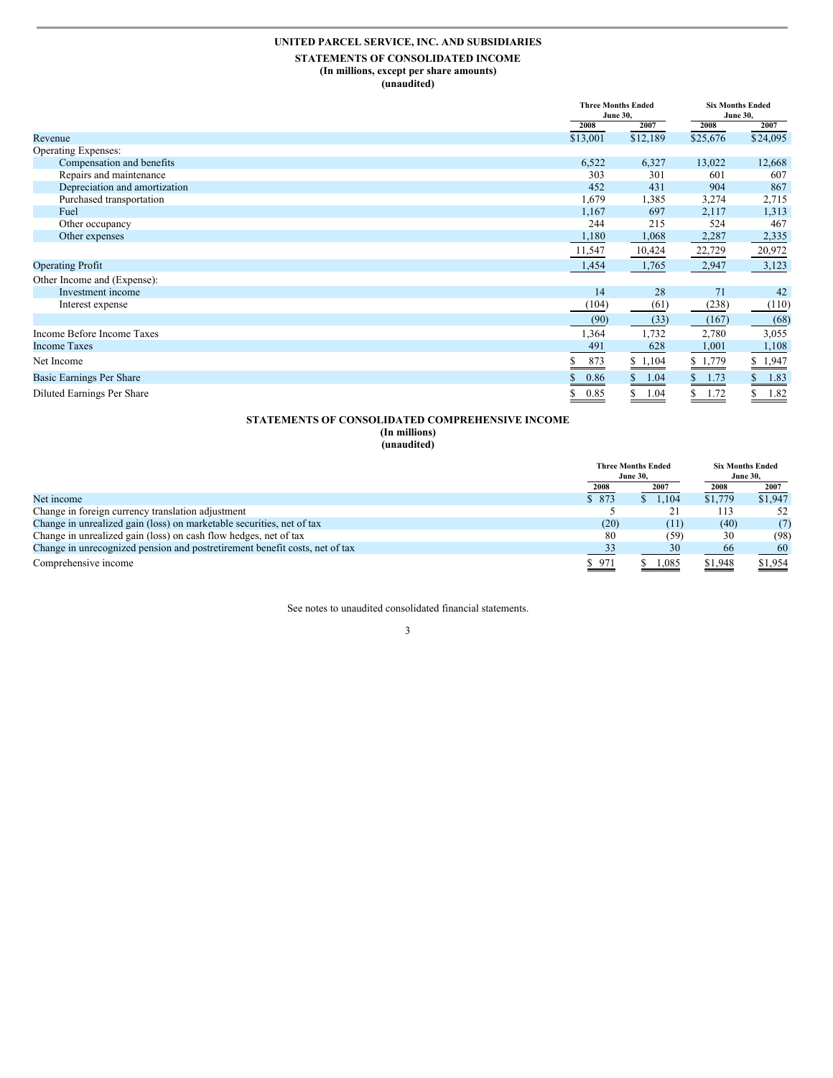# **UNITED PARCEL SERVICE, INC. AND SUBSIDIARIES**

### **STATEMENTS OF CONSOLIDATED INCOME (In millions, except per share amounts)**

**(unaudited)**

|                               |            | <b>Three Months Ended</b><br><b>June 30,</b> |            | <b>Six Months Ended</b><br><b>June 30,</b> |
|-------------------------------|------------|----------------------------------------------|------------|--------------------------------------------|
|                               | 2008       | 2007                                         | 2008       | 2007                                       |
| Revenue                       | \$13,001   | \$12,189                                     | \$25,676   | \$24,095                                   |
| Operating Expenses:           |            |                                              |            |                                            |
| Compensation and benefits     | 6,522      | 6,327                                        | 13,022     | 12,668                                     |
| Repairs and maintenance       | 303        | 301                                          | 601        | 607                                        |
| Depreciation and amortization | 452        | 431                                          | 904        | 867                                        |
| Purchased transportation      | 1,679      | 1,385                                        | 3,274      | 2,715                                      |
| Fuel                          | 1,167      | 697                                          | 2,117      | 1,313                                      |
| Other occupancy               | 244        | 215                                          | 524        | 467                                        |
| Other expenses                | 1,180      | 1,068                                        | 2,287      | 2,335                                      |
|                               | 11,547     | 10,424                                       | 22,729     | 20,972                                     |
| <b>Operating Profit</b>       | 1,454      | 1,765                                        | 2,947      | 3,123                                      |
| Other Income and (Expense):   |            |                                              |            |                                            |
| Investment income             | 14         | 28                                           | 71         | 42                                         |
| Interest expense              | (104)      | (61)                                         | (238)      | (110)                                      |
|                               | (90)       | (33)                                         | (167)      | (68)                                       |
| Income Before Income Taxes    | 1,364      | 1,732                                        | 2,780      | 3,055                                      |
| <b>Income Taxes</b>           | 491        | 628                                          | 1,001      | 1,108                                      |
| Net Income                    | 873<br>\$  | \$1,104                                      | \$1,779    | 1,947<br>\$                                |
| Basic Earnings Per Share      | 0.86       | 1.04                                         | 1.73       | 1.83                                       |
| Diluted Earnings Per Share    | \$<br>0.85 | S<br>1.04                                    | 1.72<br>\$ | \$<br>1.82                                 |

# **STATEMENTS OF CONSOLIDATED COMPREHENSIVE INCOME**

**(In millions)**

**(unaudited)**

|                                                                             |       | <b>Three Months Ended</b> |         | <b>Six Months Ended</b> |  |
|-----------------------------------------------------------------------------|-------|---------------------------|---------|-------------------------|--|
|                                                                             |       | <b>June 30.</b>           |         | <b>June 30,</b>         |  |
|                                                                             | 2008  | 2007                      | 2008    | 2007                    |  |
| Net income                                                                  | \$873 | 1,104                     | \$1,779 | \$1,947                 |  |
| Change in foreign currency translation adjustment                           |       |                           | 113     | 52                      |  |
| Change in unrealized gain (loss) on marketable securities, net of tax       | (20)  | (11)                      | (40)    | (7)                     |  |
| Change in unrealized gain (loss) on cash flow hedges, net of tax            | 80    | (59)                      | 30      | (98)                    |  |
| Change in unrecognized pension and postretirement benefit costs, net of tax | 33    | 30                        | 66      | 60                      |  |
| Comprehensive income                                                        | \$971 | 1,085                     | \$1,948 | \$1,954                 |  |

See notes to unaudited consolidated financial statements.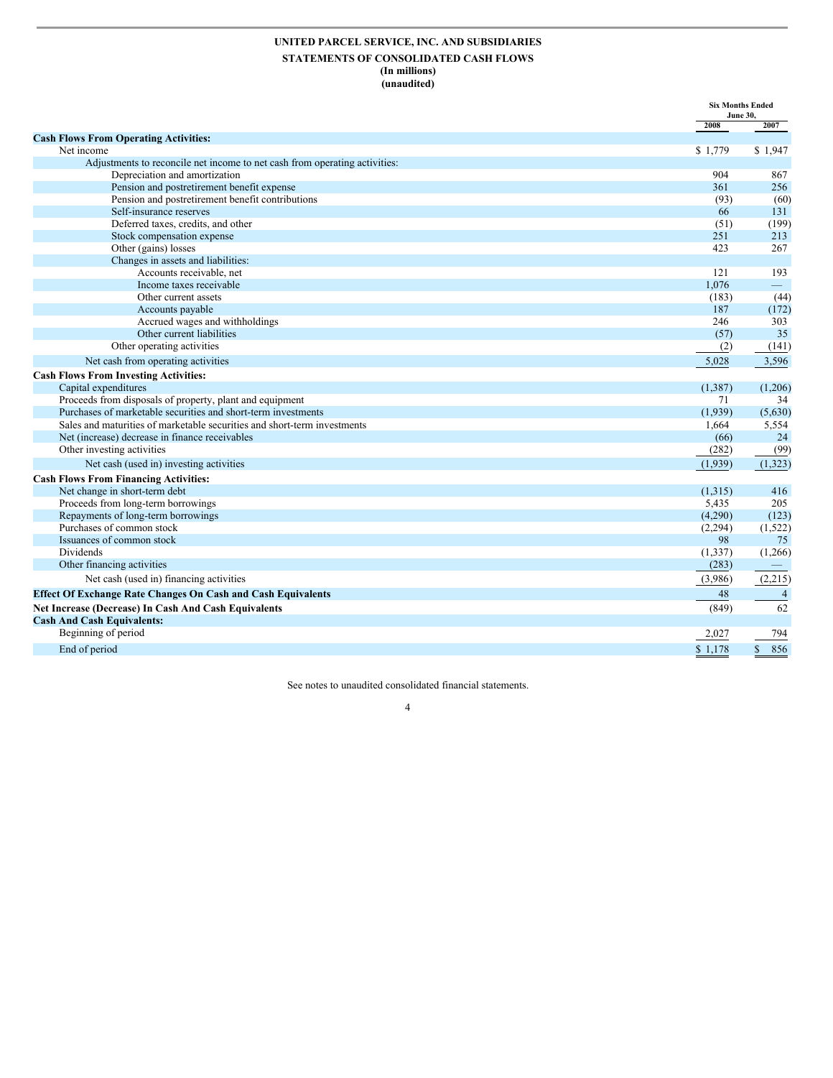### **UNITED PARCEL SERVICE, INC. AND SUBSIDIARIES STATEMENTS OF CONSOLIDATED CASH FLOWS (In millions) (unaudited)**

|                                                                             |            | <b>Six Months Ended</b><br><b>June 30,</b> |
|-----------------------------------------------------------------------------|------------|--------------------------------------------|
|                                                                             | 2008       | 2007                                       |
| <b>Cash Flows From Operating Activities:</b>                                |            |                                            |
| Net income                                                                  | \$1,779    | \$1,947                                    |
| Adjustments to reconcile net income to net cash from operating activities:  |            |                                            |
| Depreciation and amortization                                               | 904        | 867                                        |
| Pension and postretirement benefit expense                                  | 361        | 256                                        |
| Pension and postretirement benefit contributions<br>Self-insurance reserves | (93)<br>66 | (60)<br>131                                |
| Deferred taxes, credits, and other                                          | (51)       | (199)                                      |
| Stock compensation expense                                                  | 251        | 213                                        |
| Other (gains) losses                                                        | 423        | 267                                        |
| Changes in assets and liabilities:                                          |            |                                            |
| Accounts receivable, net                                                    | 121        | 193                                        |
| Income taxes receivable                                                     | 1,076      | $\frac{1}{2}$                              |
| Other current assets                                                        | (183)      | (44)                                       |
| Accounts payable                                                            | 187        | (172)                                      |
| Accrued wages and withholdings                                              | 246        | 303                                        |
| Other current liabilities                                                   | (57)       | 35                                         |
| Other operating activities                                                  | (2)        | (141)                                      |
| Net cash from operating activities                                          | 5,028      | 3,596                                      |
|                                                                             |            |                                            |
| <b>Cash Flows From Investing Activities:</b>                                |            |                                            |
| Capital expenditures                                                        | (1, 387)   | (1,206)                                    |
| Proceeds from disposals of property, plant and equipment                    | 71         | 34                                         |
| Purchases of marketable securities and short-term investments               | (1,939)    | (5,630)                                    |
| Sales and maturities of marketable securities and short-term investments    | 1,664      | 5,554                                      |
| Net (increase) decrease in finance receivables                              | (66)       | 24                                         |
| Other investing activities                                                  | (282)      | (99)                                       |
| Net cash (used in) investing activities                                     | (1,939)    | (1, 323)                                   |
| <b>Cash Flows From Financing Activities:</b>                                |            |                                            |
| Net change in short-term debt                                               | (1,315)    | 416                                        |
| Proceeds from long-term borrowings                                          | 5,435      | 205                                        |
| Repayments of long-term borrowings                                          | (4,290)    | (123)                                      |
| Purchases of common stock                                                   | (2, 294)   | (1, 522)                                   |
| Issuances of common stock                                                   | 98         | 75                                         |
| Dividends                                                                   | (1, 337)   | (1,266)                                    |
| Other financing activities                                                  | (283)      |                                            |
| Net cash (used in) financing activities                                     | (3,986)    | (2,215)                                    |
| <b>Effect Of Exchange Rate Changes On Cash and Cash Equivalents</b>         | 48         | $\overline{4}$                             |
| Net Increase (Decrease) In Cash And Cash Equivalents                        | (849)      | 62                                         |
| <b>Cash And Cash Equivalents:</b>                                           |            |                                            |
| Beginning of period                                                         | 2,027      | 794                                        |
| End of period                                                               | \$1,178    | $\mathbb{S}$<br>856                        |
|                                                                             |            |                                            |

See notes to unaudited consolidated financial statements.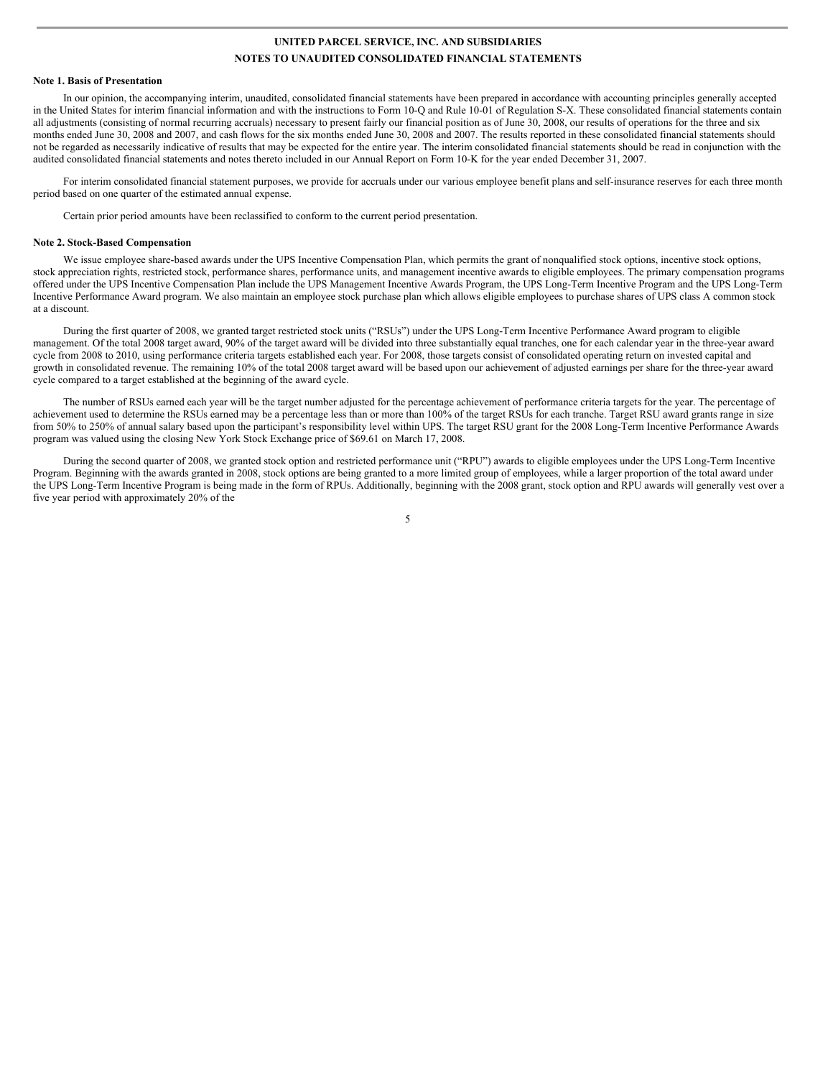#### **Note 1. Basis of Presentation**

In our opinion, the accompanying interim, unaudited, consolidated financial statements have been prepared in accordance with accounting principles generally accepted in the United States for interim financial information and with the instructions to Form 10-Q and Rule 10-01 of Regulation S-X. These consolidated financial statements contain all adjustments (consisting of normal recurring accruals) necessary to present fairly our financial position as of June 30, 2008, our results of operations for the three and six months ended June 30, 2008 and 2007, and cash flows for the six months ended June 30, 2008 and 2007. The results reported in these consolidated financial statements should not be regarded as necessarily indicative of results that may be expected for the entire year. The interim consolidated financial statements should be read in conjunction with the audited consolidated financial statements and notes thereto included in our Annual Report on Form 10-K for the year ended December 31, 2007.

For interim consolidated financial statement purposes, we provide for accruals under our various employee benefit plans and self-insurance reserves for each three month period based on one quarter of the estimated annual expense.

Certain prior period amounts have been reclassified to conform to the current period presentation.

#### **Note 2. Stock-Based Compensation**

We issue employee share-based awards under the UPS Incentive Compensation Plan, which permits the grant of nonqualified stock options, incentive stock options, stock appreciation rights, restricted stock, performance shares, performance units, and management incentive awards to eligible employees. The primary compensation programs offered under the UPS Incentive Compensation Plan include the UPS Management Incentive Awards Program, the UPS Long-Term Incentive Program and the UPS Long-Term Incentive Performance Award program. We also maintain an employee stock purchase plan which allows eligible employees to purchase shares of UPS class A common stock at a discount.

During the first quarter of 2008, we granted target restricted stock units ("RSUs") under the UPS Long-Term Incentive Performance Award program to eligible management. Of the total 2008 target award, 90% of the target award will be divided into three substantially equal tranches, one for each calendar year in the three-year award cycle from 2008 to 2010, using performance criteria targets established each year. For 2008, those targets consist of consolidated operating return on invested capital and growth in consolidated revenue. The remaining 10% of the total 2008 target award will be based upon our achievement of adjusted earnings per share for the three-year award cycle compared to a target established at the beginning of the award cycle.

The number of RSUs earned each year will be the target number adjusted for the percentage achievement of performance criteria targets for the year. The percentage of achievement used to determine the RSUs earned may be a percentage less than or more than 100% of the target RSUs for each tranche. Target RSU award grants range in size from 50% to 250% of annual salary based upon the participant's responsibility level within UPS. The target RSU grant for the 2008 Long-Term Incentive Performance Awards program was valued using the closing New York Stock Exchange price of \$69.61 on March 17, 2008.

During the second quarter of 2008, we granted stock option and restricted performance unit ("RPU") awards to eligible employees under the UPS Long-Term Incentive Program. Beginning with the awards granted in 2008, stock options are being granted to a more limited group of employees, while a larger proportion of the total award under the UPS Long-Term Incentive Program is being made in the form of RPUs. Additionally, beginning with the 2008 grant, stock option and RPU awards will generally vest over a five year period with approximately 20% of the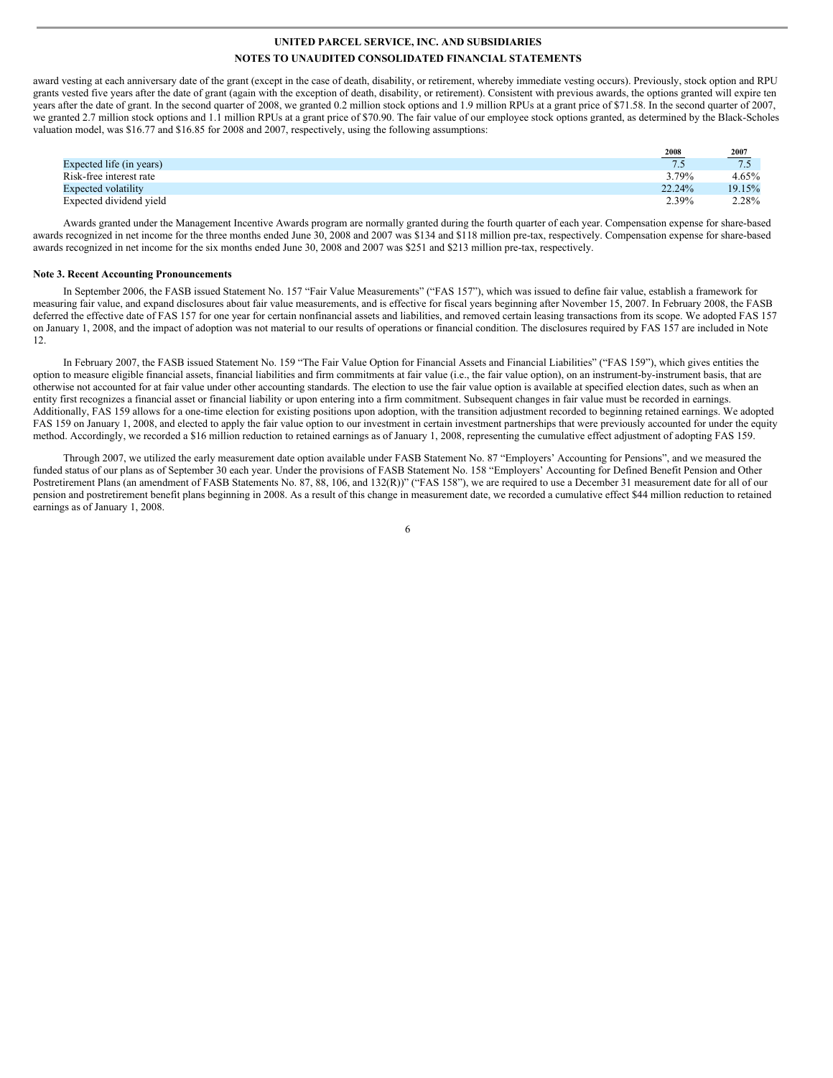award vesting at each anniversary date of the grant (except in the case of death, disability, or retirement, whereby immediate vesting occurs). Previously, stock option and RPU grants vested five years after the date of grant (again with the exception of death, disability, or retirement). Consistent with previous awards, the options granted will expire ten years after the date of grant. In the second quarter of 2008, we granted 0.2 million stock options and 1.9 million RPUs at a grant price of \$71.58. In the second quarter of 2007, we granted 2.7 million stock options and 1.1 million RPUs at a grant price of \$70.90. The fair value of our employee stock options granted, as determined by the Black-Scholes valuation model, was \$16.77 and \$16.85 for 2008 and 2007, respectively, using the following assumptions:

|                            | 2008   | $\frac{2007}{7.5}$ |
|----------------------------|--------|--------------------|
| Expected life (in years)   | .      | ا                  |
| Risk-free interest rate    | 3.79%  | 4.65%              |
| <b>Expected volatility</b> | 22.24% | 19.15%             |
| Expected dividend yield    | 2.39%  | 2.28%              |

Awards granted under the Management Incentive Awards program are normally granted during the fourth quarter of each year. Compensation expense for share-based awards recognized in net income for the three months ended June 30, 2008 and 2007 was \$134 and \$118 million pre-tax, respectively. Compensation expense for share-based awards recognized in net income for the six months ended June 30, 2008 and 2007 was \$251 and \$213 million pre-tax, respectively.

#### **Note 3. Recent Accounting Pronouncements**

In September 2006, the FASB issued Statement No. 157 "Fair Value Measurements" ("FAS 157"), which was issued to define fair value, establish a framework for measuring fair value, and expand disclosures about fair value measurements, and is effective for fiscal years beginning after November 15, 2007. In February 2008, the FASB deferred the effective date of FAS 157 for one year for certain nonfinancial assets and liabilities, and removed certain leasing transactions from its scope. We adopted FAS 157 on January 1, 2008, and the impact of adoption was not material to our results of operations or financial condition. The disclosures required by FAS 157 are included in Note 12.

In February 2007, the FASB issued Statement No. 159 "The Fair Value Option for Financial Assets and Financial Liabilities" ("FAS 159"), which gives entities the option to measure eligible financial assets, financial liabilities and firm commitments at fair value (i.e., the fair value option), on an instrument-by-instrument basis, that are otherwise not accounted for at fair value under other accounting standards. The election to use the fair value option is available at specified election dates, such as when an entity first recognizes a financial asset or financial liability or upon entering into a firm commitment. Subsequent changes in fair value must be recorded in earnings. Additionally, FAS 159 allows for a one-time election for existing positions upon adoption, with the transition adjustment recorded to beginning retained earnings. We adopted FAS 159 on January 1, 2008, and elected to apply the fair value option to our investment in certain investment partnerships that were previously accounted for under the equity method. Accordingly, we recorded a \$16 million reduction to retained earnings as of January 1, 2008, representing the cumulative effect adjustment of adopting FAS 159.

Through 2007, we utilized the early measurement date option available under FASB Statement No. 87 "Employers' Accounting for Pensions", and we measured the funded status of our plans as of September 30 each year. Under the provisions of FASB Statement No. 158 "Employers' Accounting for Defined Benefit Pension and Other Postretirement Plans (an amendment of FASB Statements No. 87, 88, 106, and 132(R))" ("FAS 158"), we are required to use a December 31 measurement date for all of our pension and postretirement benefit plans beginning in 2008. As a result of this change in measurement date, we recorded a cumulative effect \$44 million reduction to retained earnings as of January 1, 2008.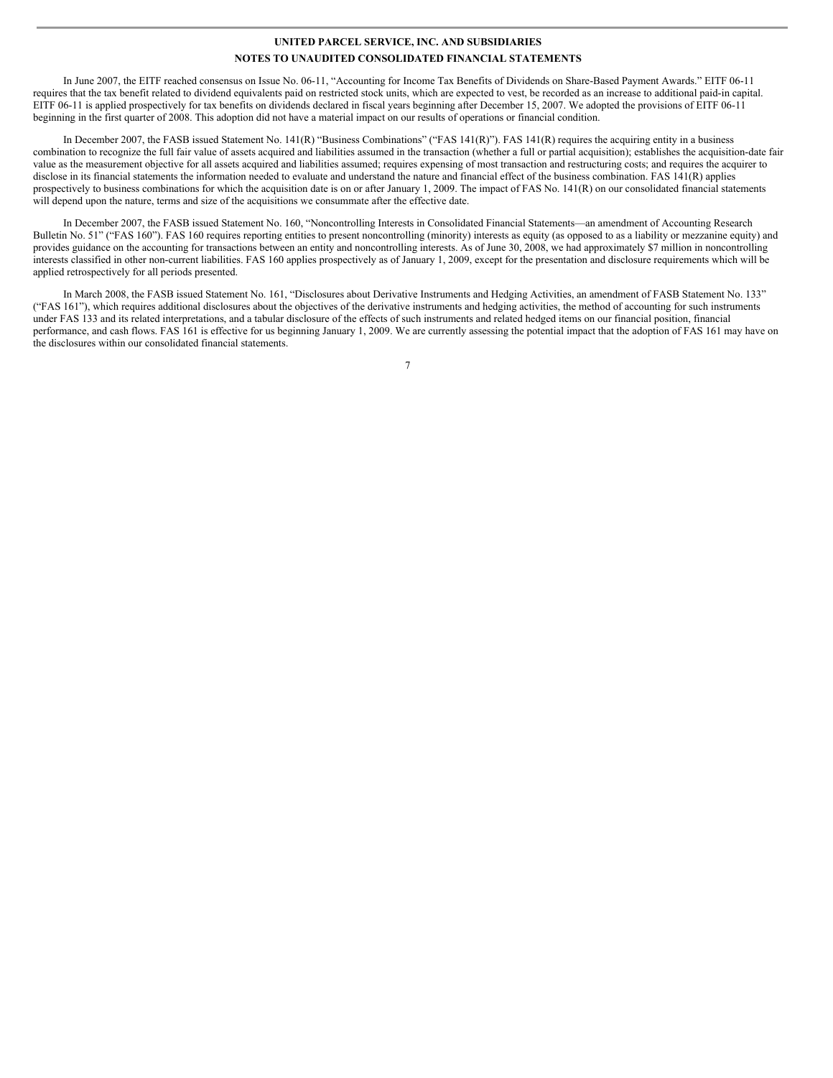In June 2007, the EITF reached consensus on Issue No. 06-11, "Accounting for Income Tax Benefits of Dividends on Share-Based Payment Awards." EITF 06-11 requires that the tax benefit related to dividend equivalents paid on restricted stock units, which are expected to vest, be recorded as an increase to additional paid-in capital. EITF 06-11 is applied prospectively for tax benefits on dividends declared in fiscal years beginning after December 15, 2007. We adopted the provisions of EITF 06-11 beginning in the first quarter of 2008. This adoption did not have a material impact on our results of operations or financial condition.

In December 2007, the FASB issued Statement No. 141(R) "Business Combinations" ("FAS 141(R)"). FAS 141(R) requires the acquiring entity in a business combination to recognize the full fair value of assets acquired and liabilities assumed in the transaction (whether a full or partial acquisition); establishes the acquisition-date fair value as the measurement objective for all assets acquired and liabilities assumed; requires expensing of most transaction and restructuring costs; and requires the acquirer to disclose in its financial statements the information needed to evaluate and understand the nature and financial effect of the business combination. FAS 141(R) applies prospectively to business combinations for which the acquisition date is on or after January 1, 2009. The impact of FAS No. 141(R) on our consolidated financial statements will depend upon the nature, terms and size of the acquisitions we consummate after the effective date.

In December 2007, the FASB issued Statement No. 160, "Noncontrolling Interests in Consolidated Financial Statements—an amendment of Accounting Research Bulletin No. 51" ("FAS 160"). FAS 160 requires reporting entities to present noncontrolling (minority) interests as equity (as opposed to as a liability or mezzanine equity) and provides guidance on the accounting for transactions between an entity and noncontrolling interests. As of June 30, 2008, we had approximately \$7 million in noncontrolling interests classified in other non-current liabilities. FAS 160 applies prospectively as of January 1, 2009, except for the presentation and disclosure requirements which will be applied retrospectively for all periods presented.

In March 2008, the FASB issued Statement No. 161, "Disclosures about Derivative Instruments and Hedging Activities, an amendment of FASB Statement No. 133" ("FAS 161"), which requires additional disclosures about the objectives of the derivative instruments and hedging activities, the method of accounting for such instruments under FAS 133 and its related interpretations, and a tabular disclosure of the effects of such instruments and related hedged items on our financial position, financial performance, and cash flows. FAS 161 is effective for us beginning January 1, 2009. We are currently assessing the potential impact that the adoption of FAS 161 may have on the disclosures within our consolidated financial statements.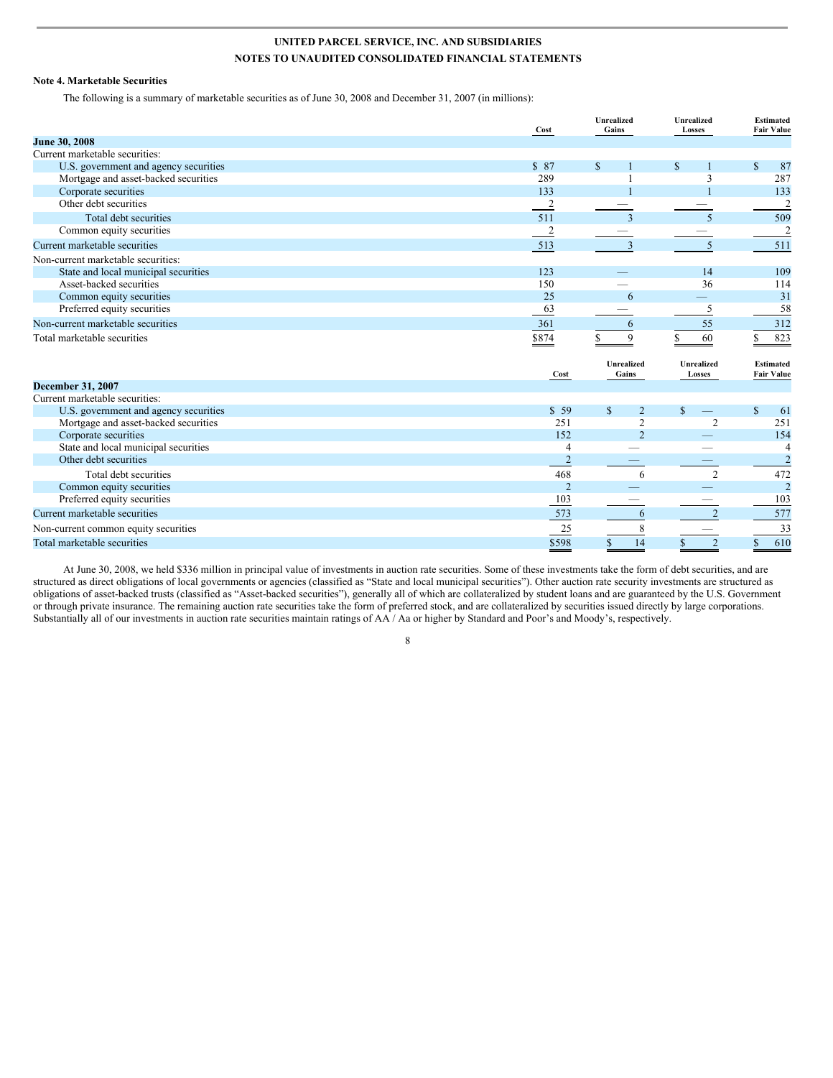### **Note 4. Marketable Securities**

The following is a summary of marketable securities as of June 30, 2008 and December 31, 2007 (in millions):

|                                       | Cost           | Unrealized<br>Gains           | Unrealized<br>Losses | Estimated<br><b>Fair Value</b>        |
|---------------------------------------|----------------|-------------------------------|----------------------|---------------------------------------|
| June 30, 2008                         |                |                               |                      |                                       |
| Current marketable securities:        |                |                               |                      |                                       |
| U.S. government and agency securities | \$87           | $\mathbb{S}$                  | $\mathbb{S}$         | $\mathbb{S}$<br>87                    |
| Mortgage and asset-backed securities  | 289            |                               | 3                    | 287                                   |
| Corporate securities                  | 133            |                               |                      | 133                                   |
| Other debt securities                 | $\overline{2}$ |                               |                      | $\overline{\mathbf{c}}$               |
| Total debt securities                 | 511            | 3                             | 5                    | 509                                   |
| Common equity securities              | 2              |                               |                      | $\overline{2}$                        |
| Current marketable securities         | 513            | 3                             | 5                    | 511                                   |
| Non-current marketable securities:    |                |                               |                      |                                       |
| State and local municipal securities  | 123            |                               | 14                   | 109                                   |
| Asset-backed securities               | 150            |                               | 36                   | 114                                   |
| Common equity securities              | 25             | 6                             |                      | 31                                    |
| Preferred equity securities           | 63             |                               | 5                    | 58                                    |
| Non-current marketable securities     | 361            | 6                             | 55                   | 312                                   |
| Total marketable securities           | \$874          | 9<br>ς                        | 60                   | 823<br>\$                             |
|                                       | Cost           | Unrealized<br>Gains           | Unrealized<br>Losses | <b>Estimated</b><br><b>Fair Value</b> |
| <b>December 31, 2007</b>              |                |                               |                      |                                       |
| Current marketable securities:        |                |                               |                      |                                       |
| U.S. government and agency securities | \$59           | $\mathbf S$<br>$\overline{2}$ | $\mathbb{S}$         | $\mathbb{S}$<br>61                    |
| Mortgage and asset-backed securities  | 251            | $\overline{c}$                | $\overline{2}$       | 251                                   |
| Corporate securities                  | 152            | $\overline{2}$                |                      | 154                                   |
| State and local municipal securities  | $\overline{4}$ |                               |                      | $\overline{4}$                        |
| Other debt securities                 | $\overline{2}$ |                               |                      | $\overline{c}$                        |
| Total debt securities                 | 468            | 6                             | $\overline{2}$       | 472                                   |
| Common equity securities              | $\overline{2}$ |                               |                      | $\overline{c}$                        |
| Preferred equity securities           | 103            |                               |                      | 103                                   |
| Current marketable securities         | 573            | 6                             | $\overline{2}$       | 577                                   |
| Non-current common equity securities  | $\frac{25}{2}$ | 8                             |                      | 33                                    |
| Total marketable securities           | \$598          | 14<br>$\mathbb{S}$            | $\overline{2}$       | 610<br>\$                             |

At June 30, 2008, we held \$336 million in principal value of investments in auction rate securities. Some of these investments take the form of debt securities, and are structured as direct obligations of local governments or agencies (classified as "State and local municipal securities"). Other auction rate security investments are structured as obligations of asset-backed trusts (classified as "Asset-backed securities"), generally all of which are collateralized by student loans and are guaranteed by the U.S. Government or through private insurance. The remaining auction rate securities take the form of preferred stock, and are collateralized by securities issued directly by large corporations. Substantially all of our investments in auction rate securities maintain ratings of AA / Aa or higher by Standard and Poor's and Moody's, respectively.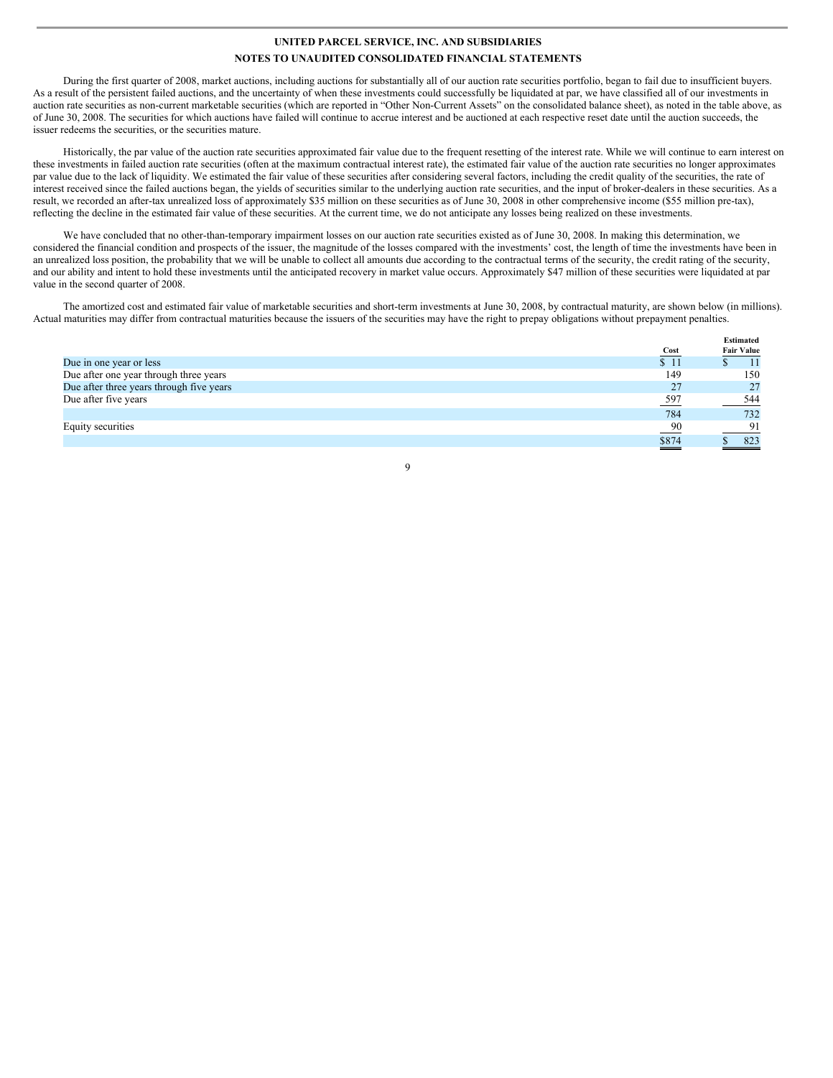During the first quarter of 2008, market auctions, including auctions for substantially all of our auction rate securities portfolio, began to fail due to insufficient buyers. As a result of the persistent failed auctions, and the uncertainty of when these investments could successfully be liquidated at par, we have classified all of our investments in auction rate securities as non-current marketable securities (which are reported in "Other Non-Current Assets" on the consolidated balance sheet), as noted in the table above, as of June 30, 2008. The securities for which auctions have failed will continue to accrue interest and be auctioned at each respective reset date until the auction succeeds, the issuer redeems the securities, or the securities mature.

Historically, the par value of the auction rate securities approximated fair value due to the frequent resetting of the interest rate. While we will continue to earn interest on these investments in failed auction rate securities (often at the maximum contractual interest rate), the estimated fair value of the auction rate securities no longer approximates par value due to the lack of liquidity. We estimated the fair value of these securities after considering several factors, including the credit quality of the securities, the rate of interest received since the failed auctions began, the yields of securities similar to the underlying auction rate securities, and the input of broker-dealers in these securities. As a result, we recorded an after-tax unrealized loss of approximately \$35 million on these securities as of June 30, 2008 in other comprehensive income (\$55 million pre-tax), reflecting the decline in the estimated fair value of these securities. At the current time, we do not anticipate any losses being realized on these investments.

We have concluded that no other-than-temporary impairment losses on our auction rate securities existed as of June 30, 2008. In making this determination, we considered the financial condition and prospects of the issuer, the magnitude of the losses compared with the investments' cost, the length of time the investments have been in an unrealized loss position, the probability that we will be unable to collect all amounts due according to the contractual terms of the security, the credit rating of the security, and our ability and intent to hold these investments until the anticipated recovery in market value occurs. Approximately \$47 million of these securities were liquidated at par value in the second quarter of 2008.

The amortized cost and estimated fair value of marketable securities and short-term investments at June 30, 2008, by contractual maturity, are shown below (in millions). Actual maturities may differ from contractual maturities because the issuers of the securities may have the right to prepay obligations without prepayment penalties.

|                                          |       | <b>Estimated</b>  |
|------------------------------------------|-------|-------------------|
|                                          | Cost  | <b>Fair Value</b> |
| Due in one year or less                  | \$11  |                   |
| Due after one year through three years   | 149   | 150               |
| Due after three years through five years | 27    | 27                |
| Due after five years                     | 597   | 544               |
|                                          | 784   | 732               |
| Equity securities                        | 90    | 91                |
|                                          | \$874 | 823               |
|                                          |       |                   |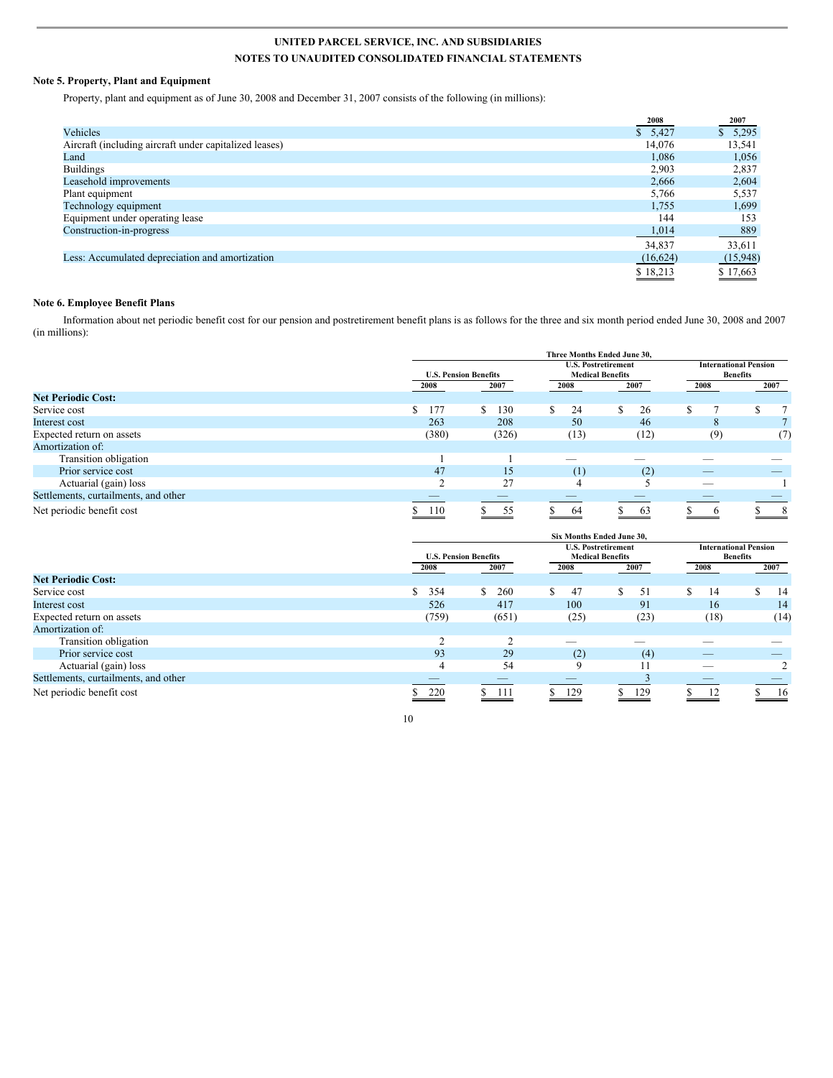### **Note 5. Property, Plant and Equipment**

Property, plant and equipment as of June 30, 2008 and December 31, 2007 consists of the following (in millions):

|                                                        | 2008     | 2007     |
|--------------------------------------------------------|----------|----------|
| Vehicles                                               | \$5,427  | \$5,295  |
| Aircraft (including aircraft under capitalized leases) | 14.076   | 13,541   |
| Land                                                   | 1.086    | 1,056    |
| <b>Buildings</b>                                       | 2,903    | 2,837    |
| Leasehold improvements                                 | 2.666    | 2,604    |
| Plant equipment                                        | 5,766    | 5,537    |
| Technology equipment                                   | 1,755    | 1,699    |
| Equipment under operating lease                        | 144      | 153      |
| Construction-in-progress                               | 1,014    | 889      |
|                                                        | 34,837   | 33,611   |
| Less: Accumulated depreciation and amortization        | (16,624) | (15,948) |
|                                                        | \$18,213 | \$17,663 |

### **Note 6. Employee Benefit Plans**

Information about net periodic benefit cost for our pension and postretirement benefit plans is as follows for the three and six month period ended June 30, 2008 and 2007 (in millions):

|                                      |           |                              | Three Months Ended June 30,                           |      |                                                 |      |
|--------------------------------------|-----------|------------------------------|-------------------------------------------------------|------|-------------------------------------------------|------|
|                                      |           | <b>U.S. Pension Benefits</b> | <b>U.S. Postretirement</b><br><b>Medical Benefits</b> |      | <b>International Pension</b><br><b>Benefits</b> |      |
|                                      | 2008      | 2007                         | 2008                                                  | 2007 | 2008                                            | 2007 |
| <b>Net Periodic Cost:</b>            |           |                              |                                                       |      |                                                 |      |
| Service cost                         | \$<br>177 | 130<br>S                     | S.<br>24                                              | 26   | π                                               |      |
| Interest cost                        | 263       | 208                          | 50                                                    | 46   | 8                                               |      |
| Expected return on assets            | (380)     | (326)                        | (13)                                                  | (12) | (9)                                             | (7)  |
| Amortization of:                     |           |                              |                                                       |      |                                                 |      |
| Transition obligation                |           |                              |                                                       |      |                                                 |      |
| Prior service cost                   | 47        | 15                           | (1)                                                   | (2)  | _                                               |      |
| Actuarial (gain) loss                | ◠         | 27                           | 4                                                     |      | $\overline{\phantom{a}}$                        |      |
| Settlements, curtailments, and other |           | _                            |                                                       |      | _                                               |      |
| Net periodic benefit cost            | 110       | 55                           | 64                                                    | 63   | $\sigma$                                        | 8    |

|                                      |                              |           | Six Months Ended June 30,                             |      |                                                 |         |
|--------------------------------------|------------------------------|-----------|-------------------------------------------------------|------|-------------------------------------------------|---------|
|                                      | <b>U.S. Pension Benefits</b> |           | <b>U.S. Postretirement</b><br><b>Medical Benefits</b> |      | <b>International Pension</b><br><b>Benefits</b> |         |
|                                      | 2008                         | 2007      | 2008                                                  | 2007 | 2008                                            | 2007    |
| <b>Net Periodic Cost:</b>            |                              |           |                                                       |      |                                                 |         |
| Service cost                         | 354<br>\$                    | S.<br>260 | \$<br>47                                              | 51   | S<br>14                                         | S<br>14 |
| Interest cost                        | 526                          | 417       | 100                                                   | 91   | 16                                              | 14      |
| Expected return on assets            | (759)                        | (651)     | (25)                                                  | (23) | (18)                                            | (14)    |
| Amortization of:                     |                              |           |                                                       |      |                                                 |         |
| Transition obligation                | $\sim$                       | $\sim$    | __                                                    |      |                                                 |         |
| Prior service cost                   | 93                           | 29        | (2)                                                   | (4)  | _                                               |         |
| Actuarial (gain) loss                | 4                            | 54        | 9                                                     | 11   | _                                               |         |
| Settlements, curtailments, and other |                              |           |                                                       |      |                                                 |         |
| Net periodic benefit cost            | 220                          | - 111     | 129                                                   | 129  | 12                                              | -16     |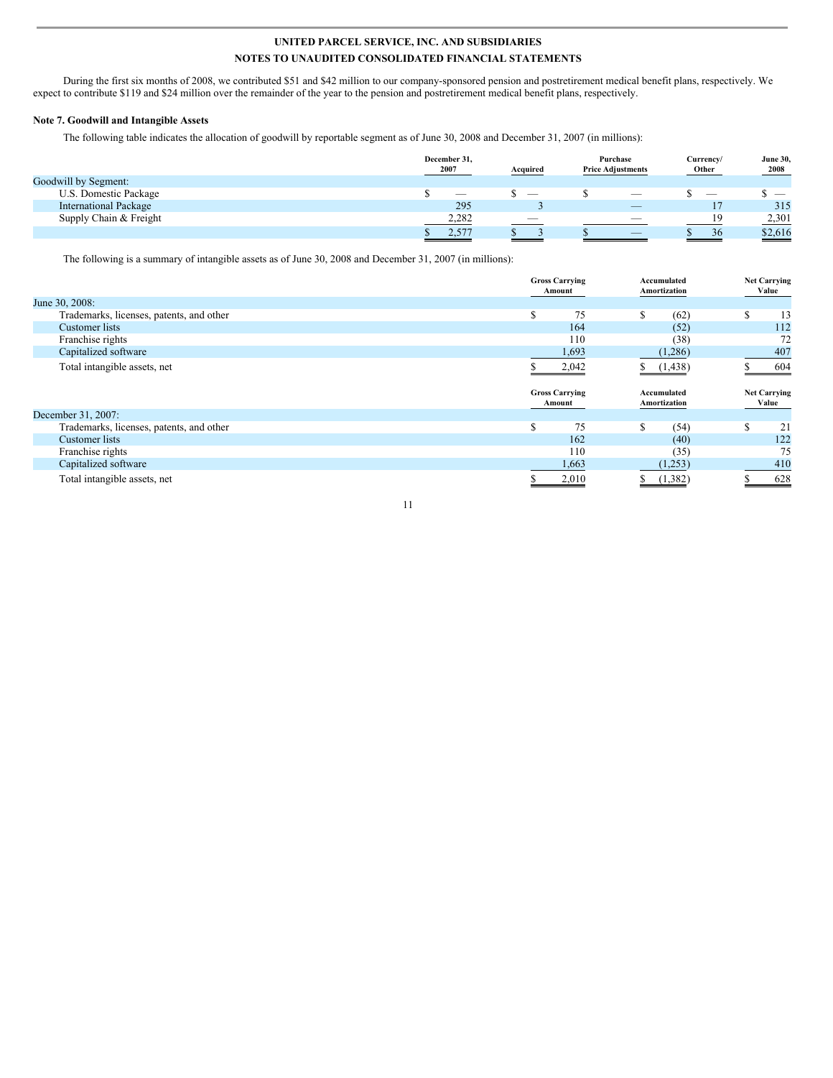During the first six months of 2008, we contributed \$51 and \$42 million to our company-sponsored pension and postretirement medical benefit plans, respectively. We expect to contribute \$119 and \$24 million over the remainder of the year to the pension and postretirement medical benefit plans, respectively.

### **Note 7. Goodwill and Intangible Assets**

The following table indicates the allocation of goodwill by reportable segment as of June 30, 2008 and December 31, 2007 (in millions):

|                              | December 31,<br>2007 | Acquired                 | Purchase<br><b>Price Adjustments</b> | Currency/<br>Other | <b>June 30,</b><br>2008 |
|------------------------------|----------------------|--------------------------|--------------------------------------|--------------------|-------------------------|
| Goodwill by Segment:         |                      |                          |                                      |                    |                         |
| U.S. Domestic Package        | __                   | _                        | $\sim$                               | $\sim$             |                         |
| <b>International Package</b> | 295                  |                          | $\overline{\phantom{a}}$             |                    | 315                     |
| Supply Chain & Freight       | 2,282                | $\overline{\phantom{a}}$ | $\overline{\phantom{a}}$             | 19                 | 2,301                   |
|                              | 4.577                |                          | _                                    | 36                 | \$2,616                 |
|                              |                      |                          |                                      |                    |                         |

The following is a summary of intangible assets as of June 30, 2008 and December 31, 2007 (in millions):

|                                          | <b>Gross Carrying</b><br>Amount | Accumulated<br>Amortization | <b>Net Carrying</b><br>Value |
|------------------------------------------|---------------------------------|-----------------------------|------------------------------|
| June 30, 2008:                           |                                 |                             |                              |
| Trademarks, licenses, patents, and other | 75<br>S                         | \$<br>(62)                  | S<br>13                      |
| Customer lists                           | 164                             | (52)                        | 112                          |
| Franchise rights                         | 110                             | (38)                        | 72                           |
| Capitalized software                     | 1,693                           | (1,286)                     | 407                          |
| Total intangible assets, net             | 2,042                           | (1, 438)                    | 604                          |
|                                          |                                 |                             |                              |
|                                          | <b>Gross Carrying</b><br>Amount | Accumulated<br>Amortization | <b>Net Carrying</b><br>Value |
| December 31, 2007:                       |                                 |                             |                              |
| Trademarks, licenses, patents, and other | \$<br>75                        | \$<br>(54)                  | <b>S</b><br>21               |
| Customer lists                           | 162                             | (40)                        | 122                          |
| Franchise rights                         | 110                             | (35)                        | 75                           |
| Capitalized software                     | 1,663                           | (1,253)                     | 410                          |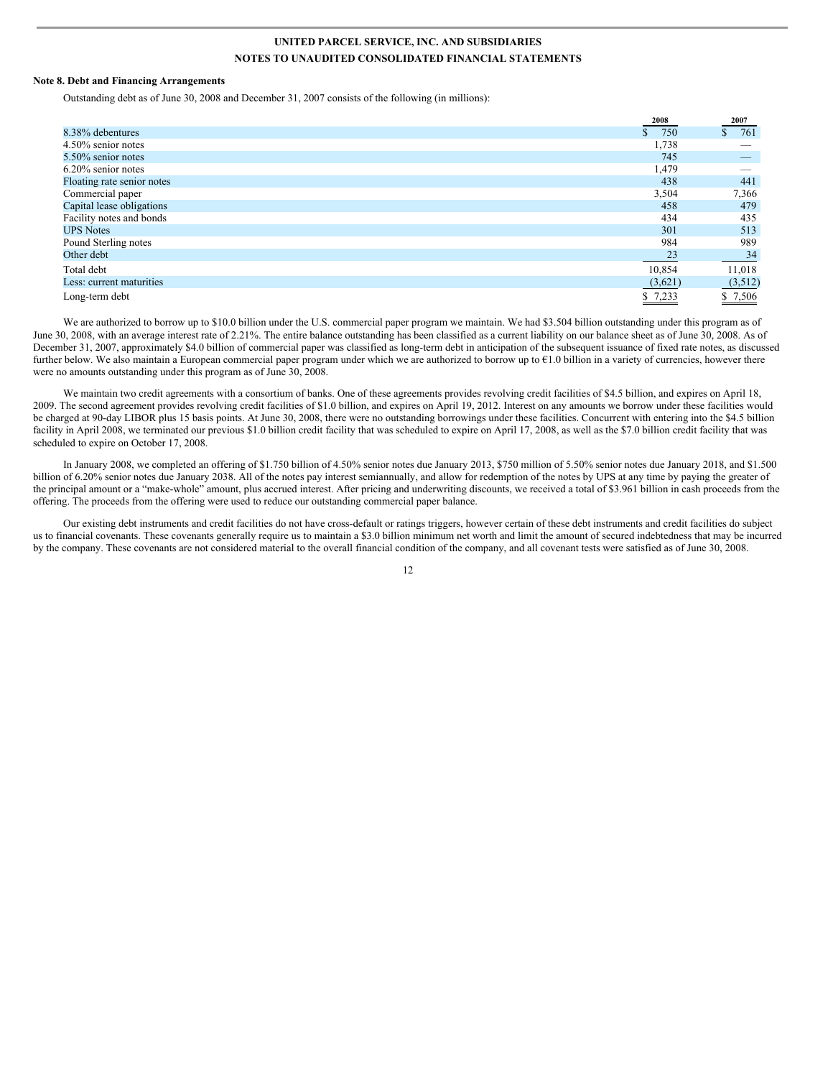#### **Note 8. Debt and Financing Arrangements**

Outstanding debt as of June 30, 2008 and December 31, 2007 consists of the following (in millions):

|                            | 2008    | 2007      |
|----------------------------|---------|-----------|
| 8.38% debentures           | 750     | 761<br>S. |
| 4.50% senior notes         | 1,738   |           |
| 5.50% senior notes         | 745     |           |
| 6.20% senior notes         | 1,479   |           |
| Floating rate senior notes | 438     | 441       |
| Commercial paper           | 3,504   | 7,366     |
| Capital lease obligations  | 458     | 479       |
| Facility notes and bonds   | 434     | 435       |
| <b>UPS Notes</b>           | 301     | 513       |
| Pound Sterling notes       | 984     | 989       |
| Other debt                 | 23      | 34        |
| Total debt                 | 10,854  | 11,018    |
| Less: current maturities   | (3,621) | (3,512)   |
| Long-term debt             | \$7,233 | \$ 7,506  |

We are authorized to borrow up to \$10.0 billion under the U.S. commercial paper program we maintain. We had \$3.504 billion outstanding under this program as of June 30, 2008, with an average interest rate of 2.21%. The entire balance outstanding has been classified as a current liability on our balance sheet as of June 30, 2008. As of December 31, 2007, approximately \$4.0 billion of commercial paper was classified as long-term debt in anticipation of the subsequent issuance of fixed rate notes, as discussed further below. We also maintain a European commercial paper program under which we are authorized to borrow up to €1.0 billion in a variety of currencies, however there were no amounts outstanding under this program as of June 30, 2008.

We maintain two credit agreements with a consortium of banks. One of these agreements provides revolving credit facilities of \$4.5 billion, and expires on April 18, 2009. The second agreement provides revolving credit facilities of \$1.0 billion, and expires on April 19, 2012. Interest on any amounts we borrow under these facilities would be charged at 90-day LIBOR plus 15 basis points. At June 30, 2008, there were no outstanding borrowings under these facilities. Concurrent with entering into the \$4.5 billion facility in April 2008, we terminated our previous \$1.0 billion credit facility that was scheduled to expire on April 17, 2008, as well as the \$7.0 billion credit facility that was scheduled to expire on October 17, 2008.

In January 2008, we completed an offering of \$1.750 billion of 4.50% senior notes due January 2013, \$750 million of 5.50% senior notes due January 2018, and \$1.500 billion of 6.20% senior notes due January 2038. All of the notes pay interest semiannually, and allow for redemption of the notes by UPS at any time by paying the greater of the principal amount or a "make-whole" amount, plus accrued interest. After pricing and underwriting discounts, we received a total of \$3.961 billion in cash proceeds from the offering. The proceeds from the offering were used to reduce our outstanding commercial paper balance.

Our existing debt instruments and credit facilities do not have cross-default or ratings triggers, however certain of these debt instruments and credit facilities do subject us to financial covenants. These covenants generally require us to maintain a \$3.0 billion minimum net worth and limit the amount of secured indebtedness that may be incurred by the company. These covenants are not considered material to the overall financial condition of the company, and all covenant tests were satisfied as of June 30, 2008.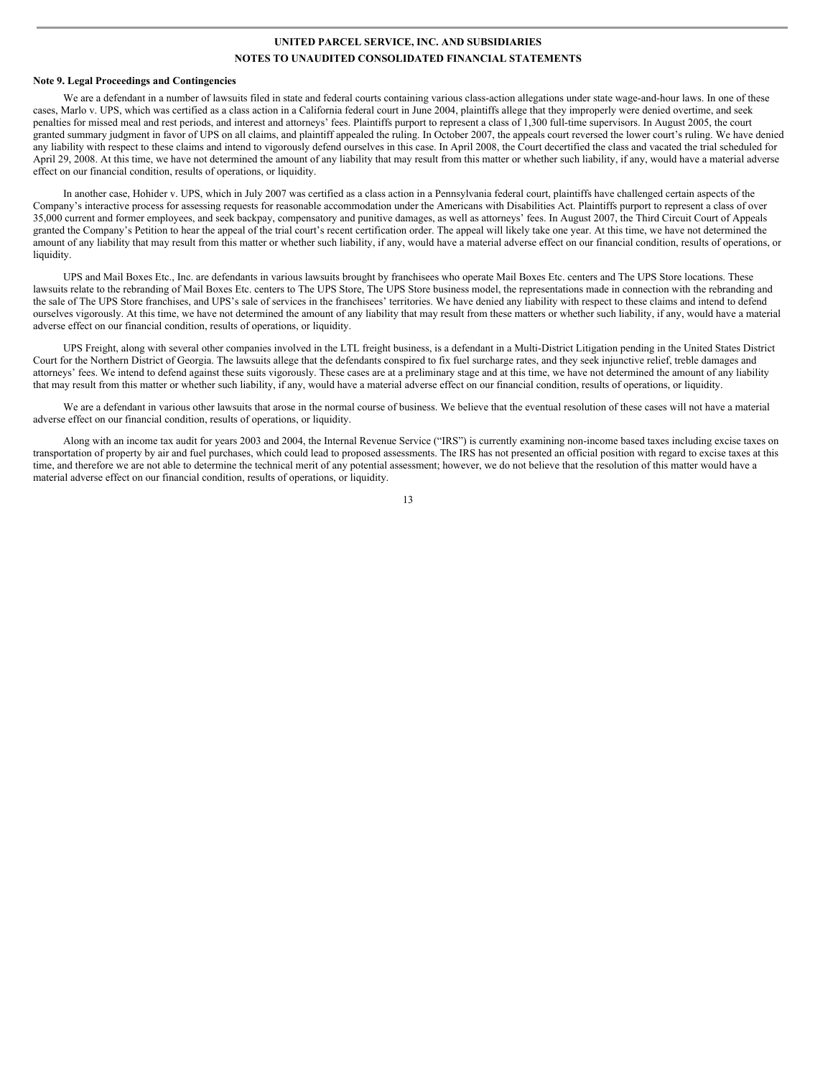#### **Note 9. Legal Proceedings and Contingencies**

We are a defendant in a number of lawsuits filed in state and federal courts containing various class-action allegations under state wage-and-hour laws. In one of these cases, Marlo v. UPS, which was certified as a class action in a California federal court in June 2004, plaintiffs allege that they improperly were denied overtime, and seek penalties for missed meal and rest periods, and interest and attorneys' fees. Plaintiffs purport to represent a class of 1,300 full-time supervisors. In August 2005, the court granted summary judgment in favor of UPS on all claims, and plaintiff appealed the ruling. In October 2007, the appeals court reversed the lower court's ruling. We have denied any liability with respect to these claims and intend to vigorously defend ourselves in this case. In April 2008, the Court decertified the class and vacated the trial scheduled for April 29, 2008. At this time, we have not determined the amount of any liability that may result from this matter or whether such liability, if any, would have a material adverse effect on our financial condition, results of operations, or liquidity.

In another case, Hohider v. UPS, which in July 2007 was certified as a class action in a Pennsylvania federal court, plaintiffs have challenged certain aspects of the Company's interactive process for assessing requests for reasonable accommodation under the Americans with Disabilities Act. Plaintiffs purport to represent a class of over 35,000 current and former employees, and seek backpay, compensatory and punitive damages, as well as attorneys' fees. In August 2007, the Third Circuit Court of Appeals granted the Company's Petition to hear the appeal of the trial court's recent certification order. The appeal will likely take one year. At this time, we have not determined the amount of any liability that may result from this matter or whether such liability, if any, would have a material adverse effect on our financial condition, results of operations, or liquidity.

UPS and Mail Boxes Etc., Inc. are defendants in various lawsuits brought by franchisees who operate Mail Boxes Etc. centers and The UPS Store locations. These lawsuits relate to the rebranding of Mail Boxes Etc. centers to The UPS Store, The UPS Store business model, the representations made in connection with the rebranding and the sale of The UPS Store franchises, and UPS's sale of services in the franchisees' territories. We have denied any liability with respect to these claims and intend to defend ourselves vigorously. At this time, we have not determined the amount of any liability that may result from these matters or whether such liability, if any, would have a material adverse effect on our financial condition, results of operations, or liquidity.

UPS Freight, along with several other companies involved in the LTL freight business, is a defendant in a Multi-District Litigation pending in the United States District Court for the Northern District of Georgia. The lawsuits allege that the defendants conspired to fix fuel surcharge rates, and they seek injunctive relief, treble damages and attorneys' fees. We intend to defend against these suits vigorously. These cases are at a preliminary stage and at this time, we have not determined the amount of any liability that may result from this matter or whether such liability, if any, would have a material adverse effect on our financial condition, results of operations, or liquidity.

We are a defendant in various other lawsuits that arose in the normal course of business. We believe that the eventual resolution of these cases will not have a material adverse effect on our financial condition, results of operations, or liquidity.

Along with an income tax audit for years 2003 and 2004, the Internal Revenue Service ("IRS") is currently examining non-income based taxes including excise taxes on transportation of property by air and fuel purchases, which could lead to proposed assessments. The IRS has not presented an official position with regard to excise taxes at this time, and therefore we are not able to determine the technical merit of any potential assessment; however, we do not believe that the resolution of this matter would have a material adverse effect on our financial condition, results of operations, or liquidity.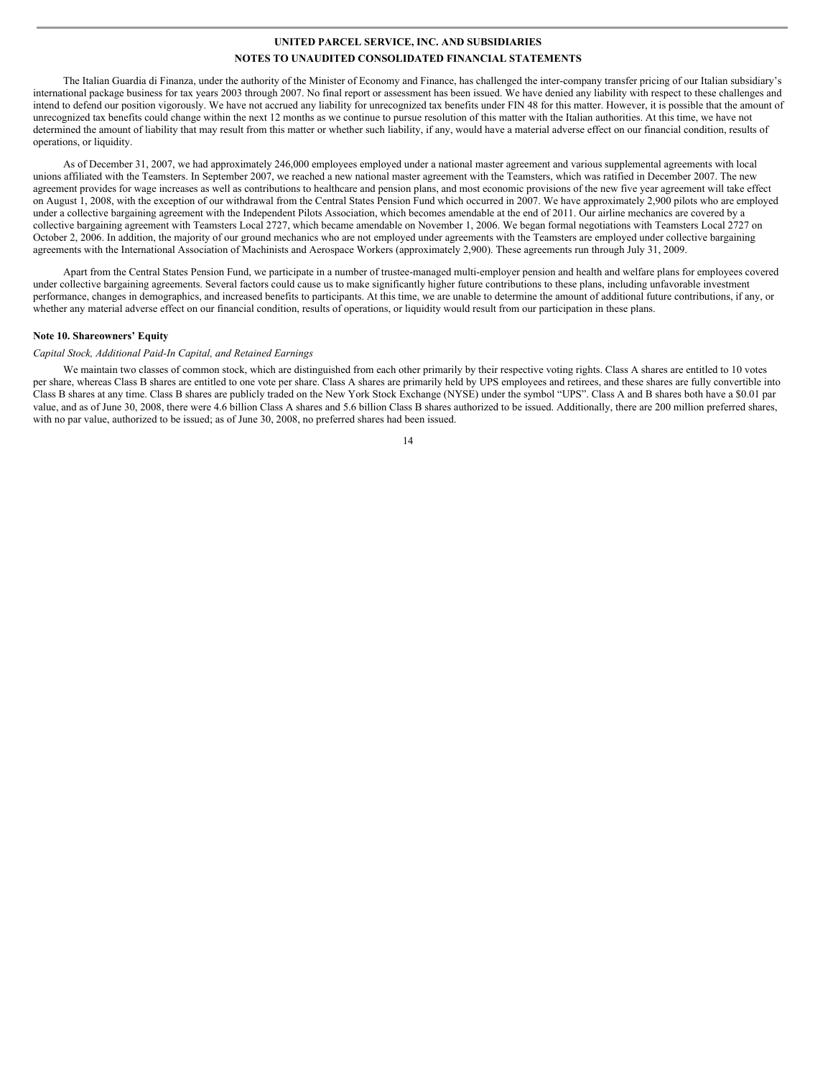The Italian Guardia di Finanza, under the authority of the Minister of Economy and Finance, has challenged the inter-company transfer pricing of our Italian subsidiary's international package business for tax years 2003 through 2007. No final report or assessment has been issued. We have denied any liability with respect to these challenges and intend to defend our position vigorously. We have not accrued any liability for unrecognized tax benefits under FIN 48 for this matter. However, it is possible that the amount of unrecognized tax benefits could change within the next 12 months as we continue to pursue resolution of this matter with the Italian authorities. At this time, we have not determined the amount of liability that may result from this matter or whether such liability, if any, would have a material adverse effect on our financial condition, results of operations, or liquidity.

As of December 31, 2007, we had approximately 246,000 employees employed under a national master agreement and various supplemental agreements with local unions affiliated with the Teamsters. In September 2007, we reached a new national master agreement with the Teamsters, which was ratified in December 2007. The new agreement provides for wage increases as well as contributions to healthcare and pension plans, and most economic provisions of the new five year agreement will take effect on August 1, 2008, with the exception of our withdrawal from the Central States Pension Fund which occurred in 2007. We have approximately 2,900 pilots who are employed under a collective bargaining agreement with the Independent Pilots Association, which becomes amendable at the end of 2011. Our airline mechanics are covered by a collective bargaining agreement with Teamsters Local 2727, which became amendable on November 1, 2006. We began formal negotiations with Teamsters Local 2727 on October 2, 2006. In addition, the majority of our ground mechanics who are not employed under agreements with the Teamsters are employed under collective bargaining agreements with the International Association of Machinists and Aerospace Workers (approximately 2,900). These agreements run through July 31, 2009.

Apart from the Central States Pension Fund, we participate in a number of trustee-managed multi-employer pension and health and welfare plans for employees covered under collective bargaining agreements. Several factors could cause us to make significantly higher future contributions to these plans, including unfavorable investment performance, changes in demographics, and increased benefits to participants. At this time, we are unable to determine the amount of additional future contributions, if any, or whether any material adverse effect on our financial condition, results of operations, or liquidity would result from our participation in these plans.

### **Note 10. Shareowners' Equity**

#### *Capital Stock, Additional Paid-In Capital, and Retained Earnings*

We maintain two classes of common stock, which are distinguished from each other primarily by their respective voting rights. Class A shares are entitled to 10 votes per share, whereas Class B shares are entitled to one vote per share. Class A shares are primarily held by UPS employees and retirees, and these shares are fully convertible into Class B shares at any time. Class B shares are publicly traded on the New York Stock Exchange (NYSE) under the symbol "UPS". Class A and B shares both have a \$0.01 par value, and as of June 30, 2008, there were 4.6 billion Class A shares and 5.6 billion Class B shares authorized to be issued. Additionally, there are 200 million preferred shares, with no par value, authorized to be issued; as of June 30, 2008, no preferred shares had been issued.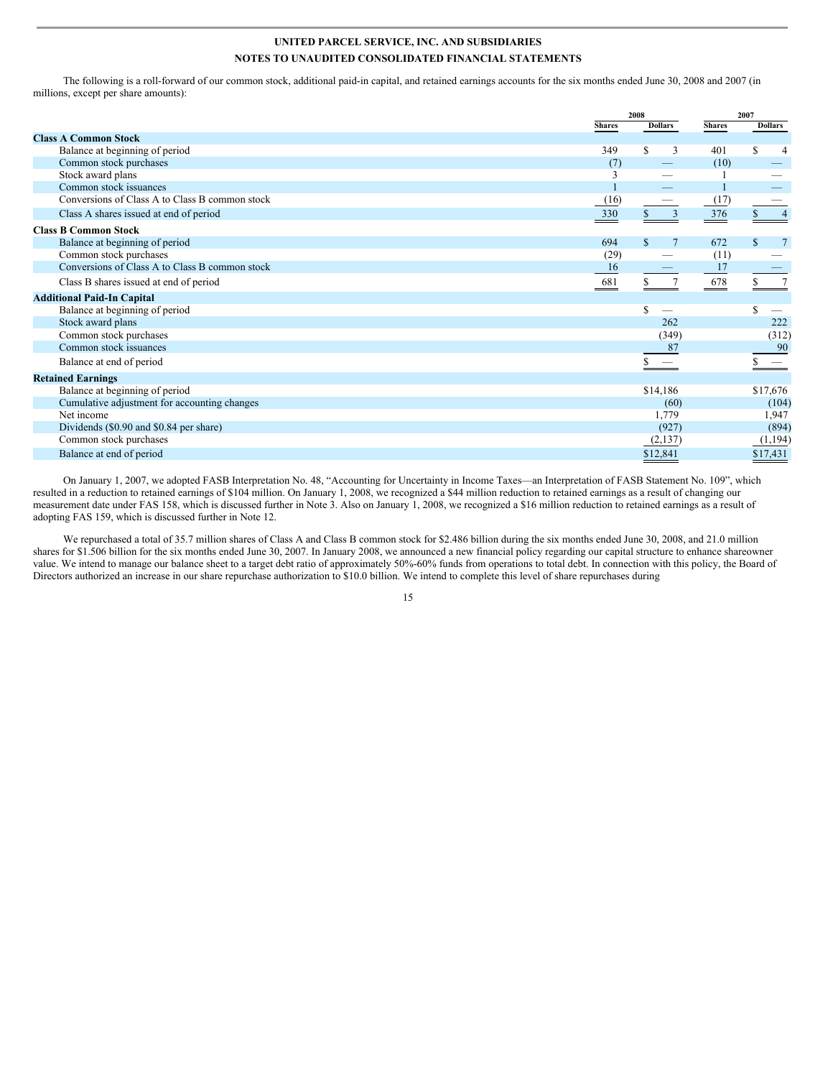The following is a roll-forward of our common stock, additional paid-in capital, and retained earnings accounts for the six months ended June 30, 2008 and 2007 (in millions, except per share amounts):

|                                                |               | 2008                  |               | 2007                |  |
|------------------------------------------------|---------------|-----------------------|---------------|---------------------|--|
|                                                | <b>Shares</b> | <b>Dollars</b>        | <b>Shares</b> | <b>Dollars</b>      |  |
| <b>Class A Common Stock</b>                    |               |                       |               |                     |  |
| Balance at beginning of period                 | 349           | \$.<br>3              | 401           | S<br>$\overline{4}$ |  |
| Common stock purchases                         | (7)           |                       | (10)          |                     |  |
| Stock award plans                              | 3             | -                     |               |                     |  |
| Common stock issuances                         |               |                       |               |                     |  |
| Conversions of Class A to Class B common stock | (16)          |                       | (17)          |                     |  |
| Class A shares issued at end of period         | 330           | 3<br>S.               | 376           | $\overline{4}$      |  |
| <b>Class B Common Stock</b>                    |               |                       |               |                     |  |
| Balance at beginning of period                 | 694           | \$.<br>$\overline{7}$ | 672           | \$.<br>7            |  |
| Common stock purchases                         | (29)          |                       | (11)          |                     |  |
| Conversions of Class A to Class B common stock | 16            |                       | 17            |                     |  |
| Class B shares issued at end of period         | 681           |                       | 678           |                     |  |
| <b>Additional Paid-In Capital</b>              |               |                       |               |                     |  |
| Balance at beginning of period                 |               | \$                    |               | S.                  |  |
| Stock award plans                              |               | 262                   |               | 222                 |  |
| Common stock purchases                         |               | (349)                 |               | (312)               |  |
| Common stock issuances                         |               | 87                    |               | 90                  |  |
| Balance at end of period                       |               |                       |               |                     |  |
| <b>Retained Earnings</b>                       |               |                       |               |                     |  |
| Balance at beginning of period                 |               | \$14,186              |               | \$17,676            |  |
| Cumulative adjustment for accounting changes   |               | (60)                  |               | (104)               |  |
| Net income                                     |               | 1,779                 |               | 1,947               |  |
| Dividends (\$0.90 and \$0.84 per share)        |               | (927)                 |               | (894)               |  |
| Common stock purchases                         |               | (2,137)               |               | (1,194)             |  |
| Balance at end of period                       |               | \$12,841              |               | \$17,431            |  |

On January 1, 2007, we adopted FASB Interpretation No. 48, "Accounting for Uncertainty in Income Taxes—an Interpretation of FASB Statement No. 109", which resulted in a reduction to retained earnings of \$104 million. On January 1, 2008, we recognized a \$44 million reduction to retained earnings as a result of changing our measurement date under FAS 158, which is discussed further in Note 3. Also on January 1, 2008, we recognized a \$16 million reduction to retained earnings as a result of adopting FAS 159, which is discussed further in Note 12.

We repurchased a total of 35.7 million shares of Class A and Class B common stock for \$2.486 billion during the six months ended June 30, 2008, and 21.0 million shares for \$1.506 billion for the six months ended June 30, 2007. In January 2008, we announced a new financial policy regarding our capital structure to enhance shareowner value. We intend to manage our balance sheet to a target debt ratio of approximately 50%-60% funds from operations to total debt. In connection with this policy, the Board of Directors authorized an increase in our share repurchase authorization to \$10.0 billion. We intend to complete this level of share repurchases during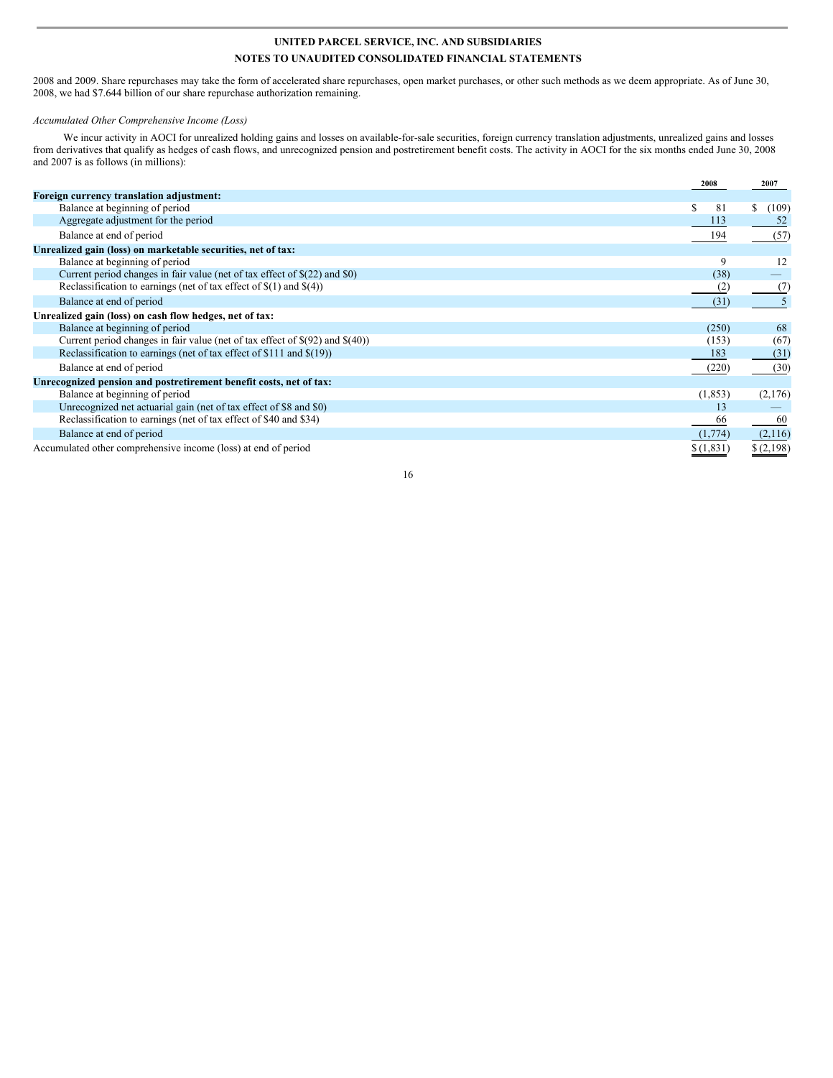2008 and 2009. Share repurchases may take the form of accelerated share repurchases, open market purchases, or other such methods as we deem appropriate. As of June 30, 2008, we had \$7.644 billion of our share repurchase authorization remaining.

### *Accumulated Other Comprehensive Income (Loss)*

We incur activity in AOCI for unrealized holding gains and losses on available-for-sale securities, foreign currency translation adjustments, unrealized gains and losses from derivatives that qualify as hedges of cash flows, and unrecognized pension and postretirement benefit costs. The activity in AOCI for the six months ended June 30, 2008 and 2007 is as follows (in millions):

|                                                                                    | 2008      | 2007        |
|------------------------------------------------------------------------------------|-----------|-------------|
| Foreign currency translation adjustment:                                           |           |             |
| Balance at beginning of period                                                     | 81<br>У   | \$<br>(109) |
| Aggregate adjustment for the period                                                | 113       |             |
| Balance at end of period                                                           | 194       | (57)        |
| Unrealized gain (loss) on marketable securities, net of tax:                       |           |             |
| Balance at beginning of period                                                     | 9         | 12          |
| Current period changes in fair value (net of tax effect of \$(22) and \$0)         | (38)      |             |
| Reclassification to earnings (net of tax effect of $\S(1)$ and $\S(4)$ )           | (2)       | (7)         |
| Balance at end of period                                                           | (31)      |             |
| Unrealized gain (loss) on cash flow hedges, net of tax:                            |           |             |
| Balance at beginning of period                                                     | (250)     | 68          |
| Current period changes in fair value (net of tax effect of $\S(92)$ and $\S(40)$ ) | (153)     | (67)        |
| Reclassification to earnings (net of tax effect of \$111 and \$(19))               | 183       | (31)        |
| Balance at end of period                                                           | (220)     | (30)        |
| Unrecognized pension and postretirement benefit costs, net of tax:                 |           |             |
| Balance at beginning of period                                                     | (1, 853)  | (2,176)     |
| Unrecognized net actuarial gain (net of tax effect of \$8 and \$0)                 | 13        |             |
| Reclassification to earnings (net of tax effect of \$40 and \$34)                  | 66        | 60          |
| Balance at end of period                                                           | (1,774)   | (2,116)     |
| Accumulated other comprehensive income (loss) at end of period                     | \$(1,831) | \$(2,198)   |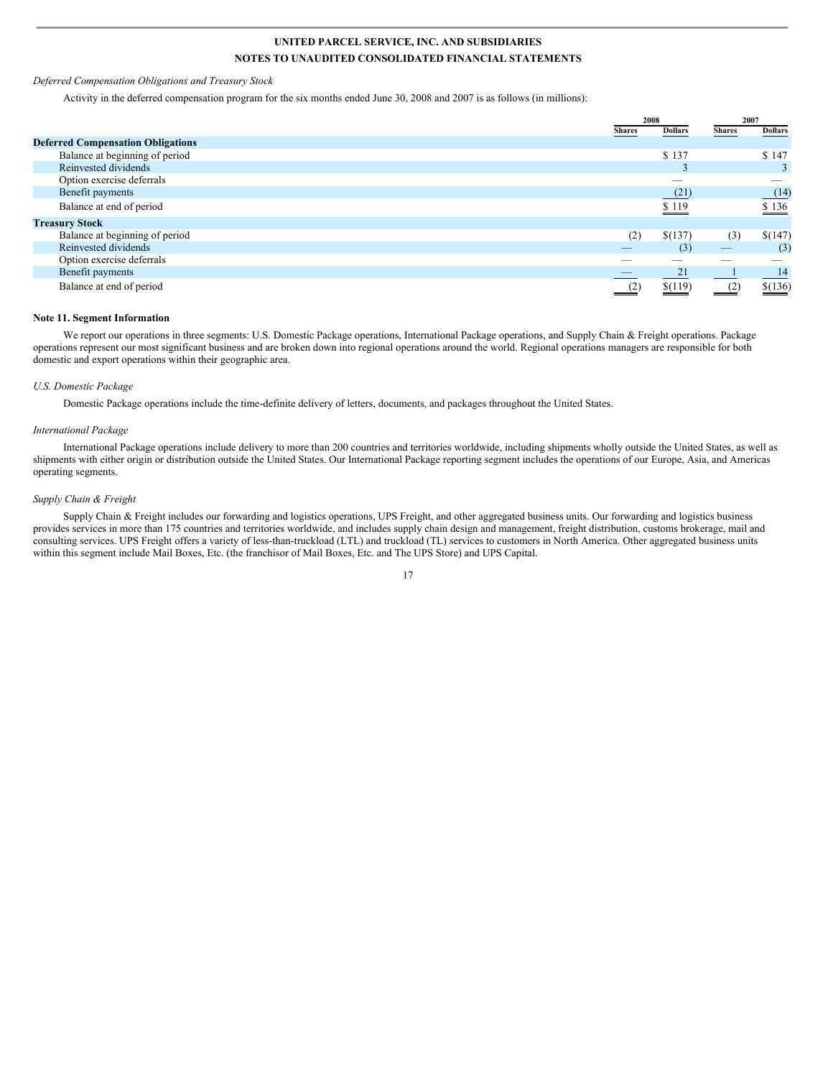#### *Deferred Compensation Obligations and Treasury Stock*

Activity in the deferred compensation program for the six months ended June 30, 2008 and 2007 is as follows (in millions):

|                                          | 2008          |                | 2007          |                       |
|------------------------------------------|---------------|----------------|---------------|-----------------------|
|                                          | <b>Shares</b> | <b>Dollars</b> | <b>Shares</b> | <b>Dollars</b>        |
| <b>Deferred Compensation Obligations</b> |               |                |               |                       |
| Balance at beginning of period           |               | \$137          |               | \$147                 |
| Reinvested dividends                     |               |                |               | 3                     |
| Option exercise deferrals                |               | _              |               |                       |
| Benefit payments                         |               | (21)           |               | (14)                  |
| Balance at end of period                 |               | \$119          |               | \$136                 |
| <b>Treasury Stock</b>                    |               |                |               |                       |
| Balance at beginning of period           | (2)           | \$(137)        | (3)           | \$(147)               |
| Reinvested dividends                     | _             | (3)            | _             | (3)                   |
| Option exercise deferrals                |               |                |               |                       |
| Benefit payments                         |               | 21             |               | 14                    |
| Balance at end of period                 |               | \$(119)        |               | $\underline{\$(136)}$ |

#### **Note 11. Segment Information**

We report our operations in three segments: U.S. Domestic Package operations, International Package operations, and Supply Chain & Freight operations. Package operations represent our most significant business and are broken down into regional operations around the world. Regional operations managers are responsible for both domestic and export operations within their geographic area.

#### *U.S. Domestic Package*

Domestic Package operations include the time-definite delivery of letters, documents, and packages throughout the United States.

#### *International Package*

International Package operations include delivery to more than 200 countries and territories worldwide, including shipments wholly outside the United States, as well as shipments with either origin or distribution outside the United States. Our International Package reporting segment includes the operations of our Europe, Asia, and Americas operating segments.

#### *Supply Chain & Freight*

Supply Chain & Freight includes our forwarding and logistics operations, UPS Freight, and other aggregated business units. Our forwarding and logistics business provides services in more than 175 countries and territories worldwide, and includes supply chain design and management, freight distribution, customs brokerage, mail and consulting services. UPS Freight offers a variety of less-than-truckload (LTL) and truckload (TL) services to customers in North America. Other aggregated business units within this segment include Mail Boxes, Etc. (the franchisor of Mail Boxes, Etc. and The UPS Store) and UPS Capital.

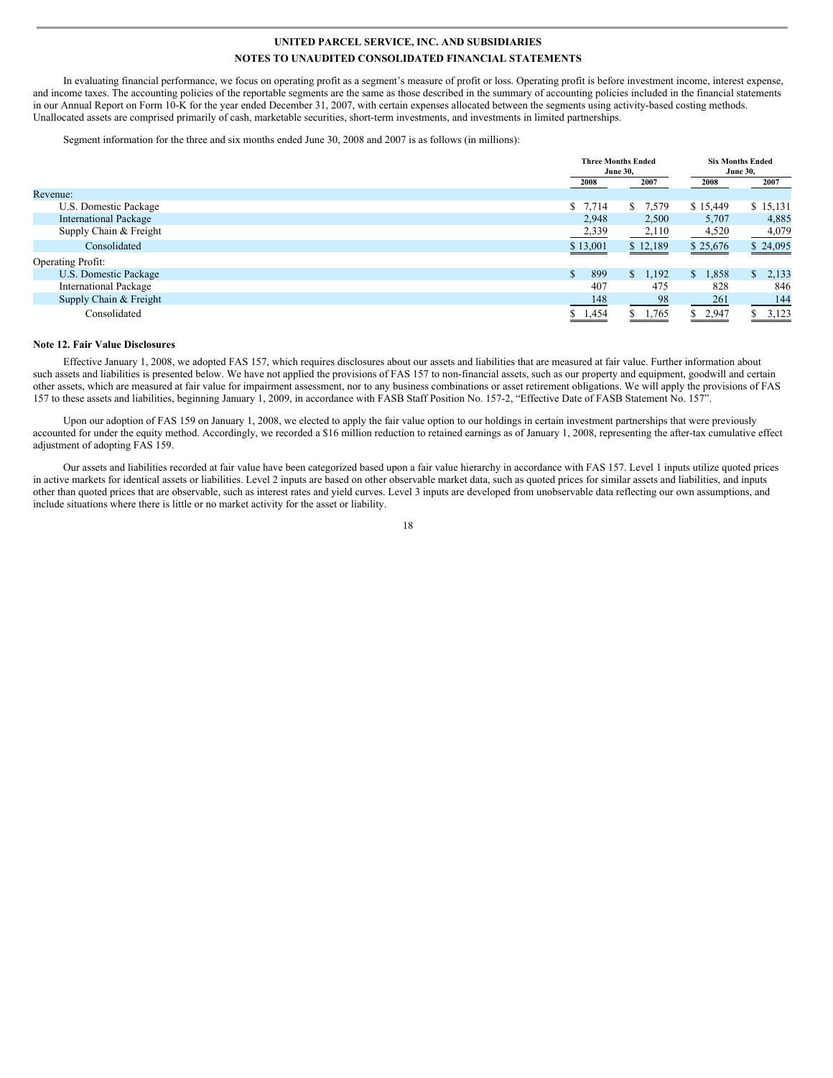In evaluating financial performance, we focus on operating profit as a segment's measure of profit or loss. Operating profit is before investment income, interest expense, and income taxes. The accounting policies of the reportable segments are the same as those described in the summary of accounting policies included in the financial statements in our Annual Report on Form 10-K for the year ended December 31, 2007, with certain expenses allocated between the segments using activity-based costing methods. Unallocated assets are comprised primarily of cash, marketable securities, short-term investments, and investments in limited partnerships.

Segment information for the three and six months ended June 30, 2008 and 2007 is as follows (in millions):

|                              |                      | <b>Three Months Ended</b><br><b>June 30.</b> |                       | <b>Six Months Ended</b><br><b>June 30,</b> |
|------------------------------|----------------------|----------------------------------------------|-----------------------|--------------------------------------------|
|                              | 2008                 | 2007                                         | 2008                  | 2007                                       |
| Revenue:                     |                      |                                              |                       |                                            |
| U.S. Domestic Package        | \$7,714              | 7,579<br>S.                                  | \$15,449              | \$15,131                                   |
| <b>International Package</b> | 2,948                | 2,500                                        | 5,707                 | 4,885                                      |
| Supply Chain & Freight       | 2,339                | 2,110                                        | 4,520                 | 4,079                                      |
| Consolidated                 | \$13,001             | \$12,189                                     | \$25,676              | \$24,095                                   |
| <b>Operating Profit:</b>     |                      |                                              |                       |                                            |
| U.S. Domestic Package        | 899<br>$\mathcal{S}$ | 1,192<br>$\mathbb{S}$                        | 1,858<br>$\mathbb{S}$ | 2,133<br>\$.                               |
| <b>International Package</b> | 407                  | 475                                          | 828                   | 846                                        |
| Supply Chain & Freight       | 148                  | 98                                           | 261                   | 144                                        |
| Consolidated                 | 1,454                | 1,765                                        | 2,947<br>S.           | \$3,123                                    |

### **Note 12. Fair Value Disclosures**

Effective January 1, 2008, we adopted FAS 157, which requires disclosures about our assets and liabilities that are measured at fair value. Further information about such assets and liabilities is presented below. We have not applied the provisions of FAS 157 to non-financial assets, such as our property and equipment, goodwill and certain other assets, which are measured at fair value for impairment assessment, nor to any business combinations or asset retirement obligations. We will apply the provisions of FAS 157 to these assets and liabilities, beginning January 1, 2009, in accordance with FASB Staff Position No. 157-2, "Effective Date of FASB Statement No. 157".

Upon our adoption of FAS 159 on January 1, 2008, we elected to apply the fair value option to our holdings in certain investment partnerships that were previously accounted for under the equity method. Accordingly, we recorded a \$16 million reduction to retained earnings as of January 1, 2008, representing the after-tax cumulative effect adjustment of adopting FAS 159.

Our assets and liabilities recorded at fair value have been categorized based upon a fair value hierarchy in accordance with FAS 157. Level 1 inputs utilize quoted prices in active markets for identical assets or liabilities. Level 2 inputs are based on other observable market data, such as quoted prices for similar assets and liabilities, and inputs other than quoted prices that are observable, such as interest rates and yield curves. Level 3 inputs are developed from unobservable data reflecting our own assumptions, and include situations where there is little or no market activity for the asset or liability.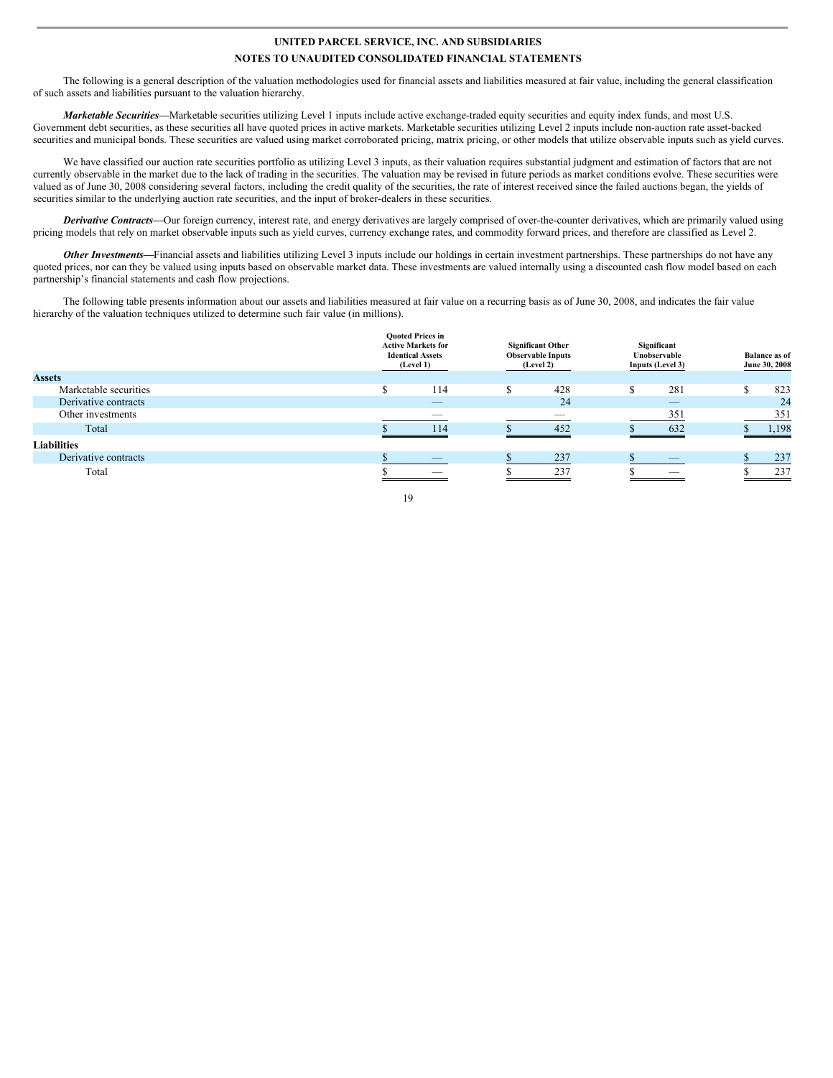The following is a general description of the valuation methodologies used for financial assets and liabilities measured at fair value, including the general classification of such assets and liabilities pursuant to the valuation hierarchy.

*Marketable Securities*—Marketable securities utilizing Level 1 inputs include active exchange-traded equity securities and equity index funds, and most U.S. Government debt securities, as these securities all have quoted prices in active markets. Marketable securities utilizing Level 2 inputs include non-auction rate asset-backed securities and municipal bonds. These securities are valued using market corroborated pricing, matrix pricing, or other models that utilize observable inputs such as yield curves.

We have classified our auction rate securities portfolio as utilizing Level 3 inputs, as their valuation requires substantial judgment and estimation of factors that are not currently observable in the market due to the lack of trading in the securities. The valuation may be revised in future periods as market conditions evolve. These securities were valued as of June 30, 2008 considering several factors, including the credit quality of the securities, the rate of interest received since the failed auctions began, the yields of securities similar to the underlying auction rate securities, and the input of broker-dealers in these securities.

*Derivative Contracts—*Our foreign currency, interest rate, and energy derivatives are largely comprised of over-the-counter derivatives, which are primarily valued using pricing models that rely on market observable inputs such as yield curves, currency exchange rates, and commodity forward prices, and therefore are classified as Level 2.

*Other Investments—*Financial assets and liabilities utilizing Level 3 inputs include our holdings in certain investment partnerships. These partnerships do not have any quoted prices, nor can they be valued using inputs based on observable market data. These investments are valued internally using a discounted cash flow model based on each partnership's financial statements and cash flow projections.

The following table presents information about our assets and liabilities measured at fair value on a recurring basis as of June 30, 2008, and indicates the fair value hierarchy of the valuation techniques utilized to determine such fair value (in millions).

|                       |          | <b>Ouoted Prices in</b><br><b>Active Markets for</b><br><b>Identical Assets</b><br>(Level 1) | <b>Significant Other</b><br><b>Observable Inputs</b><br>(Level 2) | Significant<br>Unobservable<br>Inputs (Level 3) | <b>Balance as of</b><br>June 30, 2008 |
|-----------------------|----------|----------------------------------------------------------------------------------------------|-------------------------------------------------------------------|-------------------------------------------------|---------------------------------------|
| <b>Assets</b>         |          |                                                                                              |                                                                   |                                                 |                                       |
| Marketable securities | $\sigma$ | 114                                                                                          | 428                                                               | 281                                             | 823                                   |
| Derivative contracts  |          | $-$                                                                                          | 24                                                                | $-$                                             | 24                                    |
| Other investments     |          | __                                                                                           | __                                                                | 351                                             | 351                                   |
| Total                 |          | 114                                                                                          | 452                                                               | 632                                             | 1,198                                 |
| <b>Liabilities</b>    |          |                                                                                              |                                                                   |                                                 |                                       |
| Derivative contracts  |          | _                                                                                            | 237                                                               | $-$                                             | 237                                   |
| Total                 |          |                                                                                              | 237                                                               |                                                 | 237                                   |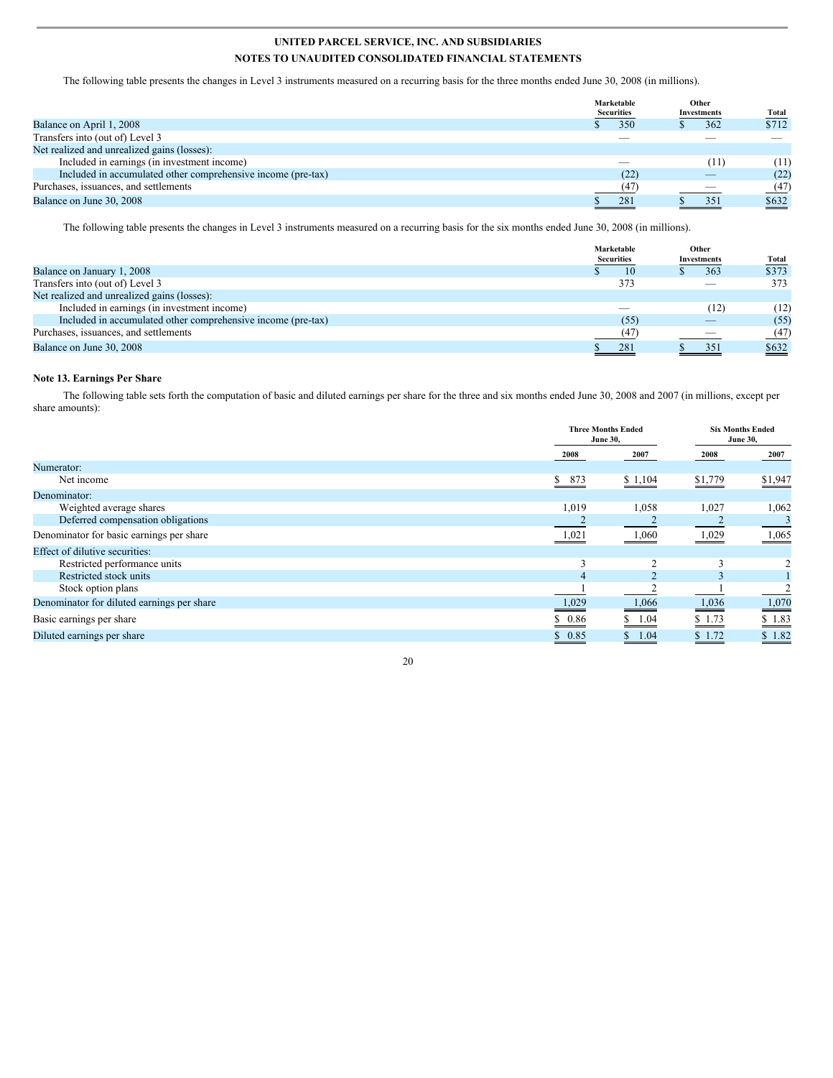The following table presents the changes in Level 3 instruments measured on a recurring basis for the three months ended June 30, 2008 (in millions).

|                                                              | Marketable<br><b>Securities</b>                                                                                                                                                                                                                                                                                                                                                                                                                                            | Other<br>Investments     | <b>Total</b> |
|--------------------------------------------------------------|----------------------------------------------------------------------------------------------------------------------------------------------------------------------------------------------------------------------------------------------------------------------------------------------------------------------------------------------------------------------------------------------------------------------------------------------------------------------------|--------------------------|--------------|
| Balance on April 1, 2008                                     | 350                                                                                                                                                                                                                                                                                                                                                                                                                                                                        |                          | \$712<br>362 |
| Transfers into (out of) Level 3                              | $\frac{1}{2} \left( \frac{1}{2} \right) \left( \frac{1}{2} \right) \left( \frac{1}{2} \right) \left( \frac{1}{2} \right) \left( \frac{1}{2} \right) \left( \frac{1}{2} \right) \left( \frac{1}{2} \right) \left( \frac{1}{2} \right) \left( \frac{1}{2} \right) \left( \frac{1}{2} \right) \left( \frac{1}{2} \right) \left( \frac{1}{2} \right) \left( \frac{1}{2} \right) \left( \frac{1}{2} \right) \left( \frac{1}{2} \right) \left( \frac{1}{2} \right) \left( \frac$ |                          |              |
| Net realized and unrealized gains (losses):                  |                                                                                                                                                                                                                                                                                                                                                                                                                                                                            |                          |              |
| Included in earnings (in investment income)                  |                                                                                                                                                                                                                                                                                                                                                                                                                                                                            |                          | (11)<br>(11) |
| Included in accumulated other comprehensive income (pre-tax) | (22)                                                                                                                                                                                                                                                                                                                                                                                                                                                                       |                          | (22)         |
| Purchases, issuances, and settlements                        | (47)                                                                                                                                                                                                                                                                                                                                                                                                                                                                       | $\overline{\phantom{a}}$ | (47)         |
| Balance on June 30, 2008                                     | 281                                                                                                                                                                                                                                                                                                                                                                                                                                                                        |                          | \$632<br>351 |

The following table presents the changes in Level 3 instruments measured on a recurring basis for the six months ended June 30, 2008 (in millions).

|                                                              | Marketable<br><b>Securities</b> | Other<br>Investments     | Total |
|--------------------------------------------------------------|---------------------------------|--------------------------|-------|
| Balance on January 1, 2008                                   | 10                              | 363                      | \$373 |
| Transfers into (out of) Level 3                              | 373                             | _                        | 373   |
| Net realized and unrealized gains (losses):                  |                                 |                          |       |
| Included in earnings (in investment income)                  |                                 | (12)                     | (12)  |
| Included in accumulated other comprehensive income (pre-tax) | (55)                            |                          | (55)  |
| Purchases, issuances, and settlements                        | (47)                            | $\overline{\phantom{a}}$ | (47)  |
| Balance on June 30, 2008                                     | 281                             | 351                      | \$632 |

### **Note 13. Earnings Per Share**

The following table sets forth the computation of basic and diluted earnings per share for the three and six months ended June 30, 2008 and 2007 (in millions, except per share amounts):

|                                            |          | <b>Three Months Ended</b><br><b>June 30,</b> |                         | <b>Six Months Ended</b><br><b>June 30,</b> |
|--------------------------------------------|----------|----------------------------------------------|-------------------------|--------------------------------------------|
|                                            | 2008     | 2007                                         | 2008                    | 2007                                       |
| Numerator:                                 |          |                                              |                         |                                            |
| Net income                                 | S<br>873 | \$1,104                                      | \$1,779                 | \$1,947                                    |
| Denominator:                               |          |                                              |                         |                                            |
| Weighted average shares                    | 1,019    | 1,058                                        | 1,027                   | 1,062                                      |
| Deferred compensation obligations          |          |                                              |                         | 3                                          |
| Denominator for basic earnings per share   | 1,021    | 1,060                                        | 1,029                   | 1,065                                      |
| Effect of dilutive securities:             |          |                                              |                         |                                            |
| Restricted performance units               | 3        | ∍                                            | 3                       |                                            |
| Restricted stock units                     | 4        |                                              | $\overline{\mathbf{3}}$ |                                            |
| Stock option plans                         |          |                                              |                         |                                            |
| Denominator for diluted earnings per share | 1,029    | 1,066                                        | 1,036                   | 1,070                                      |
| Basic earnings per share                   | 0.86     | 1.04                                         | \$1.73                  | \$1.83                                     |
| Diluted earnings per share                 | \$0.85   | \$1.04                                       | \$1.72                  | \$1.82                                     |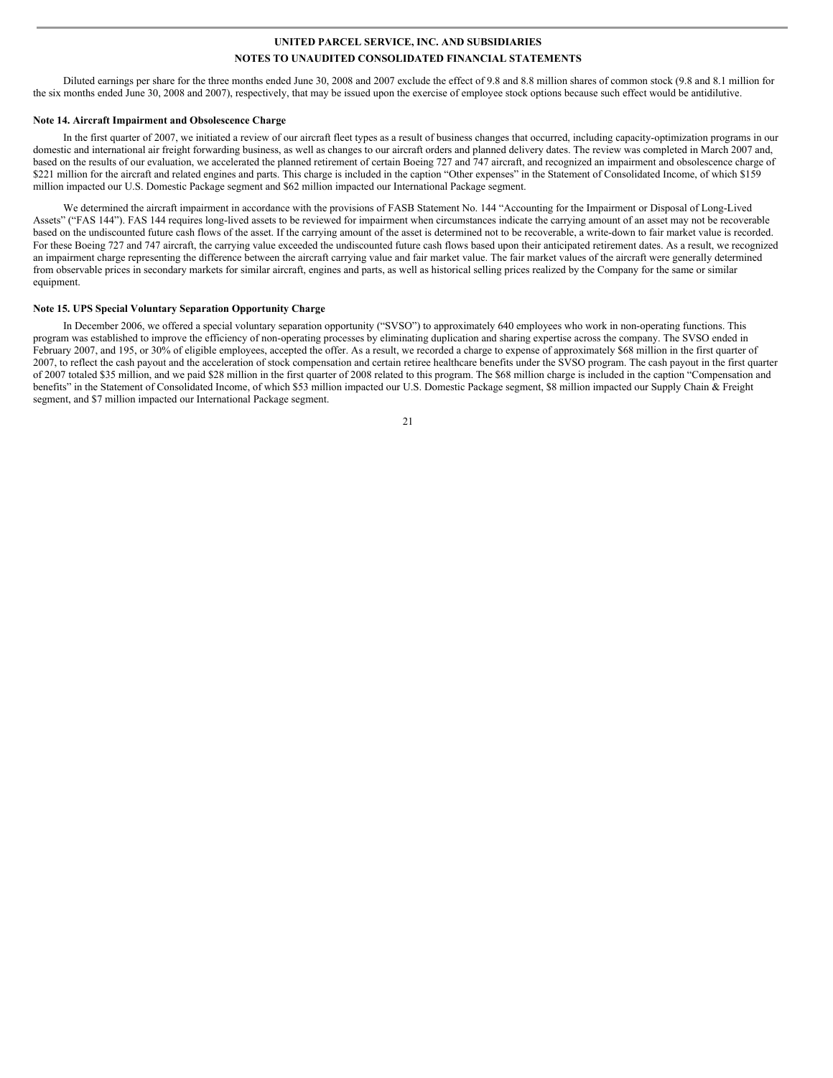Diluted earnings per share for the three months ended June 30, 2008 and 2007 exclude the effect of 9.8 and 8.8 million shares of common stock (9.8 and 8.1 million for the six months ended June 30, 2008 and 2007), respectively, that may be issued upon the exercise of employee stock options because such effect would be antidilutive.

### **Note 14. Aircraft Impairment and Obsolescence Charge**

In the first quarter of 2007, we initiated a review of our aircraft fleet types as a result of business changes that occurred, including capacity-optimization programs in our domestic and international air freight forwarding business, as well as changes to our aircraft orders and planned delivery dates. The review was completed in March 2007 and, based on the results of our evaluation, we accelerated the planned retirement of certain Boeing 727 and 747 aircraft, and recognized an impairment and obsolescence charge of \$221 million for the aircraft and related engines and parts. This charge is included in the caption "Other expenses" in the Statement of Consolidated Income, of which \$159 million impacted our U.S. Domestic Package segment and \$62 million impacted our International Package segment.

We determined the aircraft impairment in accordance with the provisions of FASB Statement No. 144 "Accounting for the Impairment or Disposal of Long-Lived Assets" ("FAS 144"). FAS 144 requires long-lived assets to be reviewed for impairment when circumstances indicate the carrying amount of an asset may not be recoverable based on the undiscounted future cash flows of the asset. If the carrying amount of the asset is determined not to be recoverable, a write-down to fair market value is recorded. For these Boeing 727 and 747 aircraft, the carrying value exceeded the undiscounted future cash flows based upon their anticipated retirement dates. As a result, we recognized an impairment charge representing the difference between the aircraft carrying value and fair market value. The fair market values of the aircraft were generally determined from observable prices in secondary markets for similar aircraft, engines and parts, as well as historical selling prices realized by the Company for the same or similar equipment.

### **Note 15. UPS Special Voluntary Separation Opportunity Charge**

In December 2006, we offered a special voluntary separation opportunity ("SVSO") to approximately 640 employees who work in non-operating functions. This program was established to improve the efficiency of non-operating processes by eliminating duplication and sharing expertise across the company. The SVSO ended in February 2007, and 195, or 30% of eligible employees, accepted the offer. As a result, we recorded a charge to expense of approximately \$68 million in the first quarter of 2007, to reflect the cash payout and the acceleration of stock compensation and certain retiree healthcare benefits under the SVSO program. The cash payout in the first quarter of 2007 totaled \$35 million, and we paid \$28 million in the first quarter of 2008 related to this program. The \$68 million charge is included in the caption "Compensation and benefits" in the Statement of Consolidated Income, of which \$53 million impacted our U.S. Domestic Package segment, \$8 million impacted our Supply Chain & Freight segment, and \$7 million impacted our International Package segment.

 $21$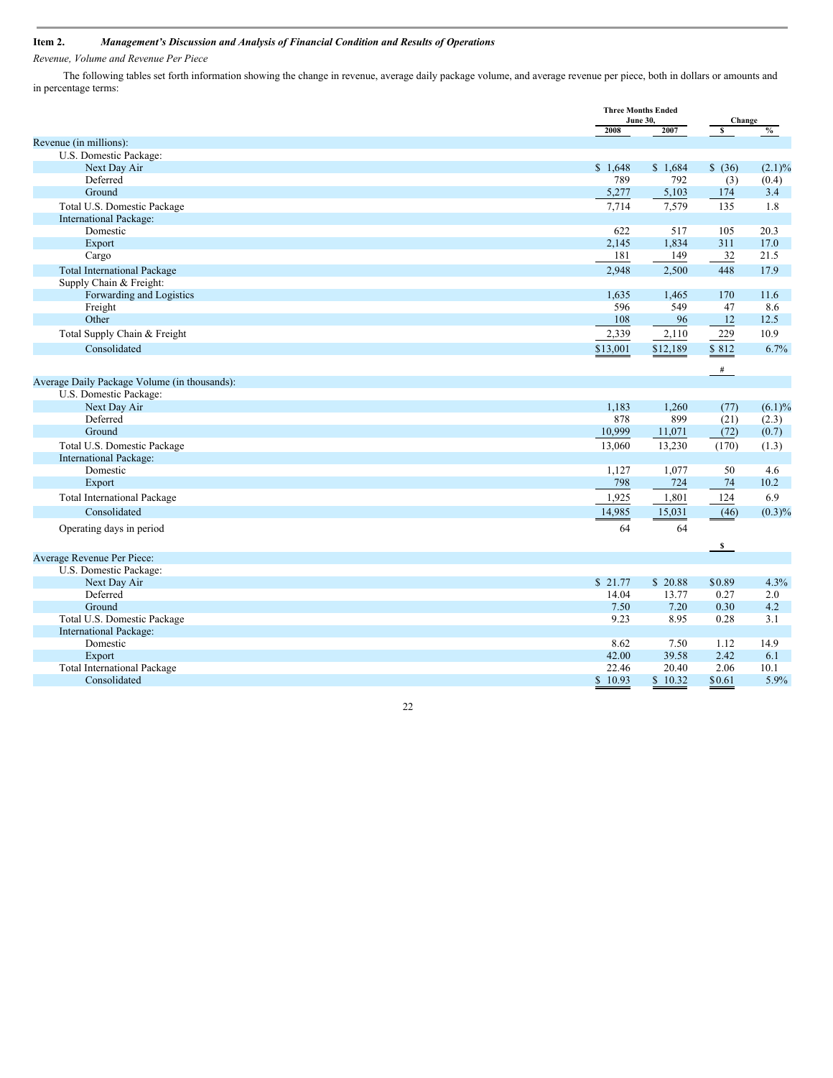# **Item 2.** *Management's Discussion and Analysis of Financial Condition and Results of Operations*

*Revenue, Volume and Revenue Per Piece*

The following tables set forth information showing the change in revenue, average daily package volume, and average revenue per piece, both in dollars or amounts and in percentage terms:

|                                              |          | <b>Three Months Ended</b><br><b>June 30,</b> |                         | Change    |
|----------------------------------------------|----------|----------------------------------------------|-------------------------|-----------|
|                                              | 2008     | 2007                                         | s                       | $\%$      |
| Revenue (in millions):                       |          |                                              |                         |           |
| U.S. Domestic Package:                       |          |                                              |                         |           |
| Next Day Air                                 | \$1,648  | \$1,684                                      | \$ (36)                 | $(2.1)\%$ |
| Deferred                                     | 789      | 792                                          | (3)                     | (0.4)     |
| Ground                                       | 5,277    | 5,103                                        | 174                     | 3.4       |
| Total U.S. Domestic Package                  | 7,714    | 7,579                                        | 135                     | 1.8       |
| International Package:                       |          |                                              |                         |           |
| Domestic                                     | 622      | 517                                          | 105                     | 20.3      |
| Export                                       | 2,145    | 1,834                                        | 311                     | 17.0      |
| Cargo                                        | 181      | 149                                          | 32                      | 21.5      |
| <b>Total International Package</b>           | 2,948    | 2,500                                        | 448                     | 17.9      |
| Supply Chain & Freight:                      |          |                                              |                         |           |
| Forwarding and Logistics                     | 1,635    | 1,465                                        | 170                     | 11.6      |
| Freight                                      | 596      | 549                                          | 47                      | 8.6       |
| Other                                        | 108      | 96                                           | 12                      | 12.5      |
| Total Supply Chain & Freight                 | 2,339    | 2,110                                        | 229                     | 10.9      |
| Consolidated                                 | \$13,001 | \$12,189                                     | \$812                   | 6.7%      |
|                                              |          |                                              | #                       |           |
| Average Daily Package Volume (in thousands): |          |                                              |                         |           |
| U.S. Domestic Package:                       |          |                                              |                         |           |
| Next Day Air                                 | 1,183    | 1,260                                        | (77)                    | $(6.1)\%$ |
| Deferred                                     | 878      | 899                                          | (21)                    | (2.3)     |
| Ground                                       | 10,999   | 11,071                                       | (72)                    | (0.7)     |
| Total U.S. Domestic Package                  | 13,060   | 13,230                                       | (170)                   | (1.3)     |
| International Package:                       |          |                                              |                         |           |
| Domestic                                     | 1,127    | 1,077                                        | 50                      | 4.6       |
| Export                                       | 798      | 724                                          | 74                      | 10.2      |
| <b>Total International Package</b>           | 1,925    | 1,801                                        | 124                     | 6.9       |
| Consolidated                                 | 14,985   | 15,031                                       | (46)                    | $(0.3)\%$ |
| Operating days in period                     | 64       | 64                                           |                         |           |
|                                              |          |                                              |                         |           |
| Average Revenue Per Piece:                   |          |                                              | $\overline{\mathbf{s}}$ |           |
| U.S. Domestic Package:                       |          |                                              |                         |           |
| Next Day Air                                 | \$21.77  | \$20.88                                      | \$0.89                  | 4.3%      |
| Deferred                                     | 14.04    | 13.77                                        | 0.27                    | 2.0       |
| Ground                                       | 7.50     | 7.20                                         | 0.30                    | 4.2       |
| Total U.S. Domestic Package                  | 9.23     | 8.95                                         | 0.28                    | 3.1       |
| International Package:                       |          |                                              |                         |           |
| Domestic                                     | 8.62     | 7.50                                         | 1.12                    | 14.9      |
| Export                                       | 42.00    | 39.58                                        | 2.42                    | 6.1       |
| <b>Total International Package</b>           | 22.46    | 20.40                                        | 2.06                    | 10.1      |
| Consolidated                                 | \$10.93  | \$10.32                                      | \$0.61                  | 5.9%      |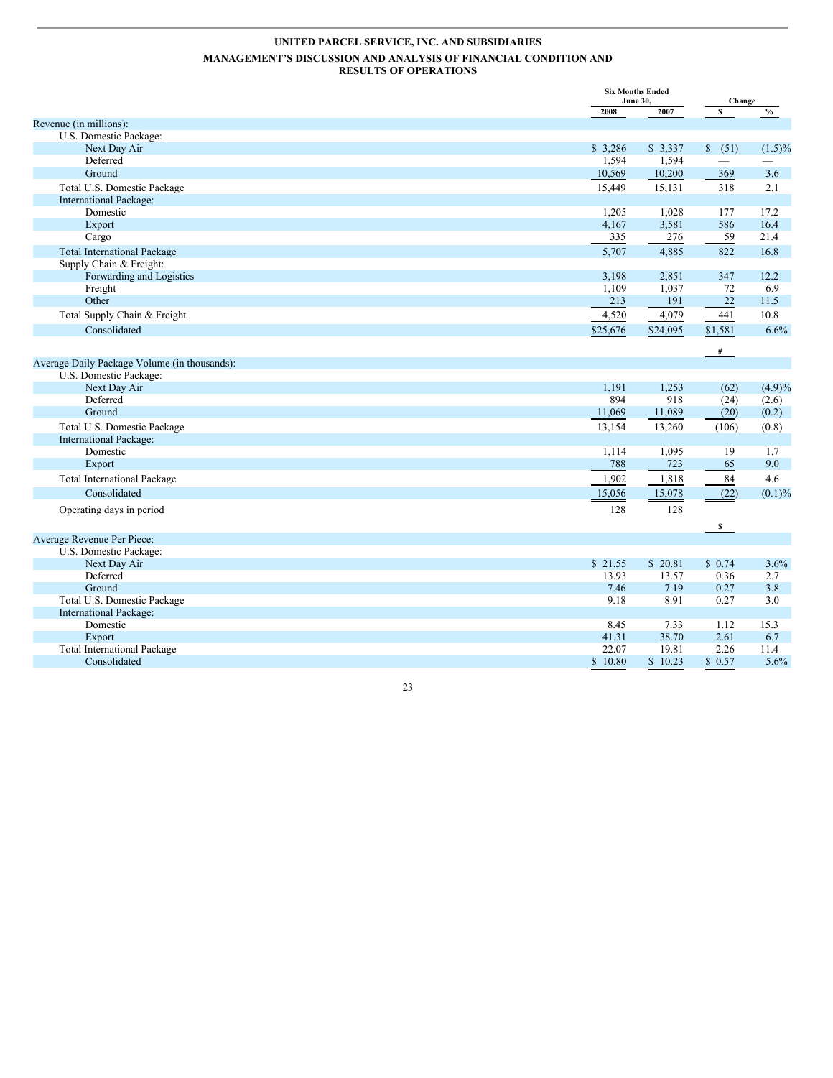|                                              |               | <b>Six Months Ended</b><br><b>June 30,</b> |              | Change        |
|----------------------------------------------|---------------|--------------------------------------------|--------------|---------------|
|                                              | 2008          | 2007                                       | s            | $\frac{0}{0}$ |
| Revenue (in millions):                       |               |                                            |              |               |
| U.S. Domestic Package:                       |               |                                            |              |               |
| Next Day Air                                 | \$3.286       | \$3,337                                    | \$ (51)      | $(1.5)\%$     |
| Deferred                                     | 1.594         | 1,594                                      |              |               |
| Ground                                       | 10,569        | 10,200                                     | 369          | 3.6           |
| Total U.S. Domestic Package                  | 15,449        | 15,131                                     | 318          | 2.1           |
| International Package:                       |               |                                            |              |               |
| Domestic                                     | 1,205         | 1,028                                      | 177          | 17.2          |
| Export                                       | 4,167         | 3,581                                      | 586          | 16.4          |
| Cargo                                        | 335           | 276                                        | 59           | 21.4          |
| <b>Total International Package</b>           | 5,707         | 4,885                                      | 822          | 16.8          |
| Supply Chain & Freight:                      |               |                                            |              |               |
| Forwarding and Logistics                     | 3,198         | 2,851                                      | 347          | 12.2          |
| Freight                                      | 1,109         | 1,037                                      | 72           | 6.9           |
| Other                                        | 213           | 191                                        | $22\,$       | 11.5          |
| Total Supply Chain & Freight                 | 4,520         | 4,079                                      | 441          | 10.8          |
| Consolidated                                 | \$25,676      | \$24,095                                   | \$1,581      | 6.6%          |
|                                              |               |                                            | #            |               |
| Average Daily Package Volume (in thousands): |               |                                            |              |               |
| U.S. Domestic Package:                       |               |                                            |              |               |
| Next Day Air                                 | 1,191         | 1,253                                      | (62)         | (4.9)%        |
| Deferred                                     | 894           | 918                                        | (24)         | (2.6)         |
| Ground                                       | 11,069        | 11,089                                     | (20)         | (0.2)         |
| Total U.S. Domestic Package                  | 13,154        | 13,260                                     | (106)        | (0.8)         |
| <b>International Package:</b>                |               |                                            |              |               |
| Domestic                                     | 1,114         | 1,095                                      | 19           | 1.7           |
| Export                                       | 788           | 723                                        | 65           | 9.0           |
| <b>Total International Package</b>           | 1,902         | 1,818                                      | 84           | 4.6           |
| Consolidated                                 | 15,056        | 15,078                                     | (22)         | $(0.1)\%$     |
| Operating days in period                     | 128           | 128                                        |              |               |
|                                              |               |                                            | $\mathbf{s}$ |               |
| Average Revenue Per Piece:                   |               |                                            |              |               |
| U.S. Domestic Package:                       |               |                                            |              |               |
| Next Day Air                                 | \$21.55       | \$20.81                                    | \$0.74       | 3.6%          |
| Deferred                                     | 13.93         | 13.57                                      | 0.36         | 2.7           |
| Ground                                       | 7.46          | 7.19                                       | 0.27         | 3.8           |
| Total U.S. Domestic Package                  | 9.18          | 8.91                                       | 0.27         | 3.0           |
| International Package:                       |               |                                            |              |               |
| Domestic                                     | 8.45<br>41.31 | 7.33<br>38.70                              | 1.12<br>2.61 | 15.3<br>6.7   |
| Export<br><b>Total International Package</b> | 22.07         | 19.81                                      | 2.26         | 11.4          |
| Consolidated                                 | \$10.80       | \$10.23                                    | \$0.57       | 5.6%          |
|                                              |               |                                            |              |               |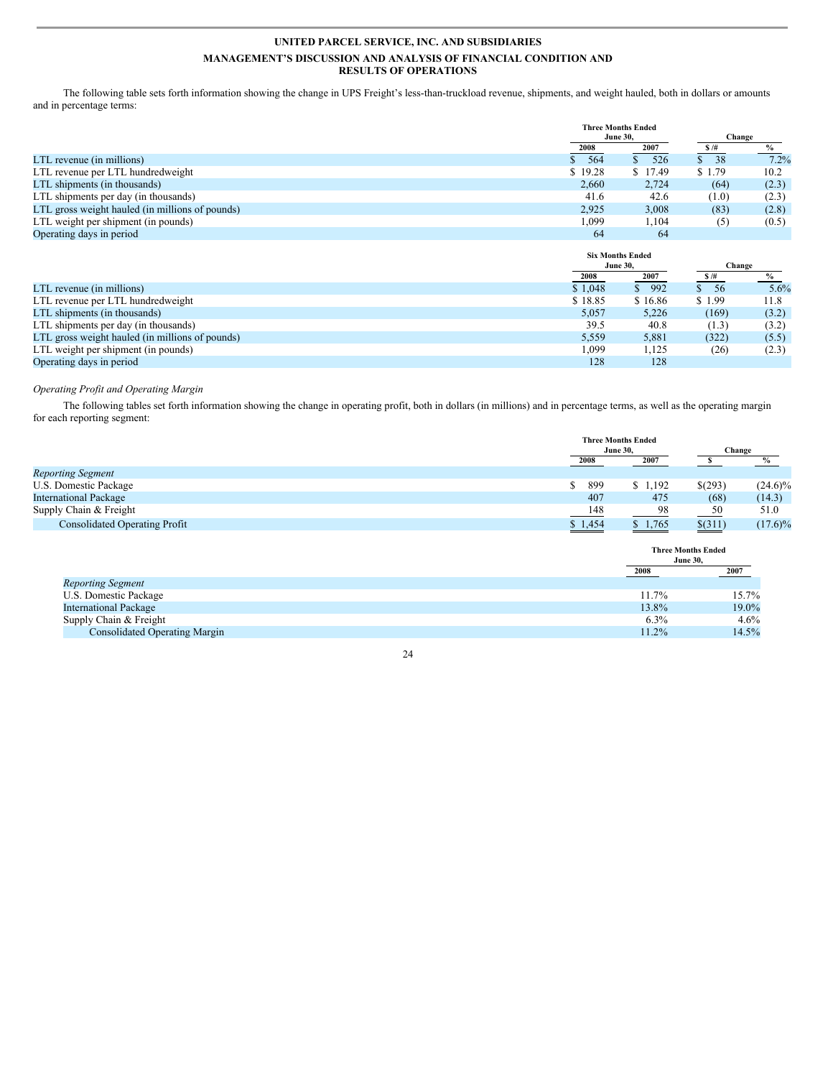The following table sets forth information showing the change in UPS Freight's less-than-truckload revenue, shipments, and weight hauled, both in dollars or amounts and in percentage terms:

|                                                 |         | <b>Three Months Ended</b> |          |        |
|-------------------------------------------------|---------|---------------------------|----------|--------|
|                                                 |         | <b>June 30.</b>           |          | Change |
|                                                 | 2008    | 2007                      | \$/#     |        |
| LTL revenue (in millions)                       | 564     | 526                       | 38<br>S. | 7.2%   |
| LTL revenue per LTL hundredweight               | \$19.28 | \$17.49                   | \$1.79   | 10.2   |
| LTL shipments (in thousands)                    | 2,660   | 2,724                     | (64)     | (2.3)  |
| LTL shipments per day (in thousands)            | 41.6    | 42.6                      | (1.0)    | (2.3)  |
| LTL gross weight hauled (in millions of pounds) | 2,925   | 3,008                     | (83)     | (2.8)  |
| LTL weight per shipment (in pounds)             | 1.099   | 1,104                     | (5)      | (0.5)  |
| Operating days in period                        | 64      | 64                        |          |        |

|                                                 |         | <b>Six Months Ended</b> |           |        |
|-------------------------------------------------|---------|-------------------------|-----------|--------|
|                                                 |         | <b>June 30.</b>         |           | Change |
|                                                 | 2008    | 2007                    | \$/#      |        |
| LTL revenue (in millions)                       | \$1.048 | 992<br>S.               | -56<br>S. | 5.6%   |
| LTL revenue per LTL hundredweight               | \$18.85 | \$16.86                 | \$1.99    | 11.8   |
| LTL shipments (in thousands)                    | 5,057   | 5.226                   | (169)     | (3.2)  |
| LTL shipments per day (in thousands)            | 39.5    | 40.8                    | (1.3)     | (3.2)  |
| LTL gross weight hauled (in millions of pounds) | 5,559   | 5,881                   | (322)     | (5.5)  |
| LTL weight per shipment (in pounds)             | 1,099   | 1.125                   | (26)      | (2.3)  |
| Operating days in period                        | 128     | 128                     |           |        |

### *Operating Profit and Operating Margin*

The following tables set forth information showing the change in operating profit, both in dollars (in millions) and in percentage terms, as well as the operating margin for each reporting segment:

|                                      | <b>Three Months Ended</b> |                 |         |            |
|--------------------------------------|---------------------------|-----------------|---------|------------|
|                                      |                           | <b>June 30.</b> | Change  |            |
|                                      | 2008<br>2007              |                 |         | %          |
| <b>Reporting Segment</b>             |                           |                 |         |            |
| U.S. Domestic Package                | 899                       | \$1,192         | \$(293) | $(24.6)\%$ |
| <b>International Package</b>         | 407                       | 475             | (68)    | (14.3)     |
| Supply Chain & Freight               | 148                       | 98              | 50      | 51.0       |
| <b>Consolidated Operating Profit</b> | \$1,454                   | \$1,765         | \$(311) | $(17.6)\%$ |
|                                      |                           | $\sim$ $\sim$   |         |            |

|                                      | <b>Three Months Ended</b><br><b>June 30,</b> |       |
|--------------------------------------|----------------------------------------------|-------|
|                                      | 2008                                         | 2007  |
| <b>Reporting Segment</b>             |                                              |       |
| U.S. Domestic Package                | $11.7\%$                                     | 15.7% |
| <b>International Package</b>         | 13.8%                                        | 19.0% |
| Supply Chain & Freight               | 6.3%                                         | 4.6%  |
| <b>Consolidated Operating Margin</b> | 11.2%                                        | 14.5% |

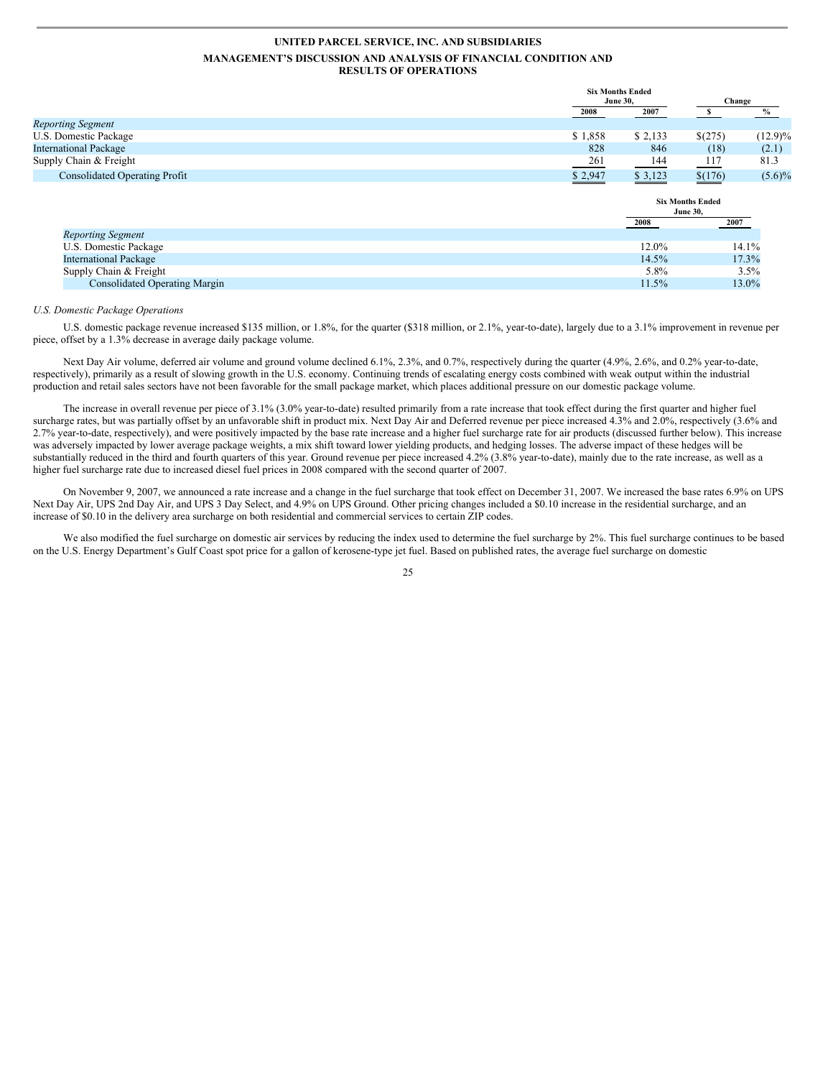|                                      |                 | <b>Six Months Ended</b>                    |                       |            |
|--------------------------------------|-----------------|--------------------------------------------|-----------------------|------------|
|                                      | <b>June 30,</b> |                                            | Change                |            |
|                                      | 2008            | 2007                                       | - \$                  | $\%$       |
| <b>Reporting Segment</b>             |                 |                                            |                       |            |
| U.S. Domestic Package                | \$1,858         | \$2,133                                    | \$(275)               | $(12.9)\%$ |
| <b>International Package</b>         | 828             | 846                                        | (18)                  | (2.1)      |
| Supply Chain & Freight               | 261             | 144                                        | 117                   | 81.3       |
| <b>Consolidated Operating Profit</b> | \$2,947         | \$3,123                                    | $\underline{\$(176)}$ | $(5.6)\%$  |
|                                      |                 | <b>Six Months Ended</b><br><b>June 30,</b> |                       |            |
|                                      |                 |                                            |                       |            |
|                                      |                 | 2008                                       | 2007                  |            |
| <b>Reporting Segment</b>             |                 |                                            |                       |            |
| U.S. Domestic Package                |                 | 12.0%                                      |                       | 14.1%      |
| <b>International Package</b>         |                 | 14.5%                                      |                       | 17.3%      |
| Supply Chain & Freight               |                 | $5.8\%$                                    |                       | 3.5%       |

#### *U.S. Domestic Package Operations*

U.S. domestic package revenue increased \$135 million, or 1.8%, for the quarter (\$318 million, or 2.1%, year-to-date), largely due to a 3.1% improvement in revenue per piece, offset by a 1.3% decrease in average daily package volume.

Next Day Air volume, deferred air volume and ground volume declined 6.1%, 2.3%, and 0.7%, respectively during the quarter (4.9%, 2.6%, and 0.2% year-to-date, respectively), primarily as a result of slowing growth in the U.S. economy. Continuing trends of escalating energy costs combined with weak output within the industrial production and retail sales sectors have not been favorable for the small package market, which places additional pressure on our domestic package volume.

The increase in overall revenue per piece of 3.1% (3.0% year-to-date) resulted primarily from a rate increase that took effect during the first quarter and higher fuel surcharge rates, but was partially offset by an unfavorable shift in product mix. Next Day Air and Deferred revenue per piece increased 4.3% and 2.0%, respectively (3.6% and 2.7% year-to-date, respectively), and were positively impacted by the base rate increase and a higher fuel surcharge rate for air products (discussed further below). This increase was adversely impacted by lower average package weights, a mix shift toward lower yielding products, and hedging losses. The adverse impact of these hedges will be substantially reduced in the third and fourth quarters of this year. Ground revenue per piece increased 4.2% (3.8% year-to-date), mainly due to the rate increase, as well as a higher fuel surcharge rate due to increased diesel fuel prices in 2008 compared with the second quarter of 2007.

On November 9, 2007, we announced a rate increase and a change in the fuel surcharge that took effect on December 31, 2007. We increased the base rates 6.9% on UPS Next Day Air, UPS 2nd Day Air, and UPS 3 Day Select, and 4.9% on UPS Ground. Other pricing changes included a \$0.10 increase in the residential surcharge, and an increase of \$0.10 in the delivery area surcharge on both residential and commercial services to certain ZIP codes.

We also modified the fuel surcharge on domestic air services by reducing the index used to determine the fuel surcharge by 2%. This fuel surcharge continues to be based on the U.S. Energy Department's Gulf Coast spot price for a gallon of kerosene-type jet fuel. Based on published rates, the average fuel surcharge on domestic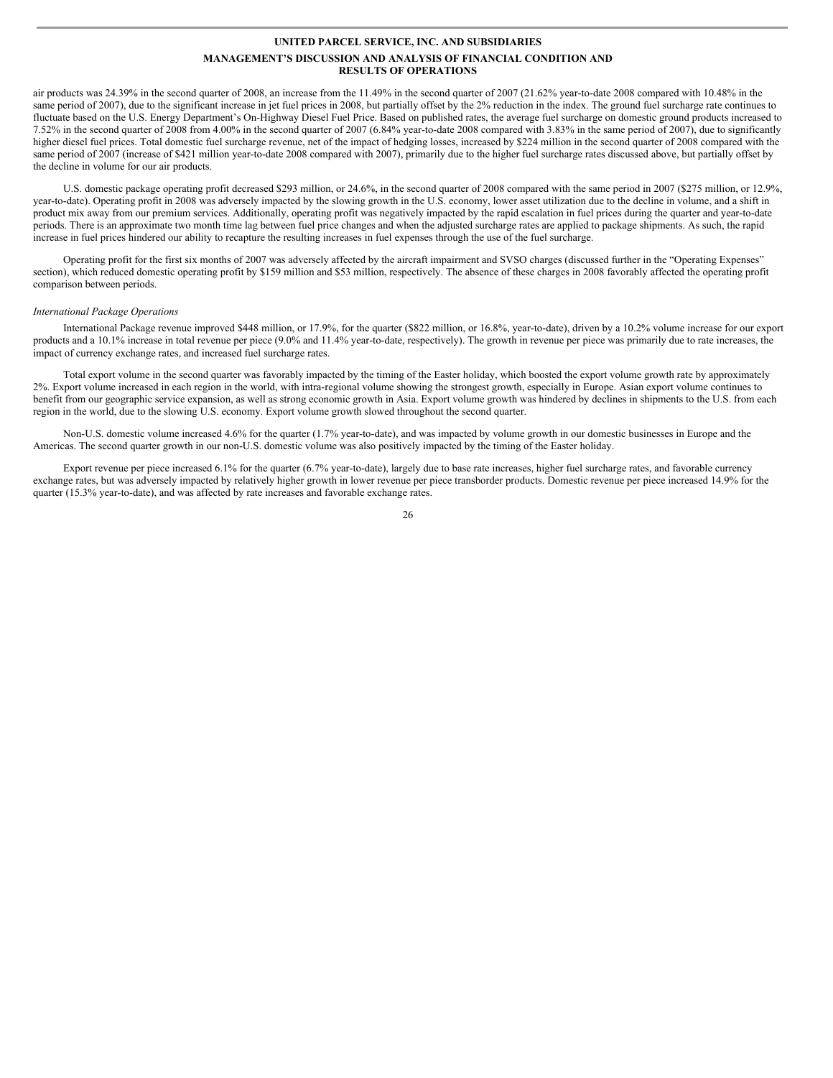air products was 24.39% in the second quarter of 2008, an increase from the 11.49% in the second quarter of 2007 (21.62% year-to-date 2008 compared with 10.48% in the same period of 2007), due to the significant increase in jet fuel prices in 2008, but partially offset by the 2% reduction in the index. The ground fuel surcharge rate continues to fluctuate based on the U.S. Energy Department's On-Highway Diesel Fuel Price. Based on published rates, the average fuel surcharge on domestic ground products increased to 7.52% in the second quarter of 2008 from 4.00% in the second quarter of 2007 (6.84% year-to-date 2008 compared with 3.83% in the same period of 2007), due to significantly higher diesel fuel prices. Total domestic fuel surcharge revenue, net of the impact of hedging losses, increased by \$224 million in the second quarter of 2008 compared with the same period of 2007 (increase of \$421 million year-to-date 2008 compared with 2007), primarily due to the higher fuel surcharge rates discussed above, but partially offset by the decline in volume for our air products.

U.S. domestic package operating profit decreased \$293 million, or 24.6%, in the second quarter of 2008 compared with the same period in 2007 (\$275 million, or 12.9%, year-to-date). Operating profit in 2008 was adversely impacted by the slowing growth in the U.S. economy, lower asset utilization due to the decline in volume, and a shift in product mix away from our premium services. Additionally, operating profit was negatively impacted by the rapid escalation in fuel prices during the quarter and year-to-date periods. There is an approximate two month time lag between fuel price changes and when the adjusted surcharge rates are applied to package shipments. As such, the rapid increase in fuel prices hindered our ability to recapture the resulting increases in fuel expenses through the use of the fuel surcharge.

Operating profit for the first six months of 2007 was adversely affected by the aircraft impairment and SVSO charges (discussed further in the "Operating Expenses" section), which reduced domestic operating profit by \$159 million and \$53 million, respectively. The absence of these charges in 2008 favorably affected the operating profit comparison between periods.

#### *International Package Operations*

International Package revenue improved \$448 million, or 17.9%, for the quarter (\$822 million, or 16.8%, year-to-date), driven by a 10.2% volume increase for our export products and a 10.1% increase in total revenue per piece (9.0% and 11.4% year-to-date, respectively). The growth in revenue per piece was primarily due to rate increases, the impact of currency exchange rates, and increased fuel surcharge rates.

Total export volume in the second quarter was favorably impacted by the timing of the Easter holiday, which boosted the export volume growth rate by approximately 2%. Export volume increased in each region in the world, with intra-regional volume showing the strongest growth, especially in Europe. Asian export volume continues to benefit from our geographic service expansion, as well as strong economic growth in Asia. Export volume growth was hindered by declines in shipments to the U.S. from each region in the world, due to the slowing U.S. economy. Export volume growth slowed throughout the second quarter.

Non-U.S. domestic volume increased 4.6% for the quarter (1.7% year-to-date), and was impacted by volume growth in our domestic businesses in Europe and the Americas. The second quarter growth in our non-U.S. domestic volume was also positively impacted by the timing of the Easter holiday.

Export revenue per piece increased 6.1% for the quarter (6.7% year-to-date), largely due to base rate increases, higher fuel surcharge rates, and favorable currency exchange rates, but was adversely impacted by relatively higher growth in lower revenue per piece transborder products. Domestic revenue per piece increased 14.9% for the quarter (15.3% year-to-date), and was affected by rate increases and favorable exchange rates.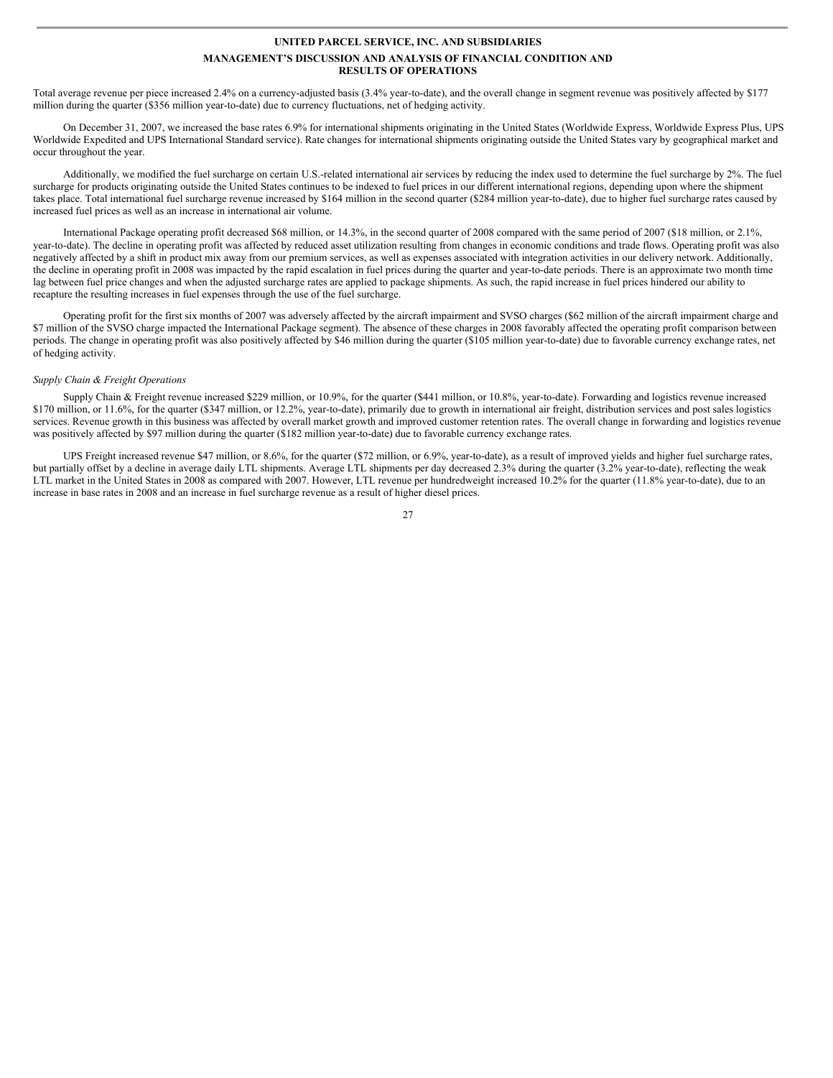Total average revenue per piece increased 2.4% on a currency-adjusted basis (3.4% year-to-date), and the overall change in segment revenue was positively affected by \$177 million during the quarter (\$356 million year-to-date) due to currency fluctuations, net of hedging activity.

On December 31, 2007, we increased the base rates 6.9% for international shipments originating in the United States (Worldwide Express, Worldwide Express Plus, UPS Worldwide Expedited and UPS International Standard service). Rate changes for international shipments originating outside the United States vary by geographical market and occur throughout the year.

Additionally, we modified the fuel surcharge on certain U.S.-related international air services by reducing the index used to determine the fuel surcharge by 2%. The fuel surcharge for products originating outside the United States continues to be indexed to fuel prices in our different international regions, depending upon where the shipment takes place. Total international fuel surcharge revenue increased by \$164 million in the second quarter (\$284 million year-to-date), due to higher fuel surcharge rates caused by increased fuel prices as well as an increase in international air volume.

International Package operating profit decreased \$68 million, or 14.3%, in the second quarter of 2008 compared with the same period of 2007 (\$18 million, or 2.1%, year-to-date). The decline in operating profit was affected by reduced asset utilization resulting from changes in economic conditions and trade flows. Operating profit was also negatively affected by a shift in product mix away from our premium services, as well as expenses associated with integration activities in our delivery network. Additionally, the decline in operating profit in 2008 was impacted by the rapid escalation in fuel prices during the quarter and year-to-date periods. There is an approximate two month time lag between fuel price changes and when the adjusted surcharge rates are applied to package shipments. As such, the rapid increase in fuel prices hindered our ability to recapture the resulting increases in fuel expenses through the use of the fuel surcharge.

Operating profit for the first six months of 2007 was adversely affected by the aircraft impairment and SVSO charges (\$62 million of the aircraft impairment charge and \$7 million of the SVSO charge impacted the International Package segment). The absence of these charges in 2008 favorably affected the operating profit comparison between periods. The change in operating profit was also positively affected by \$46 million during the quarter (\$105 million year-to-date) due to favorable currency exchange rates, net of hedging activity.

#### *Supply Chain & Freight Operations*

Supply Chain & Freight revenue increased \$229 million, or 10.9%, for the quarter (\$441 million, or 10.8%, year-to-date). Forwarding and logistics revenue increased \$170 million, or 11.6%, for the quarter (\$347 million, or 12.2%, year-to-date), primarily due to growth in international air freight, distribution services and post sales logistics services. Revenue growth in this business was affected by overall market growth and improved customer retention rates. The overall change in forwarding and logistics revenue was positively affected by \$97 million during the quarter (\$182 million year-to-date) due to favorable currency exchange rates.

UPS Freight increased revenue \$47 million, or 8.6%, for the quarter (\$72 million, or 6.9%, year-to-date), as a result of improved yields and higher fuel surcharge rates, but partially offset by a decline in average daily LTL shipments. Average LTL shipments per day decreased 2.3% during the quarter (3.2% year-to-date), reflecting the weak LTL market in the United States in 2008 as compared with 2007. However, LTL revenue per hundredweight increased 10.2% for the quarter (11.8% year-to-date), due to an increase in base rates in 2008 and an increase in fuel surcharge revenue as a result of higher diesel prices.

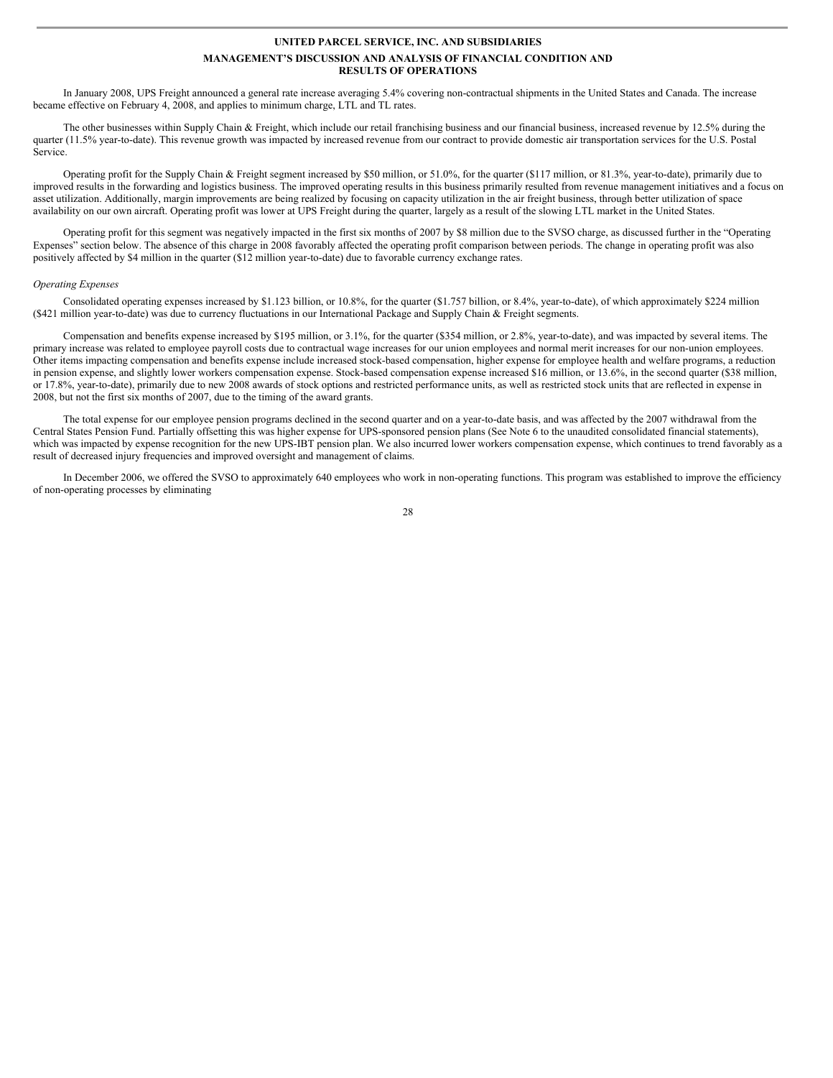In January 2008, UPS Freight announced a general rate increase averaging 5.4% covering non-contractual shipments in the United States and Canada. The increase became effective on February 4, 2008, and applies to minimum charge, LTL and TL rates.

The other businesses within Supply Chain & Freight, which include our retail franchising business and our financial business, increased revenue by 12.5% during the quarter (11.5% year-to-date). This revenue growth was impacted by increased revenue from our contract to provide domestic air transportation services for the U.S. Postal Service.

Operating profit for the Supply Chain & Freight segment increased by \$50 million, or 51.0%, for the quarter (\$117 million, or 81.3%, year-to-date), primarily due to improved results in the forwarding and logistics business. The improved operating results in this business primarily resulted from revenue management initiatives and a focus on asset utilization. Additionally, margin improvements are being realized by focusing on capacity utilization in the air freight business, through better utilization of space availability on our own aircraft. Operating profit was lower at UPS Freight during the quarter, largely as a result of the slowing LTL market in the United States.

Operating profit for this segment was negatively impacted in the first six months of 2007 by \$8 million due to the SVSO charge, as discussed further in the "Operating Expenses" section below. The absence of this charge in 2008 favorably affected the operating profit comparison between periods. The change in operating profit was also positively affected by \$4 million in the quarter (\$12 million year-to-date) due to favorable currency exchange rates.

#### *Operating Expenses*

Consolidated operating expenses increased by \$1.123 billion, or 10.8%, for the quarter (\$1.757 billion, or 8.4%, year-to-date), of which approximately \$224 million (\$421 million year-to-date) was due to currency fluctuations in our International Package and Supply Chain & Freight segments.

Compensation and benefits expense increased by \$195 million, or 3.1%, for the quarter (\$354 million, or 2.8%, year-to-date), and was impacted by several items. The primary increase was related to employee payroll costs due to contractual wage increases for our union employees and normal merit increases for our non-union employees. Other items impacting compensation and benefits expense include increased stock-based compensation, higher expense for employee health and welfare programs, a reduction in pension expense, and slightly lower workers compensation expense. Stock-based compensation expense increased \$16 million, or 13.6%, in the second quarter (\$38 million, or 17.8%, year-to-date), primarily due to new 2008 awards of stock options and restricted performance units, as well as restricted stock units that are reflected in expense in 2008, but not the first six months of 2007, due to the timing of the award grants.

The total expense for our employee pension programs declined in the second quarter and on a year-to-date basis, and was affected by the 2007 withdrawal from the Central States Pension Fund. Partially offsetting this was higher expense for UPS-sponsored pension plans (See Note 6 to the unaudited consolidated financial statements), which was impacted by expense recognition for the new UPS-IBT pension plan. We also incurred lower workers compensation expense, which continues to trend favorably as a result of decreased injury frequencies and improved oversight and management of claims.

In December 2006, we offered the SVSO to approximately 640 employees who work in non-operating functions. This program was established to improve the efficiency of non-operating processes by eliminating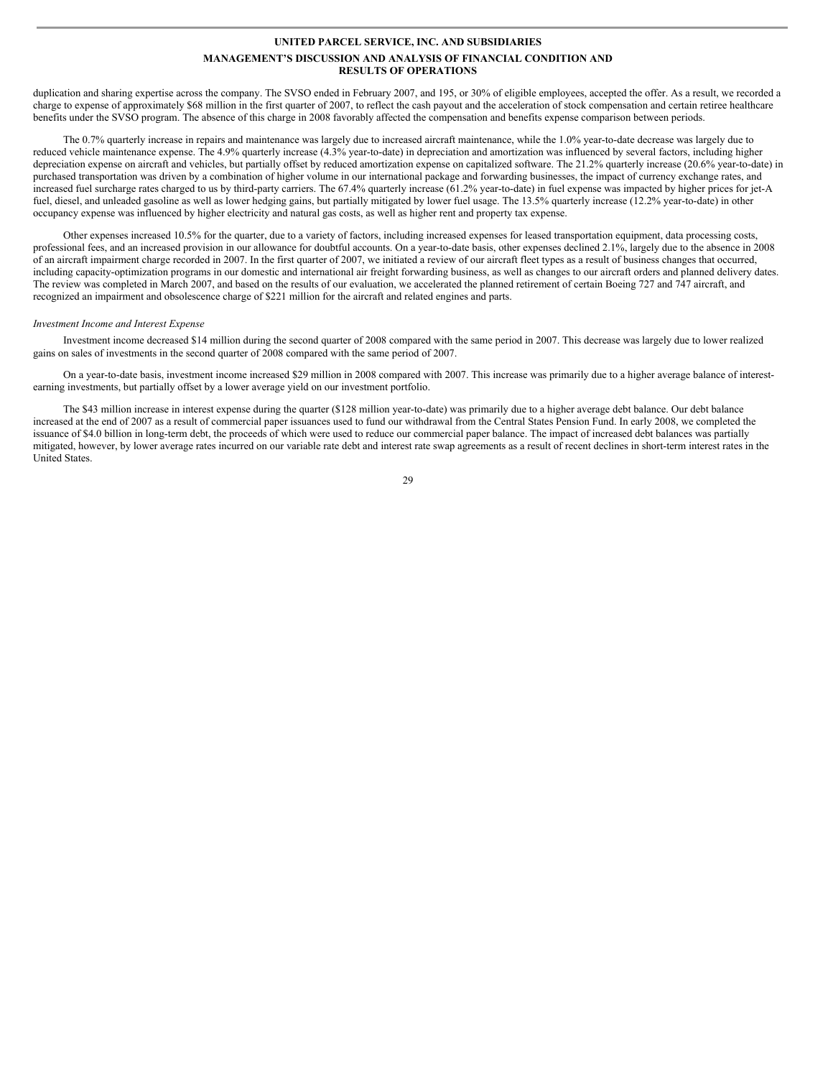duplication and sharing expertise across the company. The SVSO ended in February 2007, and 195, or 30% of eligible employees, accepted the offer. As a result, we recorded a charge to expense of approximately \$68 million in the first quarter of 2007, to reflect the cash payout and the acceleration of stock compensation and certain retiree healthcare benefits under the SVSO program. The absence of this charge in 2008 favorably affected the compensation and benefits expense comparison between periods.

The 0.7% quarterly increase in repairs and maintenance was largely due to increased aircraft maintenance, while the 1.0% year-to-date decrease was largely due to reduced vehicle maintenance expense. The 4.9% quarterly increase (4.3% year-to-date) in depreciation and amortization was influenced by several factors, including higher depreciation expense on aircraft and vehicles, but partially offset by reduced amortization expense on capitalized software. The 21.2% quarterly increase (20.6% year-to-date) in purchased transportation was driven by a combination of higher volume in our international package and forwarding businesses, the impact of currency exchange rates, and increased fuel surcharge rates charged to us by third-party carriers. The 67.4% quarterly increase (61.2% year-to-date) in fuel expense was impacted by higher prices for jet-A fuel, diesel, and unleaded gasoline as well as lower hedging gains, but partially mitigated by lower fuel usage. The 13.5% quarterly increase (12.2% year-to-date) in other occupancy expense was influenced by higher electricity and natural gas costs, as well as higher rent and property tax expense.

Other expenses increased 10.5% for the quarter, due to a variety of factors, including increased expenses for leased transportation equipment, data processing costs, professional fees, and an increased provision in our allowance for doubtful accounts. On a year-to-date basis, other expenses declined 2.1%, largely due to the absence in 2008 of an aircraft impairment charge recorded in 2007. In the first quarter of 2007, we initiated a review of our aircraft fleet types as a result of business changes that occurred, including capacity-optimization programs in our domestic and international air freight forwarding business, as well as changes to our aircraft orders and planned delivery dates. The review was completed in March 2007, and based on the results of our evaluation, we accelerated the planned retirement of certain Boeing 727 and 747 aircraft, and recognized an impairment and obsolescence charge of \$221 million for the aircraft and related engines and parts.

#### *Investment Income and Interest Expense*

Investment income decreased \$14 million during the second quarter of 2008 compared with the same period in 2007. This decrease was largely due to lower realized gains on sales of investments in the second quarter of 2008 compared with the same period of 2007.

On a year-to-date basis, investment income increased \$29 million in 2008 compared with 2007. This increase was primarily due to a higher average balance of interestearning investments, but partially offset by a lower average yield on our investment portfolio.

The \$43 million increase in interest expense during the quarter (\$128 million year-to-date) was primarily due to a higher average debt balance. Our debt balance increased at the end of 2007 as a result of commercial paper issuances used to fund our withdrawal from the Central States Pension Fund. In early 2008, we completed the issuance of \$4.0 billion in long-term debt, the proceeds of which were used to reduce our commercial paper balance. The impact of increased debt balances was partially mitigated, however, by lower average rates incurred on our variable rate debt and interest rate swap agreements as a result of recent declines in short-term interest rates in the United States.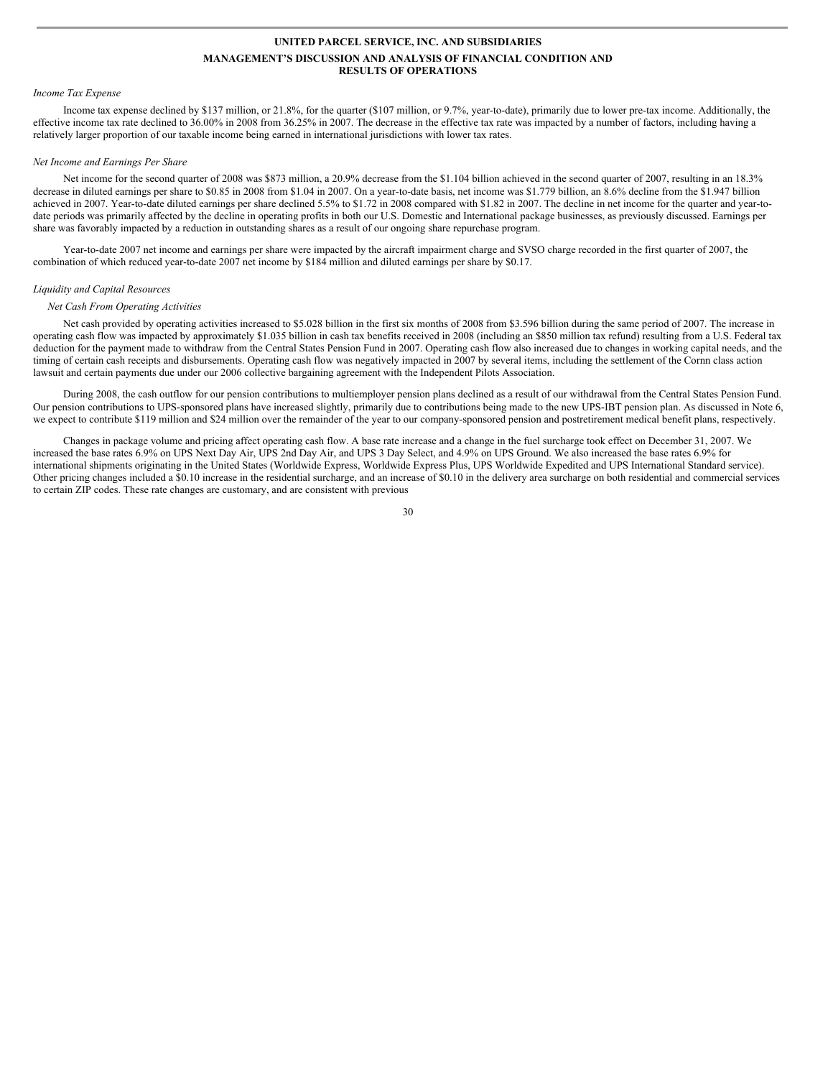#### *Income Tax Expense*

Income tax expense declined by \$137 million, or 21.8%, for the quarter (\$107 million, or 9.7%, year-to-date), primarily due to lower pre-tax income. Additionally, the effective income tax rate declined to 36.00% in 2008 from 36.25% in 2007. The decrease in the effective tax rate was impacted by a number of factors, including having a relatively larger proportion of our taxable income being earned in international jurisdictions with lower tax rates.

#### *Net Income and Earnings Per Share*

Net income for the second quarter of 2008 was \$873 million, a 20.9% decrease from the \$1.104 billion achieved in the second quarter of 2007, resulting in an 18.3% decrease in diluted earnings per share to \$0.85 in 2008 from \$1.04 in 2007. On a year-to-date basis, net income was \$1.779 billion, an 8.6% decline from the \$1.947 billion achieved in 2007. Year-to-date diluted earnings per share declined 5.5% to \$1.72 in 2008 compared with \$1.82 in 2007. The decline in net income for the quarter and year-todate periods was primarily affected by the decline in operating profits in both our U.S. Domestic and International package businesses, as previously discussed. Earnings per share was favorably impacted by a reduction in outstanding shares as a result of our ongoing share repurchase program.

Year-to-date 2007 net income and earnings per share were impacted by the aircraft impairment charge and SVSO charge recorded in the first quarter of 2007, the combination of which reduced year-to-date 2007 net income by \$184 million and diluted earnings per share by \$0.17.

#### *Liquidity and Capital Resources*

### *Net Cash From Operating Activities*

Net cash provided by operating activities increased to \$5.028 billion in the first six months of 2008 from \$3.596 billion during the same period of 2007. The increase in operating cash flow was impacted by approximately \$1.035 billion in cash tax benefits received in 2008 (including an \$850 million tax refund) resulting from a U.S. Federal tax deduction for the payment made to withdraw from the Central States Pension Fund in 2007. Operating cash flow also increased due to changes in working capital needs, and the timing of certain cash receipts and disbursements. Operating cash flow was negatively impacted in 2007 by several items, including the settlement of the Cornn class action lawsuit and certain payments due under our 2006 collective bargaining agreement with the Independent Pilots Association.

During 2008, the cash outflow for our pension contributions to multiemployer pension plans declined as a result of our withdrawal from the Central States Pension Fund. Our pension contributions to UPS-sponsored plans have increased slightly, primarily due to contributions being made to the new UPS-IBT pension plan. As discussed in Note 6, we expect to contribute \$119 million and \$24 million over the remainder of the year to our company-sponsored pension and postretirement medical benefit plans, respectively.

Changes in package volume and pricing affect operating cash flow. A base rate increase and a change in the fuel surcharge took effect on December 31, 2007. We increased the base rates 6.9% on UPS Next Day Air, UPS 2nd Day Air, and UPS 3 Day Select, and 4.9% on UPS Ground. We also increased the base rates 6.9% for international shipments originating in the United States (Worldwide Express, Worldwide Express Plus, UPS Worldwide Expedited and UPS International Standard service). Other pricing changes included a \$0.10 increase in the residential surcharge, and an increase of \$0.10 in the delivery area surcharge on both residential and commercial services to certain ZIP codes. These rate changes are customary, and are consistent with previous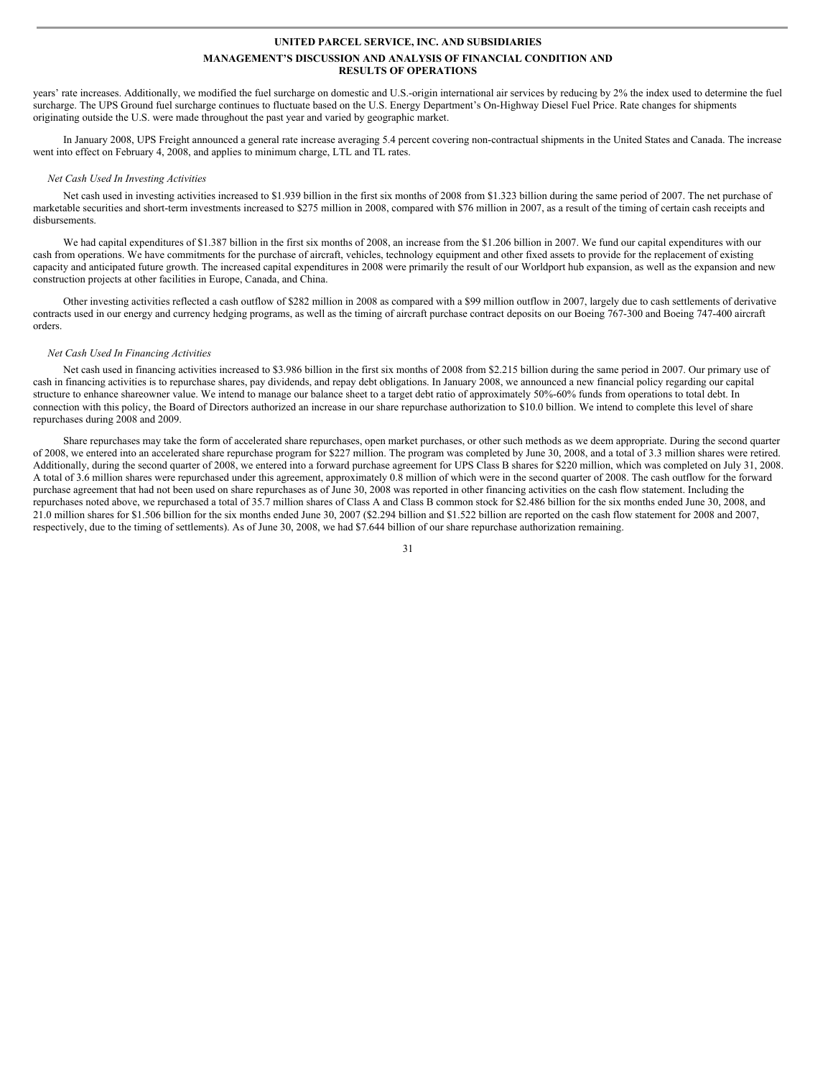years' rate increases. Additionally, we modified the fuel surcharge on domestic and U.S.-origin international air services by reducing by 2% the index used to determine the fuel surcharge. The UPS Ground fuel surcharge continues to fluctuate based on the U.S. Energy Department's On-Highway Diesel Fuel Price. Rate changes for shipments originating outside the U.S. were made throughout the past year and varied by geographic market.

In January 2008, UPS Freight announced a general rate increase averaging 5.4 percent covering non-contractual shipments in the United States and Canada. The increase went into effect on February 4, 2008, and applies to minimum charge, LTL and TL rates.

#### *Net Cash Used In Investing Activities*

Net cash used in investing activities increased to \$1.939 billion in the first six months of 2008 from \$1.323 billion during the same period of 2007. The net purchase of marketable securities and short-term investments increased to \$275 million in 2008, compared with \$76 million in 2007, as a result of the timing of certain cash receipts and disbursements.

We had capital expenditures of \$1.387 billion in the first six months of 2008, an increase from the \$1.206 billion in 2007. We fund our capital expenditures with our cash from operations. We have commitments for the purchase of aircraft, vehicles, technology equipment and other fixed assets to provide for the replacement of existing capacity and anticipated future growth. The increased capital expenditures in 2008 were primarily the result of our Worldport hub expansion, as well as the expansion and new construction projects at other facilities in Europe, Canada, and China.

Other investing activities reflected a cash outflow of \$282 million in 2008 as compared with a \$99 million outflow in 2007, largely due to cash settlements of derivative contracts used in our energy and currency hedging programs, as well as the timing of aircraft purchase contract deposits on our Boeing 767-300 and Boeing 747-400 aircraft orders.

#### *Net Cash Used In Financing Activities*

Net cash used in financing activities increased to \$3.986 billion in the first six months of 2008 from \$2.215 billion during the same period in 2007. Our primary use of cash in financing activities is to repurchase shares, pay dividends, and repay debt obligations. In January 2008, we announced a new financial policy regarding our capital structure to enhance shareowner value. We intend to manage our balance sheet to a target debt ratio of approximately 50%-60% funds from operations to total debt. In connection with this policy, the Board of Directors authorized an increase in our share repurchase authorization to \$10.0 billion. We intend to complete this level of share repurchases during 2008 and 2009.

Share repurchases may take the form of accelerated share repurchases, open market purchases, or other such methods as we deem appropriate. During the second quarter of 2008, we entered into an accelerated share repurchase program for \$227 million. The program was completed by June 30, 2008, and a total of 3.3 million shares were retired. Additionally, during the second quarter of 2008, we entered into a forward purchase agreement for UPS Class B shares for \$220 million, which was completed on July 31, 2008. A total of 3.6 million shares were repurchased under this agreement, approximately 0.8 million of which were in the second quarter of 2008. The cash outflow for the forward purchase agreement that had not been used on share repurchases as of June 30, 2008 was reported in other financing activities on the cash flow statement. Including the repurchases noted above, we repurchased a total of 35.7 million shares of Class A and Class B common stock for \$2.486 billion for the six months ended June 30, 2008, and 21.0 million shares for \$1.506 billion for the six months ended June 30, 2007 (\$2.294 billion and \$1.522 billion are reported on the cash flow statement for 2008 and 2007, respectively, due to the timing of settlements). As of June 30, 2008, we had \$7.644 billion of our share repurchase authorization remaining.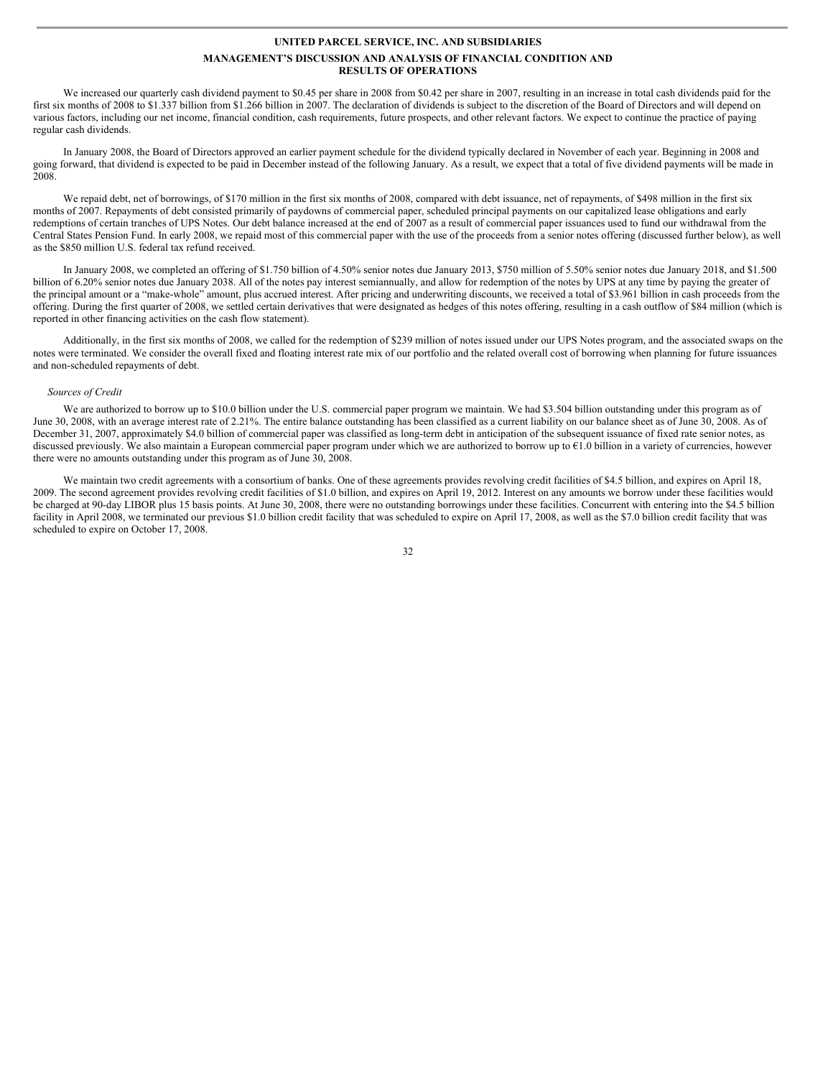We increased our quarterly cash dividend payment to \$0.45 per share in 2008 from \$0.42 per share in 2007, resulting in an increase in total cash dividends paid for the first six months of 2008 to \$1.337 billion from \$1.266 billion in 2007. The declaration of dividends is subject to the discretion of the Board of Directors and will depend on various factors, including our net income, financial condition, cash requirements, future prospects, and other relevant factors. We expect to continue the practice of paying regular cash dividends.

In January 2008, the Board of Directors approved an earlier payment schedule for the dividend typically declared in November of each year. Beginning in 2008 and going forward, that dividend is expected to be paid in December instead of the following January. As a result, we expect that a total of five dividend payments will be made in 2008.

We repaid debt, net of borrowings, of \$170 million in the first six months of 2008, compared with debt issuance, net of repayments, of \$498 million in the first six months of 2007. Repayments of debt consisted primarily of paydowns of commercial paper, scheduled principal payments on our capitalized lease obligations and early redemptions of certain tranches of UPS Notes. Our debt balance increased at the end of 2007 as a result of commercial paper issuances used to fund our withdrawal from the Central States Pension Fund. In early 2008, we repaid most of this commercial paper with the use of the proceeds from a senior notes offering (discussed further below), as well as the \$850 million U.S. federal tax refund received.

In January 2008, we completed an offering of \$1.750 billion of 4.50% senior notes due January 2013, \$750 million of 5.50% senior notes due January 2018, and \$1.500 billion of 6.20% senior notes due January 2038. All of the notes pay interest semiannually, and allow for redemption of the notes by UPS at any time by paying the greater of the principal amount or a "make-whole" amount, plus accrued interest. After pricing and underwriting discounts, we received a total of \$3.961 billion in cash proceeds from the offering. During the first quarter of 2008, we settled certain derivatives that were designated as hedges of this notes offering, resulting in a cash outflow of \$84 million (which is reported in other financing activities on the cash flow statement).

Additionally, in the first six months of 2008, we called for the redemption of \$239 million of notes issued under our UPS Notes program, and the associated swaps on the notes were terminated. We consider the overall fixed and floating interest rate mix of our portfolio and the related overall cost of borrowing when planning for future issuances and non-scheduled repayments of debt.

#### *Sources of Credit*

We are authorized to borrow up to \$10.0 billion under the U.S. commercial paper program we maintain. We had \$3.504 billion outstanding under this program as of June 30, 2008, with an average interest rate of 2.21%. The entire balance outstanding has been classified as a current liability on our balance sheet as of June 30, 2008. As of December 31, 2007, approximately \$4.0 billion of commercial paper was classified as long-term debt in anticipation of the subsequent issuance of fixed rate senior notes, as discussed previously. We also maintain a European commercial paper program under which we are authorized to borrow up to €1.0 billion in a variety of currencies, however there were no amounts outstanding under this program as of June 30, 2008.

We maintain two credit agreements with a consortium of banks. One of these agreements provides revolving credit facilities of \$4.5 billion, and expires on April 18, 2009. The second agreement provides revolving credit facilities of \$1.0 billion, and expires on April 19, 2012. Interest on any amounts we borrow under these facilities would be charged at 90-day LIBOR plus 15 basis points. At June 30, 2008, there were no outstanding borrowings under these facilities. Concurrent with entering into the \$4.5 billion facility in April 2008, we terminated our previous \$1.0 billion credit facility that was scheduled to expire on April 17, 2008, as well as the \$7.0 billion credit facility that was scheduled to expire on October 17, 2008.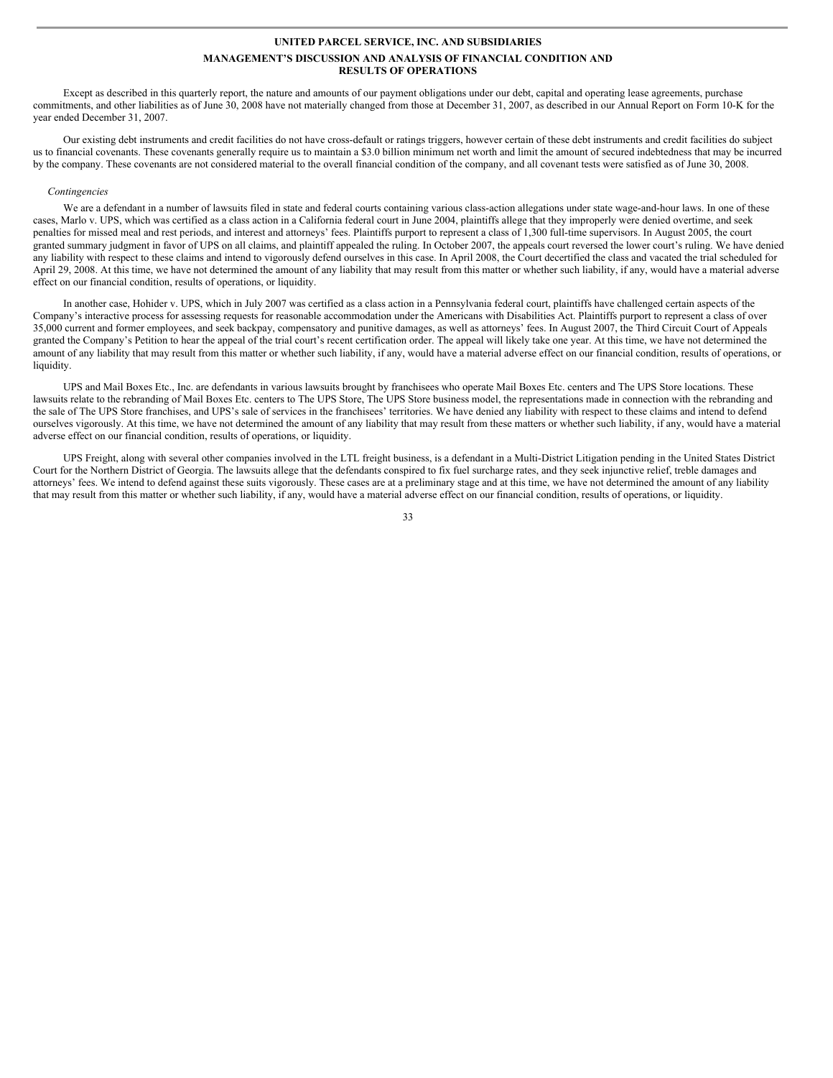Except as described in this quarterly report, the nature and amounts of our payment obligations under our debt, capital and operating lease agreements, purchase commitments, and other liabilities as of June 30, 2008 have not materially changed from those at December 31, 2007, as described in our Annual Report on Form 10-K for the year ended December 31, 2007.

Our existing debt instruments and credit facilities do not have cross-default or ratings triggers, however certain of these debt instruments and credit facilities do subject us to financial covenants. These covenants generally require us to maintain a \$3.0 billion minimum net worth and limit the amount of secured indebtedness that may be incurred by the company. These covenants are not considered material to the overall financial condition of the company, and all covenant tests were satisfied as of June 30, 2008.

#### *Contingencies*

We are a defendant in a number of lawsuits filed in state and federal courts containing various class-action allegations under state wage-and-hour laws. In one of these cases, Marlo v. UPS, which was certified as a class action in a California federal court in June 2004, plaintiffs allege that they improperly were denied overtime, and seek penalties for missed meal and rest periods, and interest and attorneys' fees. Plaintiffs purport to represent a class of 1,300 full-time supervisors. In August 2005, the court granted summary judgment in favor of UPS on all claims, and plaintiff appealed the ruling. In October 2007, the appeals court reversed the lower court's ruling. We have denied any liability with respect to these claims and intend to vigorously defend ourselves in this case. In April 2008, the Court decertified the class and vacated the trial scheduled for April 29, 2008. At this time, we have not determined the amount of any liability that may result from this matter or whether such liability, if any, would have a material adverse effect on our financial condition, results of operations, or liquidity.

In another case, Hohider v. UPS, which in July 2007 was certified as a class action in a Pennsylvania federal court, plaintiffs have challenged certain aspects of the Company's interactive process for assessing requests for reasonable accommodation under the Americans with Disabilities Act. Plaintiffs purport to represent a class of over 35,000 current and former employees, and seek backpay, compensatory and punitive damages, as well as attorneys' fees. In August 2007, the Third Circuit Court of Appeals granted the Company's Petition to hear the appeal of the trial court's recent certification order. The appeal will likely take one year. At this time, we have not determined the amount of any liability that may result from this matter or whether such liability, if any, would have a material adverse effect on our financial condition, results of operations, or liquidity.

UPS and Mail Boxes Etc., Inc. are defendants in various lawsuits brought by franchisees who operate Mail Boxes Etc. centers and The UPS Store locations. These lawsuits relate to the rebranding of Mail Boxes Etc. centers to The UPS Store, The UPS Store business model, the representations made in connection with the rebranding and the sale of The UPS Store franchises, and UPS's sale of services in the franchisees' territories. We have denied any liability with respect to these claims and intend to defend ourselves vigorously. At this time, we have not determined the amount of any liability that may result from these matters or whether such liability, if any, would have a material adverse effect on our financial condition, results of operations, or liquidity.

UPS Freight, along with several other companies involved in the LTL freight business, is a defendant in a Multi-District Litigation pending in the United States District Court for the Northern District of Georgia. The lawsuits allege that the defendants conspired to fix fuel surcharge rates, and they seek injunctive relief, treble damages and attorneys' fees. We intend to defend against these suits vigorously. These cases are at a preliminary stage and at this time, we have not determined the amount of any liability that may result from this matter or whether such liability, if any, would have a material adverse effect on our financial condition, results of operations, or liquidity.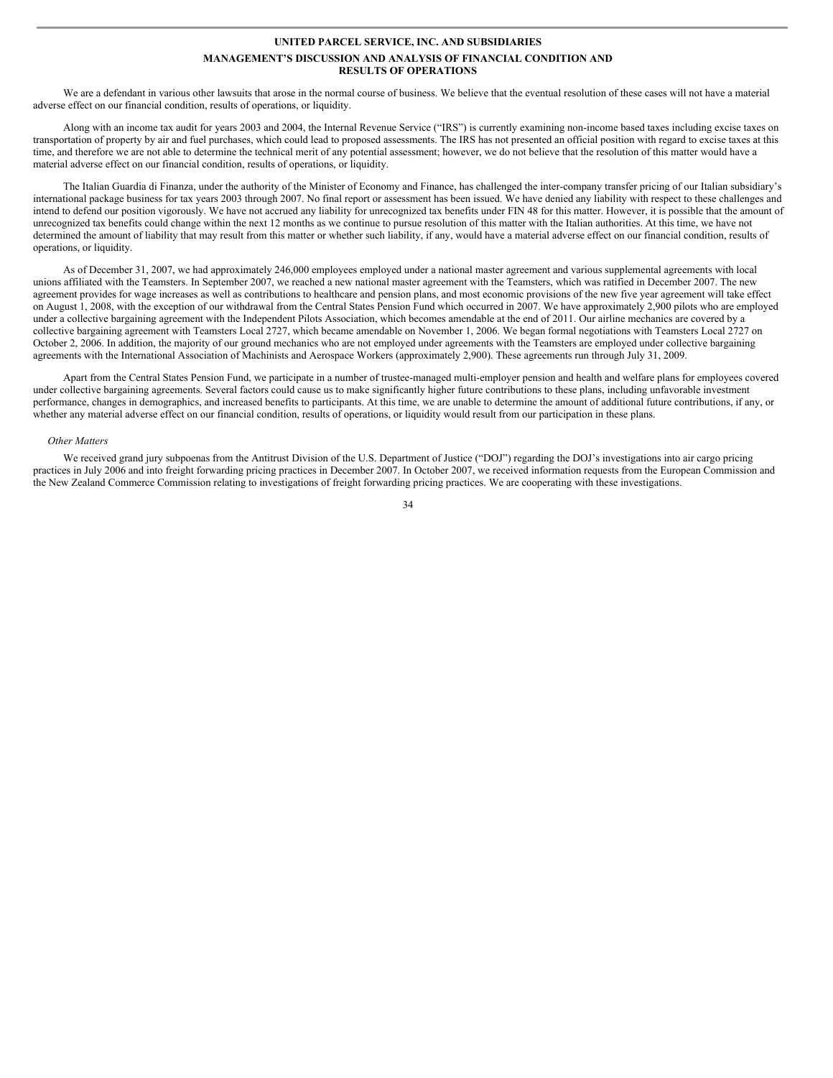We are a defendant in various other lawsuits that arose in the normal course of business. We believe that the eventual resolution of these cases will not have a material adverse effect on our financial condition, results of operations, or liquidity.

Along with an income tax audit for years 2003 and 2004, the Internal Revenue Service ("IRS") is currently examining non-income based taxes including excise taxes on transportation of property by air and fuel purchases, which could lead to proposed assessments. The IRS has not presented an official position with regard to excise taxes at this time, and therefore we are not able to determine the technical merit of any potential assessment; however, we do not believe that the resolution of this matter would have a material adverse effect on our financial condition, results of operations, or liquidity.

The Italian Guardia di Finanza, under the authority of the Minister of Economy and Finance, has challenged the inter-company transfer pricing of our Italian subsidiary's international package business for tax years 2003 through 2007. No final report or assessment has been issued. We have denied any liability with respect to these challenges and intend to defend our position vigorously. We have not accrued any liability for unrecognized tax benefits under FIN 48 for this matter. However, it is possible that the amount of unrecognized tax benefits could change within the next 12 months as we continue to pursue resolution of this matter with the Italian authorities. At this time, we have not determined the amount of liability that may result from this matter or whether such liability, if any, would have a material adverse effect on our financial condition, results of operations, or liquidity.

As of December 31, 2007, we had approximately 246,000 employees employed under a national master agreement and various supplemental agreements with local unions affiliated with the Teamsters. In September 2007, we reached a new national master agreement with the Teamsters, which was ratified in December 2007. The new agreement provides for wage increases as well as contributions to healthcare and pension plans, and most economic provisions of the new five year agreement will take effect on August 1, 2008, with the exception of our withdrawal from the Central States Pension Fund which occurred in 2007. We have approximately 2,900 pilots who are employed under a collective bargaining agreement with the Independent Pilots Association, which becomes amendable at the end of 2011. Our airline mechanics are covered by a collective bargaining agreement with Teamsters Local 2727, which became amendable on November 1, 2006. We began formal negotiations with Teamsters Local 2727 on October 2, 2006. In addition, the majority of our ground mechanics who are not employed under agreements with the Teamsters are employed under collective bargaining agreements with the International Association of Machinists and Aerospace Workers (approximately 2,900). These agreements run through July 31, 2009.

Apart from the Central States Pension Fund, we participate in a number of trustee-managed multi-employer pension and health and welfare plans for employees covered under collective bargaining agreements. Several factors could cause us to make significantly higher future contributions to these plans, including unfavorable investment performance, changes in demographics, and increased benefits to participants. At this time, we are unable to determine the amount of additional future contributions, if any, or whether any material adverse effect on our financial condition, results of operations, or liquidity would result from our participation in these plans.

#### *Other Matters*

We received grand jury subpoenas from the Antitrust Division of the U.S. Department of Justice ("DOJ") regarding the DOJ's investigations into air cargo pricing practices in July 2006 and into freight forwarding pricing practices in December 2007. In October 2007, we received information requests from the European Commission and the New Zealand Commerce Commission relating to investigations of freight forwarding pricing practices. We are cooperating with these investigations.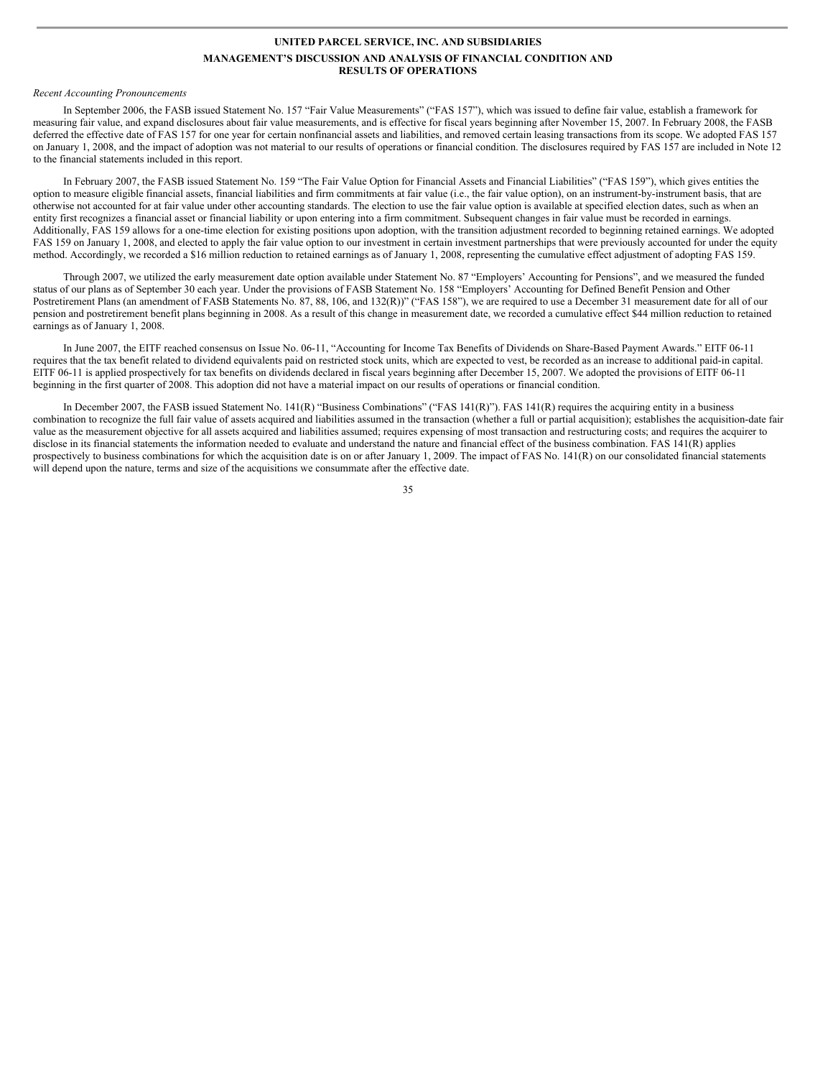#### *Recent Accounting Pronouncements*

In September 2006, the FASB issued Statement No. 157 "Fair Value Measurements" ("FAS 157"), which was issued to define fair value, establish a framework for measuring fair value, and expand disclosures about fair value measurements, and is effective for fiscal years beginning after November 15, 2007. In February 2008, the FASB deferred the effective date of FAS 157 for one year for certain nonfinancial assets and liabilities, and removed certain leasing transactions from its scope. We adopted FAS 157 on January 1, 2008, and the impact of adoption was not material to our results of operations or financial condition. The disclosures required by FAS 157 are included in Note 12 to the financial statements included in this report.

In February 2007, the FASB issued Statement No. 159 "The Fair Value Option for Financial Assets and Financial Liabilities" ("FAS 159"), which gives entities the option to measure eligible financial assets, financial liabilities and firm commitments at fair value (i.e., the fair value option), on an instrument-by-instrument basis, that are otherwise not accounted for at fair value under other accounting standards. The election to use the fair value option is available at specified election dates, such as when an entity first recognizes a financial asset or financial liability or upon entering into a firm commitment. Subsequent changes in fair value must be recorded in earnings. Additionally, FAS 159 allows for a one-time election for existing positions upon adoption, with the transition adjustment recorded to beginning retained earnings. We adopted FAS 159 on January 1, 2008, and elected to apply the fair value option to our investment in certain investment partnerships that were previously accounted for under the equity method. Accordingly, we recorded a \$16 million reduction to retained earnings as of January 1, 2008, representing the cumulative effect adjustment of adopting FAS 159.

Through 2007, we utilized the early measurement date option available under Statement No. 87 "Employers' Accounting for Pensions", and we measured the funded status of our plans as of September 30 each year. Under the provisions of FASB Statement No. 158 "Employers' Accounting for Defined Benefit Pension and Other Postretirement Plans (an amendment of FASB Statements No. 87, 88, 106, and 132(R))" ("FAS 158"), we are required to use a December 31 measurement date for all of our pension and postretirement benefit plans beginning in 2008. As a result of this change in measurement date, we recorded a cumulative effect \$44 million reduction to retained earnings as of January 1, 2008.

In June 2007, the EITF reached consensus on Issue No. 06-11, "Accounting for Income Tax Benefits of Dividends on Share-Based Payment Awards." EITF 06-11 requires that the tax benefit related to dividend equivalents paid on restricted stock units, which are expected to vest, be recorded as an increase to additional paid-in capital. EITF 06-11 is applied prospectively for tax benefits on dividends declared in fiscal years beginning after December 15, 2007. We adopted the provisions of EITF 06-11 beginning in the first quarter of 2008. This adoption did not have a material impact on our results of operations or financial condition.

In December 2007, the FASB issued Statement No. 141(R) "Business Combinations" ("FAS 141(R)"). FAS 141(R) requires the acquiring entity in a business combination to recognize the full fair value of assets acquired and liabilities assumed in the transaction (whether a full or partial acquisition); establishes the acquisition-date fair value as the measurement objective for all assets acquired and liabilities assumed; requires expensing of most transaction and restructuring costs; and requires the acquirer to disclose in its financial statements the information needed to evaluate and understand the nature and financial effect of the business combination. FAS 141(R) applies prospectively to business combinations for which the acquisition date is on or after January 1, 2009. The impact of FAS No. 141(R) on our consolidated financial statements will depend upon the nature, terms and size of the acquisitions we consummate after the effective date.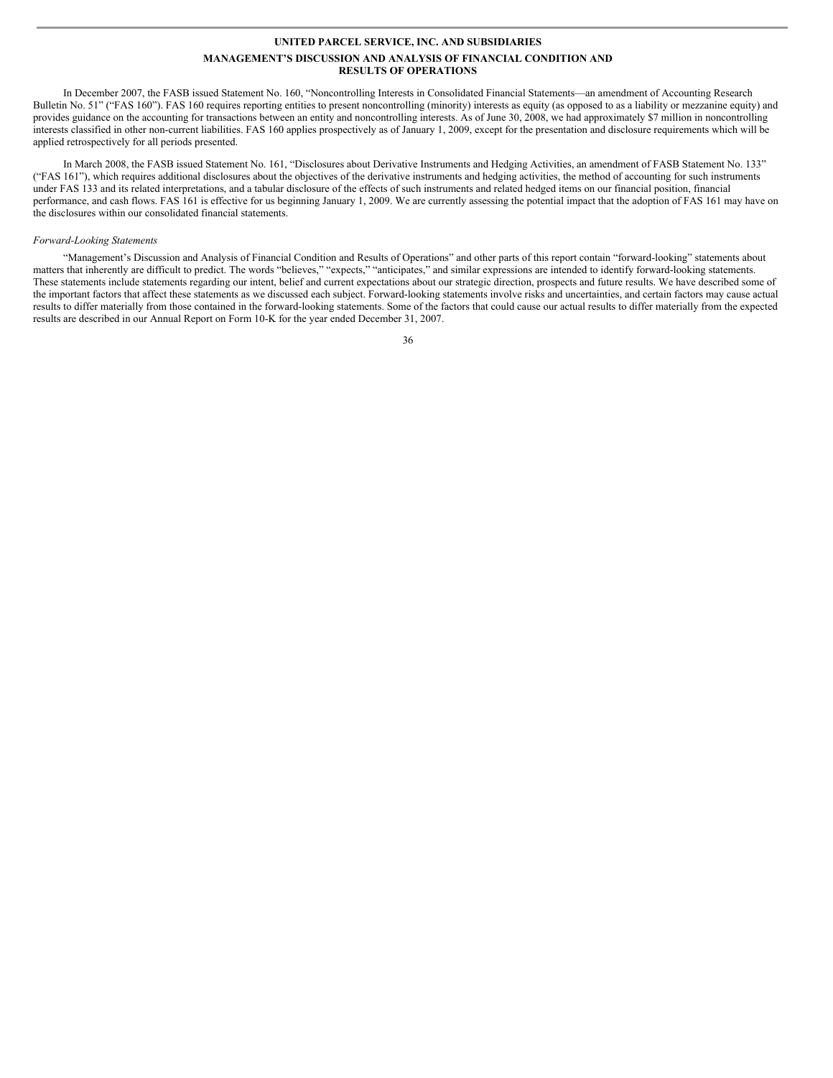In December 2007, the FASB issued Statement No. 160, "Noncontrolling Interests in Consolidated Financial Statements—an amendment of Accounting Research Bulletin No. 51" ("FAS 160"). FAS 160 requires reporting entities to present noncontrolling (minority) interests as equity (as opposed to as a liability or mezzanine equity) and provides guidance on the accounting for transactions between an entity and noncontrolling interests. As of June 30, 2008, we had approximately \$7 million in noncontrolling interests classified in other non-current liabilities. FAS 160 applies prospectively as of January 1, 2009, except for the presentation and disclosure requirements which will be applied retrospectively for all periods presented.

In March 2008, the FASB issued Statement No. 161, "Disclosures about Derivative Instruments and Hedging Activities, an amendment of FASB Statement No. 133" ("FAS 161"), which requires additional disclosures about the objectives of the derivative instruments and hedging activities, the method of accounting for such instruments under FAS 133 and its related interpretations, and a tabular disclosure of the effects of such instruments and related hedged items on our financial position, financial performance, and cash flows. FAS 161 is effective for us beginning January 1, 2009. We are currently assessing the potential impact that the adoption of FAS 161 may have on the disclosures within our consolidated financial statements.

#### *Forward-Looking Statements*

"Management's Discussion and Analysis of Financial Condition and Results of Operations" and other parts of this report contain "forward-looking" statements about matters that inherently are difficult to predict. The words "believes," "expects," "anticipates," and similar expressions are intended to identify forward-looking statements. These statements include statements regarding our intent, belief and current expectations about our strategic direction, prospects and future results. We have described some of the important factors that affect these statements as we discussed each subject. Forward-looking statements involve risks and uncertainties, and certain factors may cause actual results to differ materially from those contained in the forward-looking statements. Some of the factors that could cause our actual results to differ materially from the expected results are described in our Annual Report on Form 10-K for the year ended December 31, 2007.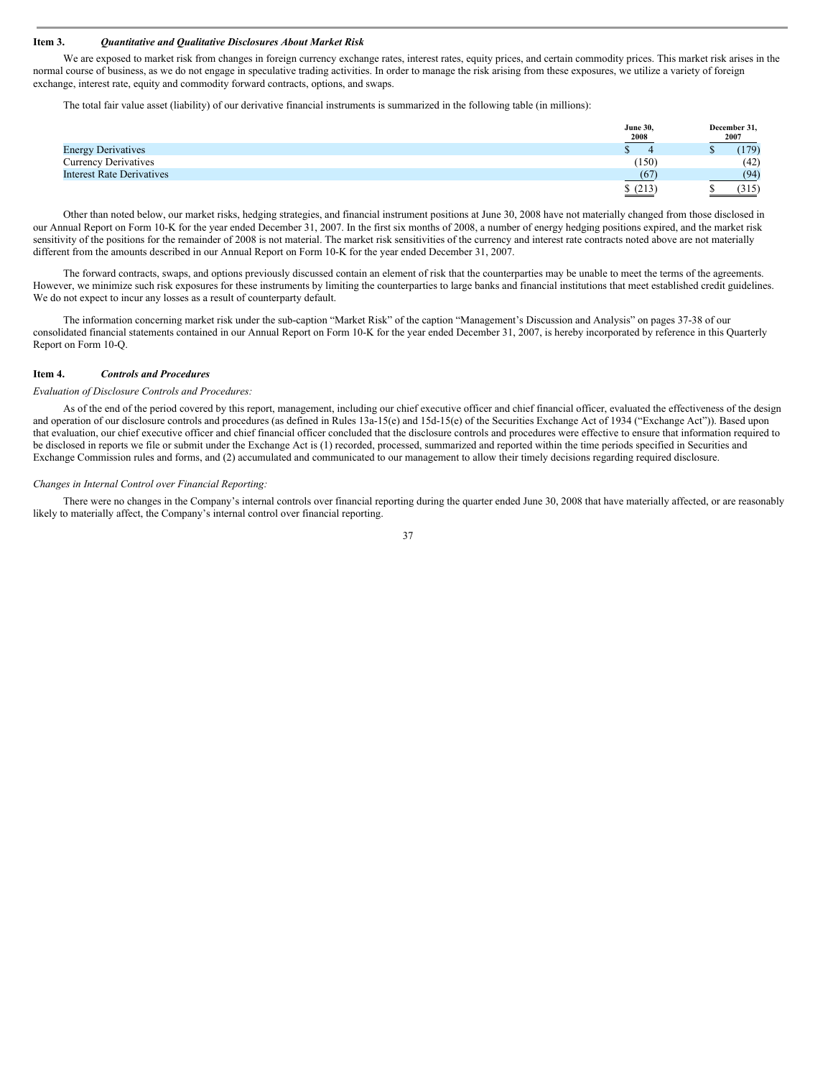#### **Item 3.** *Quantitative and Qualitative Disclosures About Market Risk*

We are exposed to market risk from changes in foreign currency exchange rates, interest rates, equity prices, and certain commodity prices. This market risk arises in the normal course of business, as we do not engage in speculative trading activities. In order to manage the risk arising from these exposures, we utilize a variety of foreign exchange, interest rate, equity and commodity forward contracts, options, and swaps.

The total fair value asset (liability) of our derivative financial instruments is summarized in the following table (in millions):

|                                  | <b>June 30,</b> | December 31, |
|----------------------------------|-----------------|--------------|
|                                  | 2008            | 2007         |
| <b>Energy Derivatives</b>        |                 | (179)        |
| Currency Derivatives             | (150)           | (42)         |
| <b>Interest Rate Derivatives</b> | (67)            | (94)         |
|                                  | \$(213)         | (315)        |

Other than noted below, our market risks, hedging strategies, and financial instrument positions at June 30, 2008 have not materially changed from those disclosed in our Annual Report on Form 10-K for the year ended December 31, 2007. In the first six months of 2008, a number of energy hedging positions expired, and the market risk sensitivity of the positions for the remainder of 2008 is not material. The market risk sensitivities of the currency and interest rate contracts noted above are not materially different from the amounts described in our Annual Report on Form 10-K for the year ended December 31, 2007.

The forward contracts, swaps, and options previously discussed contain an element of risk that the counterparties may be unable to meet the terms of the agreements. However, we minimize such risk exposures for these instruments by limiting the counterparties to large banks and financial institutions that meet established credit guidelines. We do not expect to incur any losses as a result of counterparty default.

The information concerning market risk under the sub-caption "Market Risk" of the caption "Management's Discussion and Analysis" on pages 37-38 of our consolidated financial statements contained in our Annual Report on Form 10-K for the year ended December 31, 2007, is hereby incorporated by reference in this Quarterly Report on Form 10-Q.

#### **Item 4.** *Controls and Procedures*

#### *Evaluation of Disclosure Controls and Procedures:*

As of the end of the period covered by this report, management, including our chief executive officer and chief financial officer, evaluated the effectiveness of the design and operation of our disclosure controls and procedures (as defined in Rules 13a-15(e) and 15d-15(e) of the Securities Exchange Act of 1934 ("Exchange Act")). Based upon that evaluation, our chief executive officer and chief financial officer concluded that the disclosure controls and procedures were effective to ensure that information required to be disclosed in reports we file or submit under the Exchange Act is (1) recorded, processed, summarized and reported within the time periods specified in Securities and Exchange Commission rules and forms, and (2) accumulated and communicated to our management to allow their timely decisions regarding required disclosure.

#### *Changes in Internal Control over Financial Reporting:*

There were no changes in the Company's internal controls over financial reporting during the quarter ended June 30, 2008 that have materially affected, or are reasonably likely to materially affect, the Company's internal control over financial reporting.

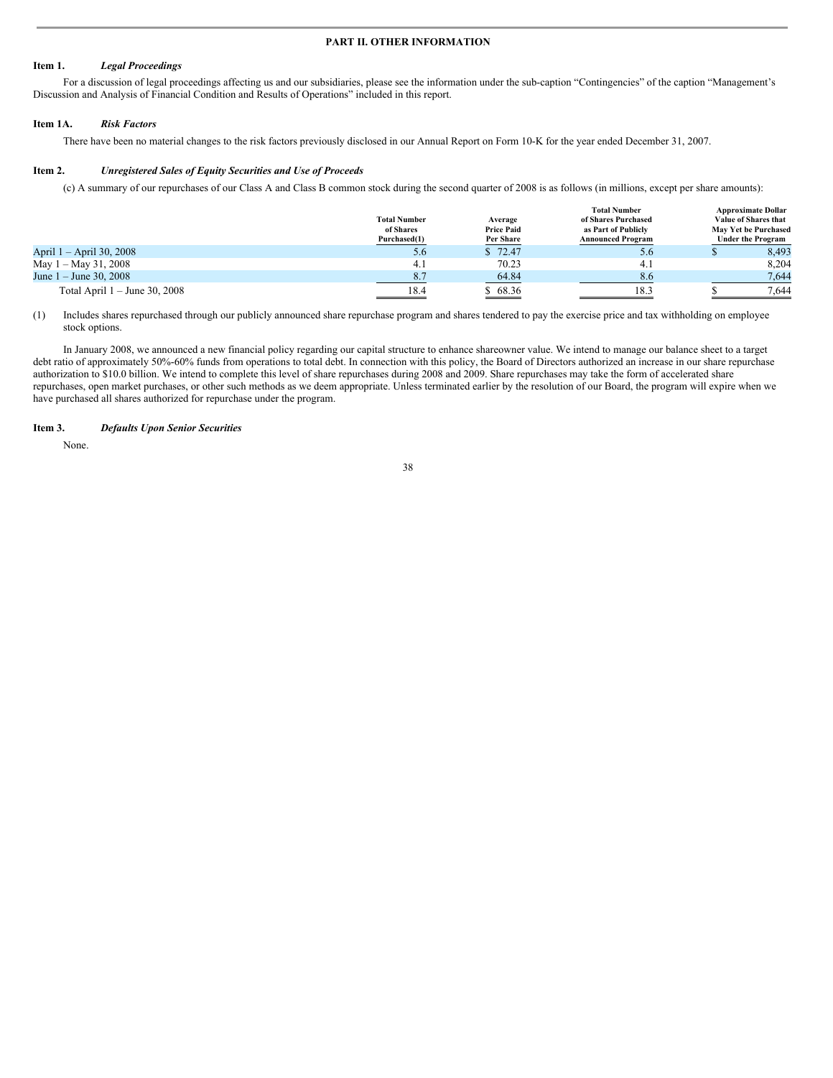### **PART II. OTHER INFORMATION**

### **Item 1.** *Legal Proceedings*

For a discussion of legal proceedings affecting us and our subsidiaries, please see the information under the sub-caption "Contingencies" of the caption "Management's Discussion and Analysis of Financial Condition and Results of Operations" included in this report.

#### **Item 1A.** *Risk Factors*

There have been no material changes to the risk factors previously disclosed in our Annual Report on Form 10-K for the year ended December 31, 2007.

#### **Item 2.** *Unregistered Sales of Equity Securities and Use of Proceeds*

(c) A summary of our repurchases of our Class A and Class B common stock during the second quarter of 2008 is as follows (in millions, except per share amounts):

|                                 | <b>Total Number</b><br>of Shares<br>Purchased(1) | Average<br><b>Price Paid</b><br>Per Share | <b>Total Number</b><br>of Shares Purchased<br>as Part of Publicly<br><b>Announced Program</b> | <b>Approximate Dollar</b><br>Value of Shares that<br>May Yet be Purchased<br><b>Under the Program</b> |  |
|---------------------------------|--------------------------------------------------|-------------------------------------------|-----------------------------------------------------------------------------------------------|-------------------------------------------------------------------------------------------------------|--|
| April 1 – April 30, 2008        | 5.6                                              | \$72.47                                   | 5.6                                                                                           | 8,493                                                                                                 |  |
| May 1 – May 31, 2008            | 4.1                                              | 70.23                                     | 4.1                                                                                           | 8.204                                                                                                 |  |
| June $1 -$ June 30, 2008        | 8.7                                              | 64.84<br>$\sim$                           | 8.6                                                                                           | 7,644                                                                                                 |  |
| Total April $1 -$ June 30, 2008 | 18.4                                             | \$68.36                                   | 18.3                                                                                          | 7.644                                                                                                 |  |

(1) Includes shares repurchased through our publicly announced share repurchase program and shares tendered to pay the exercise price and tax withholding on employee stock options.

In January 2008, we announced a new financial policy regarding our capital structure to enhance shareowner value. We intend to manage our balance sheet to a target debt ratio of approximately 50%-60% funds from operations to total debt. In connection with this policy, the Board of Directors authorized an increase in our share repurchase authorization to \$10.0 billion. We intend to complete this level of share repurchases during 2008 and 2009. Share repurchases may take the form of accelerated share repurchases, open market purchases, or other such methods as we deem appropriate. Unless terminated earlier by the resolution of our Board, the program will expire when we have purchased all shares authorized for repurchase under the program.

### **Item 3.** *Defaults Upon Senior Securities*

None.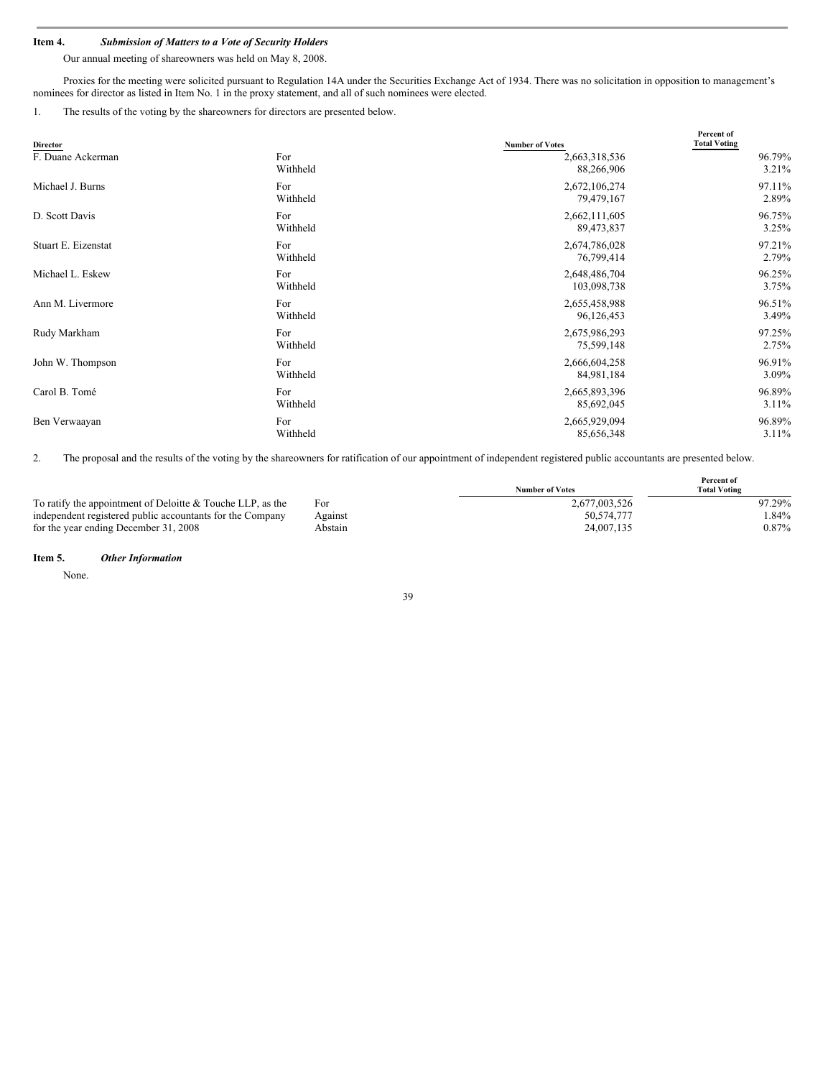# **Item 4.** *Submission of Matters to a Vote of Security Holders*

Our annual meeting of shareowners was held on May 8, 2008.

Proxies for the meeting were solicited pursuant to Regulation 14A under the Securities Exchange Act of 1934. There was no solicitation in opposition to management's nominees for director as listed in Item No. 1 in the proxy statement, and all of such nominees were elected.

1. The results of the voting by the shareowners for directors are presented below.

| <b>Director</b>     |          | <b>Number of Votes</b> | Percent of<br><b>Total Voting</b> |
|---------------------|----------|------------------------|-----------------------------------|
| F. Duane Ackerman   | For      | 2,663,318,536          | 96.79%                            |
|                     | Withheld | 88,266,906             | $3.21\%$                          |
| Michael J. Burns    | For      | 2,672,106,274          | 97.11%                            |
|                     | Withheld | 79,479,167             | 2.89%                             |
| D. Scott Davis      | For      | 2,662,111,605          | 96.75%                            |
|                     | Withheld | 89,473,837             | 3.25%                             |
| Stuart E. Eizenstat | For      | 2,674,786,028          | 97.21%                            |
|                     | Withheld | 76,799,414             | 2.79%                             |
| Michael L. Eskew    | For      | 2,648,486,704          | 96.25%                            |
|                     | Withheld | 103,098,738            | 3.75%                             |
| Ann M. Livermore    | For      | 2,655,458,988          | 96.51%                            |
|                     | Withheld | 96,126,453             | 3.49%                             |
| Rudy Markham        | For      | 2,675,986,293          | 97.25%                            |
|                     | Withheld | 75,599,148             | 2.75%                             |
| John W. Thompson    | For      | 2,666,604,258          | 96.91%                            |
|                     | Withheld | 84,981,184             | 3.09%                             |
| Carol B. Tomé       | For      | 2,665,893,396          | 96.89%                            |
|                     | Withheld | 85,692,045             | 3.11%                             |
| Ben Verwaayan       | For      | 2,665,929,094          | 96.89%                            |
|                     | Withheld | 85,656,348             | $3.11\%$                          |

2. The proposal and the results of the voting by the shareowners for ratification of our appointment of independent registered public accountants are presented below.

|                                                            |         |                        | Percent of          |
|------------------------------------------------------------|---------|------------------------|---------------------|
|                                                            |         | <b>Number of Votes</b> | <b>Total Voting</b> |
| To ratify the appointment of Deloitte & Touche LLP, as the | For     | 2,677,003,526          | 97.29%              |
| independent registered public accountants for the Company  | Against | 50.574.777             | l.84%               |
| for the year ending December 31, 2008                      | Abstain | 24,007,135             | $0.87\%$            |

**Item 5.** *Other Information*

None.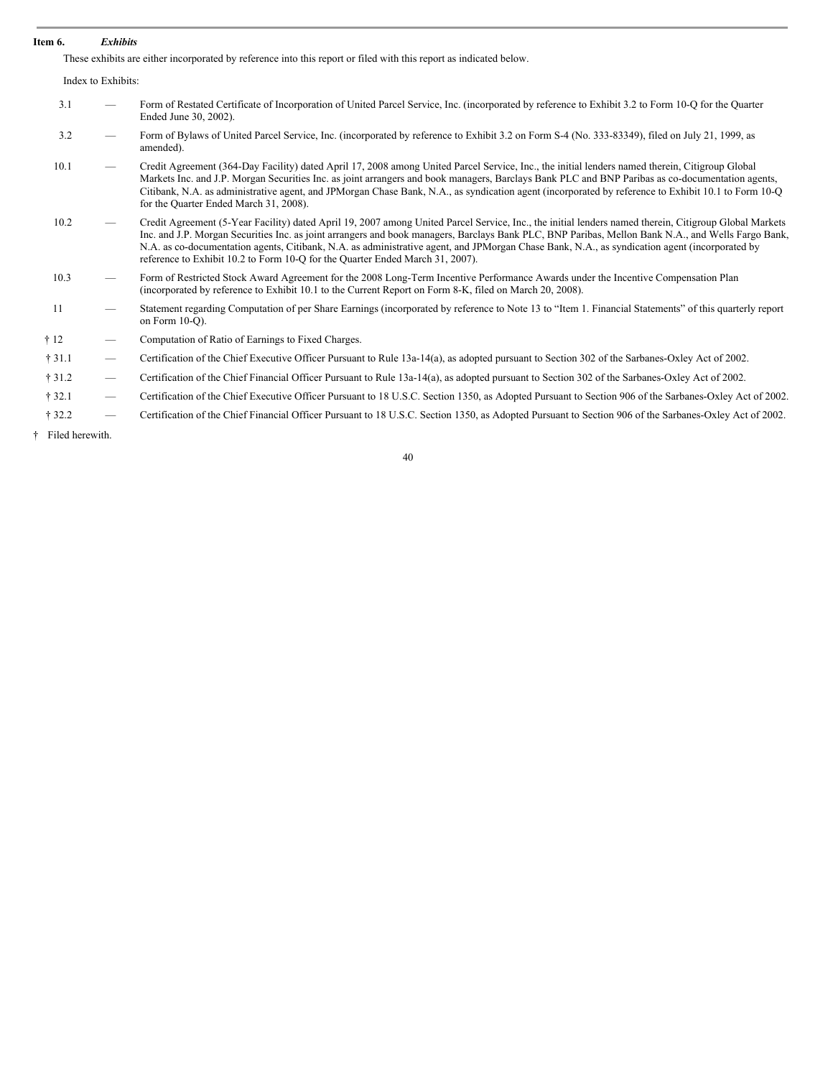### **Item 6.** *Exhibits*

These exhibits are either incorporated by reference into this report or filed with this report as indicated below.

|              | Index to Exhibits:              |                                                                                                                                                                                                                                                                                                                                                                                                                                                                                                                                                |
|--------------|---------------------------------|------------------------------------------------------------------------------------------------------------------------------------------------------------------------------------------------------------------------------------------------------------------------------------------------------------------------------------------------------------------------------------------------------------------------------------------------------------------------------------------------------------------------------------------------|
| 3.1          |                                 | Form of Restated Certificate of Incorporation of United Parcel Service, Inc. (incorporated by reference to Exhibit 3.2 to Form 10-Q for the Quarter<br>Ended June 30, 2002).                                                                                                                                                                                                                                                                                                                                                                   |
| 3.2          | $\overbrace{\phantom{13333}}$   | Form of Bylaws of United Parcel Service, Inc. (incorporated by reference to Exhibit 3.2 on Form S-4 (No. 333-83349), filed on July 21, 1999, as<br>amended).                                                                                                                                                                                                                                                                                                                                                                                   |
| 10.1         | $\overbrace{\phantom{13333}}$   | Credit Agreement (364-Day Facility) dated April 17, 2008 among United Parcel Service, Inc., the initial lenders named therein, Citigroup Global<br>Markets Inc. and J.P. Morgan Securities Inc. as joint arrangers and book managers, Barclays Bank PLC and BNP Paribas as co-documentation agents,<br>Citibank, N.A. as administrative agent, and JPMorgan Chase Bank, N.A., as syndication agent (incorporated by reference to Exhibit 10.1 to Form 10-Q<br>for the Quarter Ended March 31, 2008).                                           |
| 10.2         | $\overbrace{\phantom{12333}}$   | Credit Agreement (5-Year Facility) dated April 19, 2007 among United Parcel Service, Inc., the initial lenders named therein, Citigroup Global Markets<br>Inc. and J.P. Morgan Securities Inc. as joint arrangers and book managers, Barclays Bank PLC, BNP Paribas, Mellon Bank N.A., and Wells Fargo Bank,<br>N.A. as co-documentation agents, Citibank, N.A. as administrative agent, and JPMorgan Chase Bank, N.A., as syndication agent (incorporated by<br>reference to Exhibit 10.2 to Form 10-O for the Quarter Ended March 31, 2007). |
| 10.3         | $\overbrace{\phantom{13333}}$   | Form of Restricted Stock Award Agreement for the 2008 Long-Term Incentive Performance Awards under the Incentive Compensation Plan<br>(incorporated by reference to Exhibit 10.1 to the Current Report on Form 8-K, filed on March 20, 2008).                                                                                                                                                                                                                                                                                                  |
| 11           |                                 | Statement regarding Computation of per Share Earnings (incorporated by reference to Note 13 to "Item 1. Financial Statements" of this quarterly report<br>on Form $10-O$ ).                                                                                                                                                                                                                                                                                                                                                                    |
| $\dagger$ 12 |                                 | Computation of Ratio of Earnings to Fixed Charges.                                                                                                                                                                                                                                                                                                                                                                                                                                                                                             |
| †31.1        |                                 | Certification of the Chief Executive Officer Pursuant to Rule 13a-14(a), as adopted pursuant to Section 302 of the Sarbanes-Oxley Act of 2002.                                                                                                                                                                                                                                                                                                                                                                                                 |
| † 31.2       | $\hspace{0.1mm}-\hspace{0.1mm}$ | Certification of the Chief Financial Officer Pursuant to Rule 13a-14(a), as adopted pursuant to Section 302 of the Sarbanes-Oxley Act of 2002.                                                                                                                                                                                                                                                                                                                                                                                                 |
| † 32.1       | $\overbrace{\phantom{12333}}$   | Certification of the Chief Executive Officer Pursuant to 18 U.S.C. Section 1350, as Adopted Pursuant to Section 906 of the Sarbanes-Oxley Act of 2002.                                                                                                                                                                                                                                                                                                                                                                                         |
| † 32.2       | $\overbrace{\phantom{12333}}$   | Certification of the Chief Financial Officer Pursuant to 18 U.S.C. Section 1350, as Adopted Pursuant to Section 906 of the Sarbanes-Oxley Act of 2002.                                                                                                                                                                                                                                                                                                                                                                                         |

† Filed herewith.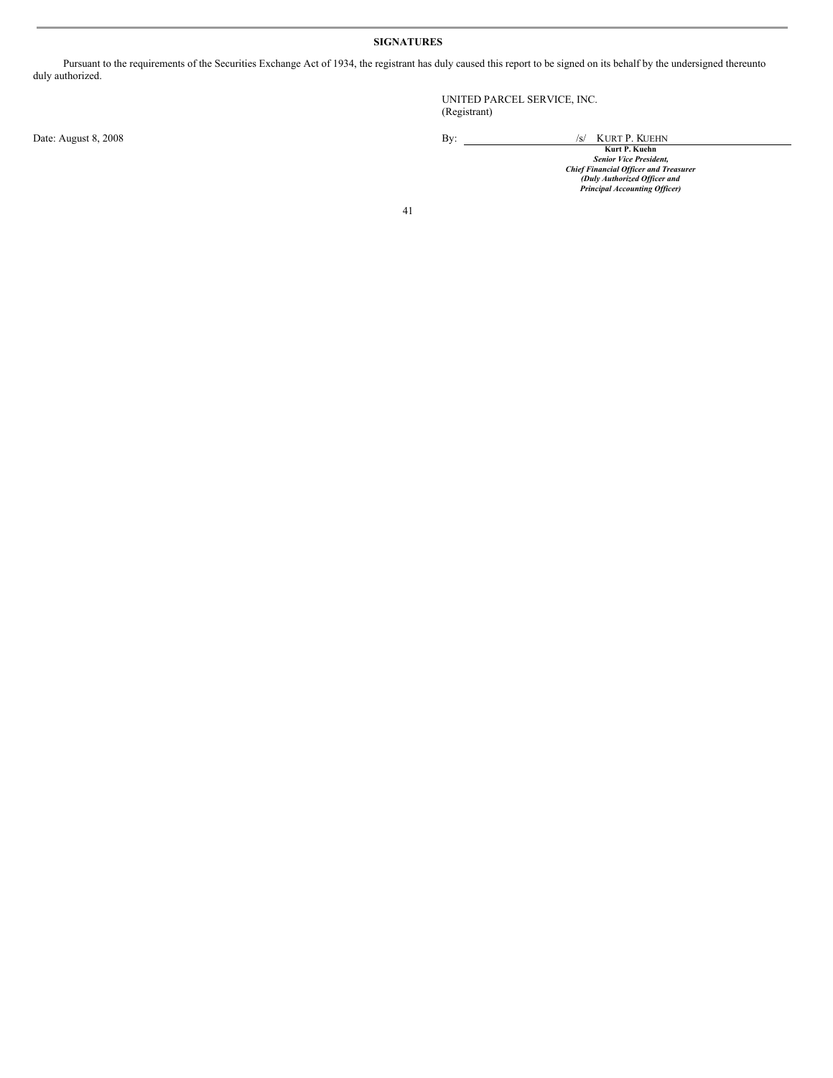### **SIGNATURES**

Pursuant to the requirements of the Securities Exchange Act of 1934, the registrant has duly caused this report to be signed on its behalf by the undersigned thereunto duly authorized.

UNITED PARCEL SERVICE, INC. (Registrant)

Date: August 8, 2008<br>Example 2008<br>Senior Vice President, Senior Vice President, Senior Vice President, Senior Vice President, Senior Vice President,<br>Chief Financial Officer and Treasurer<br>Principal Accounting Officer and Pr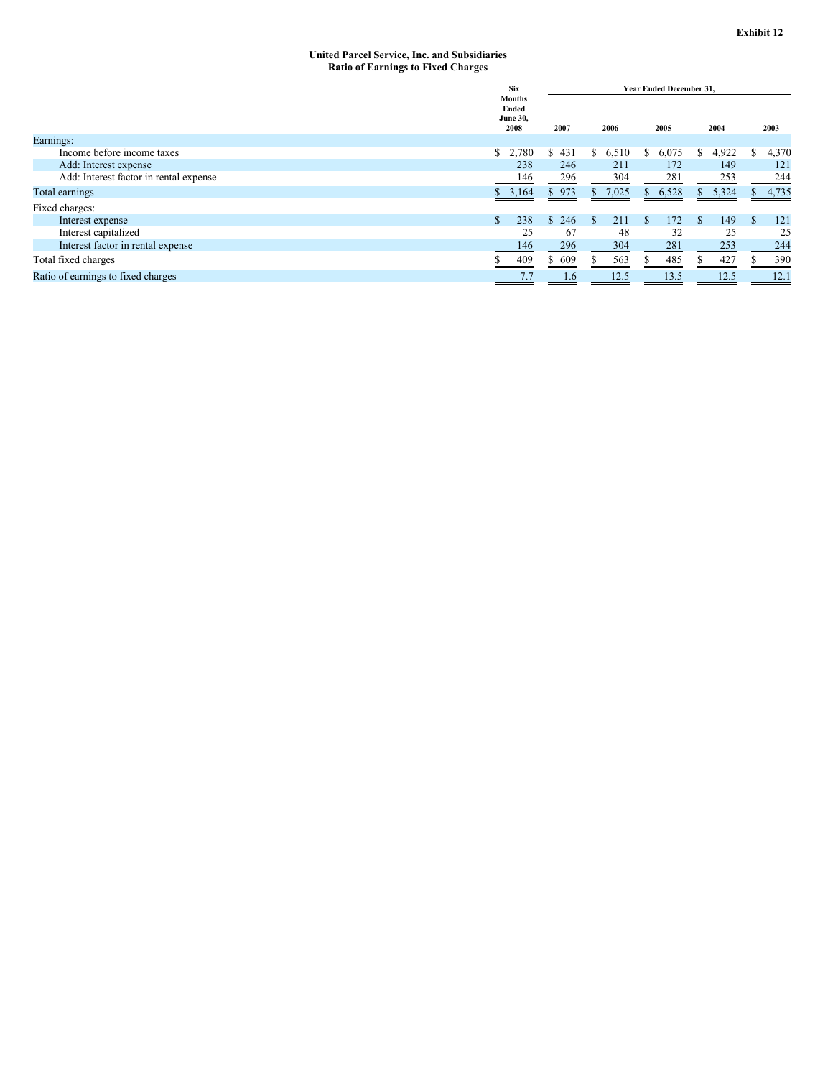#### **United Parcel Service, Inc. and Subsidiaries Ratio of Earnings to Fixed Charges**

|                                        | <b>Six</b>                                        | <b>Year Ended December 31.</b> |             |             |            |                       |
|----------------------------------------|---------------------------------------------------|--------------------------------|-------------|-------------|------------|-----------------------|
|                                        | <b>Months</b><br>Ended<br><b>June 30,</b><br>2008 | 2007                           | 2006        | 2005        | 2004       | 2003                  |
| Earnings:                              |                                                   |                                |             |             |            |                       |
| Income before income taxes             | \$2,780                                           | \$431                          | 6,510<br>S  | 6,075<br>S  | 4,922<br>S | 4,370<br>\$           |
| Add: Interest expense                  | 238                                               | 246                            | 211         | 172         | 149        | 121                   |
| Add: Interest factor in rental expense | 146                                               | 296                            | 304         | 281         | 253        | 244                   |
| Total earnings                         | \$3,164                                           | \$973                          | 7,025<br>S. | 6,528<br>S. | 5,324<br>S | 4,735<br>$\mathbf{S}$ |
| Fixed charges:                         |                                                   |                                |             |             |            |                       |
| Interest expense                       | \$.<br>238                                        | \$246                          | 211<br>S    | 172<br>£.   | 149<br>-S  | 121<br><sup>\$</sup>  |
| Interest capitalized                   | 25                                                | 67                             | 48          | 32          | 25         | 25                    |
| Interest factor in rental expense      | 146                                               | 296                            | 304         | 281         | 253        | 244                   |
| Total fixed charges                    | 409                                               | \$609                          | 563         | 485         | 427        | 390                   |
| Ratio of earnings to fixed charges     | 7.7                                               | 1.6                            | 12.5        | 13.5        | 12.5       | 12.1                  |
|                                        |                                                   |                                |             |             |            |                       |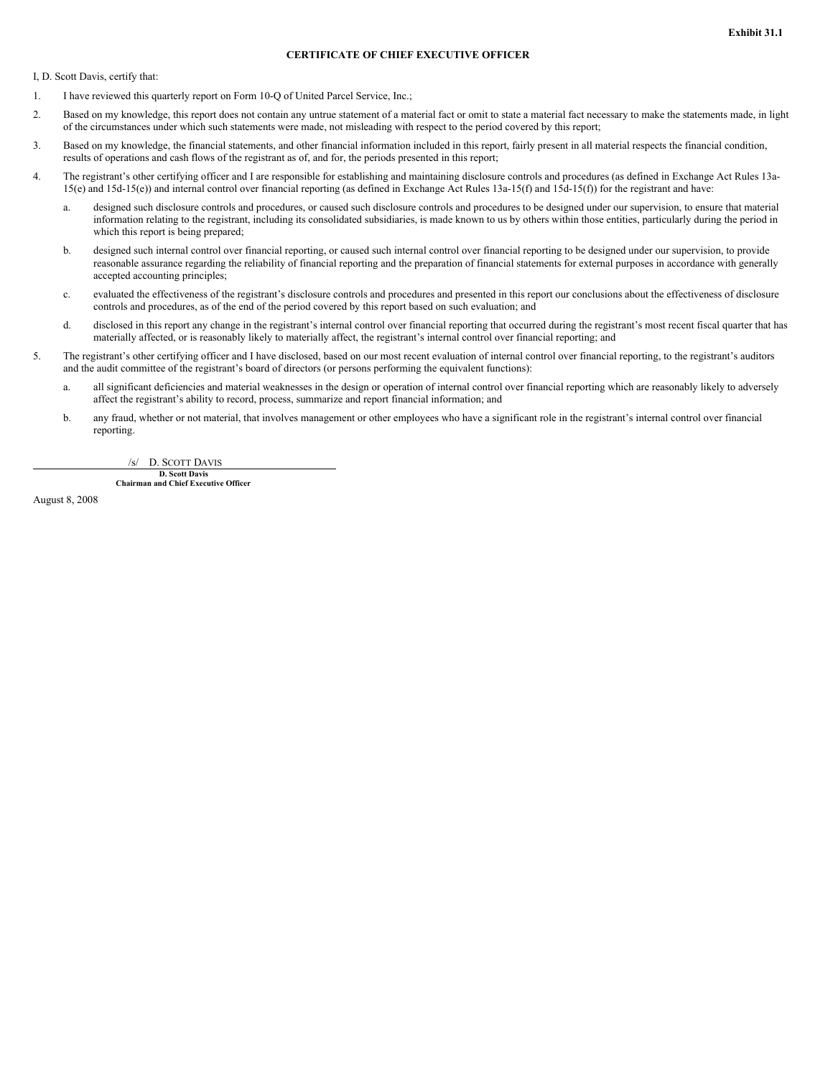### **CERTIFICATE OF CHIEF EXECUTIVE OFFICER**

I, D. Scott Davis, certify that:

- 1. I have reviewed this quarterly report on Form 10-Q of United Parcel Service, Inc.;
- 2. Based on my knowledge, this report does not contain any untrue statement of a material fact or omit to state a material fact necessary to make the statements made, in light of the circumstances under which such statements were made, not misleading with respect to the period covered by this report;
- 3. Based on my knowledge, the financial statements, and other financial information included in this report, fairly present in all material respects the financial condition, results of operations and cash flows of the registrant as of, and for, the periods presented in this report;
- 4. The registrant's other certifying officer and I are responsible for establishing and maintaining disclosure controls and procedures (as defined in Exchange Act Rules 13a-15(e) and 15d-15(e)) and internal control over financial reporting (as defined in Exchange Act Rules 13a-15(f) and 15d-15(f)) for the registrant and have:
	- a. designed such disclosure controls and procedures, or caused such disclosure controls and procedures to be designed under our supervision, to ensure that material information relating to the registrant, including its consolidated subsidiaries, is made known to us by others within those entities, particularly during the period in which this report is being prepared;
	- b. designed such internal control over financial reporting, or caused such internal control over financial reporting to be designed under our supervision, to provide reasonable assurance regarding the reliability of financial reporting and the preparation of financial statements for external purposes in accordance with generally accepted accounting principles;
	- c. evaluated the effectiveness of the registrant's disclosure controls and procedures and presented in this report our conclusions about the effectiveness of disclosure controls and procedures, as of the end of the period covered by this report based on such evaluation; and
	- d. disclosed in this report any change in the registrant's internal control over financial reporting that occurred during the registrant's most recent fiscal quarter that has materially affected, or is reasonably likely to materially affect, the registrant's internal control over financial reporting; and
- 5. The registrant's other certifying officer and I have disclosed, based on our most recent evaluation of internal control over financial reporting, to the registrant's auditors and the audit committee of the registrant's board of directors (or persons performing the equivalent functions):
	- a. all significant deficiencies and material weaknesses in the design or operation of internal control over financial reporting which are reasonably likely to adversely affect the registrant's ability to record, process, summarize and report financial information; and
	- b. any fraud, whether or not material, that involves management or other employees who have a significant role in the registrant's internal control over financial reporting.

/s/ D. SCOTT DAVIS

**D. Scott Davis Chairman and Chief Executive Officer**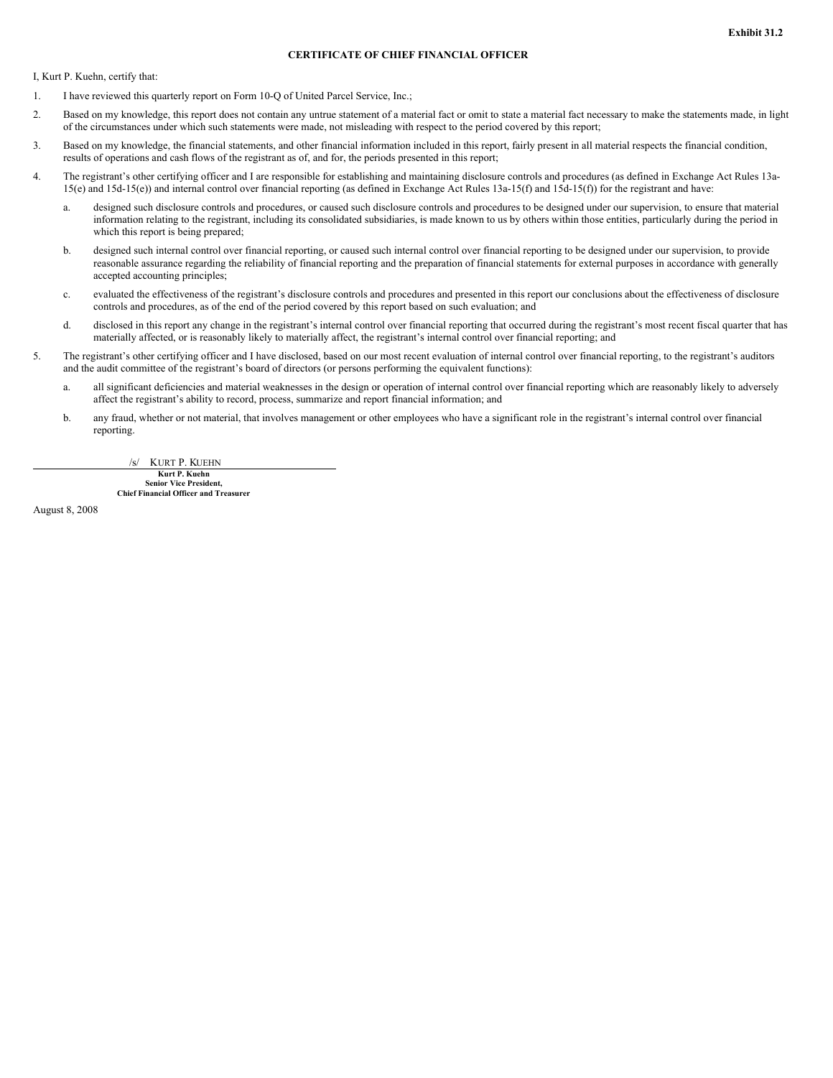### **CERTIFICATE OF CHIEF FINANCIAL OFFICER**

I, Kurt P. Kuehn, certify that:

- 1. I have reviewed this quarterly report on Form 10-Q of United Parcel Service, Inc.;
- 2. Based on my knowledge, this report does not contain any untrue statement of a material fact or omit to state a material fact necessary to make the statements made, in light of the circumstances under which such statements were made, not misleading with respect to the period covered by this report;
- 3. Based on my knowledge, the financial statements, and other financial information included in this report, fairly present in all material respects the financial condition, results of operations and cash flows of the registrant as of, and for, the periods presented in this report;
- 4. The registrant's other certifying officer and I are responsible for establishing and maintaining disclosure controls and procedures (as defined in Exchange Act Rules 13a-15(e) and 15d-15(e)) and internal control over financial reporting (as defined in Exchange Act Rules 13a-15(f) and 15d-15(f)) for the registrant and have:
	- a. designed such disclosure controls and procedures, or caused such disclosure controls and procedures to be designed under our supervision, to ensure that material information relating to the registrant, including its consolidated subsidiaries, is made known to us by others within those entities, particularly during the period in which this report is being prepared;
	- b. designed such internal control over financial reporting, or caused such internal control over financial reporting to be designed under our supervision, to provide reasonable assurance regarding the reliability of financial reporting and the preparation of financial statements for external purposes in accordance with generally accepted accounting principles;
	- c. evaluated the effectiveness of the registrant's disclosure controls and procedures and presented in this report our conclusions about the effectiveness of disclosure controls and procedures, as of the end of the period covered by this report based on such evaluation; and
	- d. disclosed in this report any change in the registrant's internal control over financial reporting that occurred during the registrant's most recent fiscal quarter that has materially affected, or is reasonably likely to materially affect, the registrant's internal control over financial reporting; and
- 5. The registrant's other certifying officer and I have disclosed, based on our most recent evaluation of internal control over financial reporting, to the registrant's auditors and the audit committee of the registrant's board of directors (or persons performing the equivalent functions):
	- a. all significant deficiencies and material weaknesses in the design or operation of internal control over financial reporting which are reasonably likely to adversely affect the registrant's ability to record, process, summarize and report financial information; and
	- b. any fraud, whether or not material, that involves management or other employees who have a significant role in the registrant's internal control over financial reporting.

/s/ KURT P. KUEHN

**Kurt P. Kuehn Senior Vice President, Chief Financial Officer and Treasurer**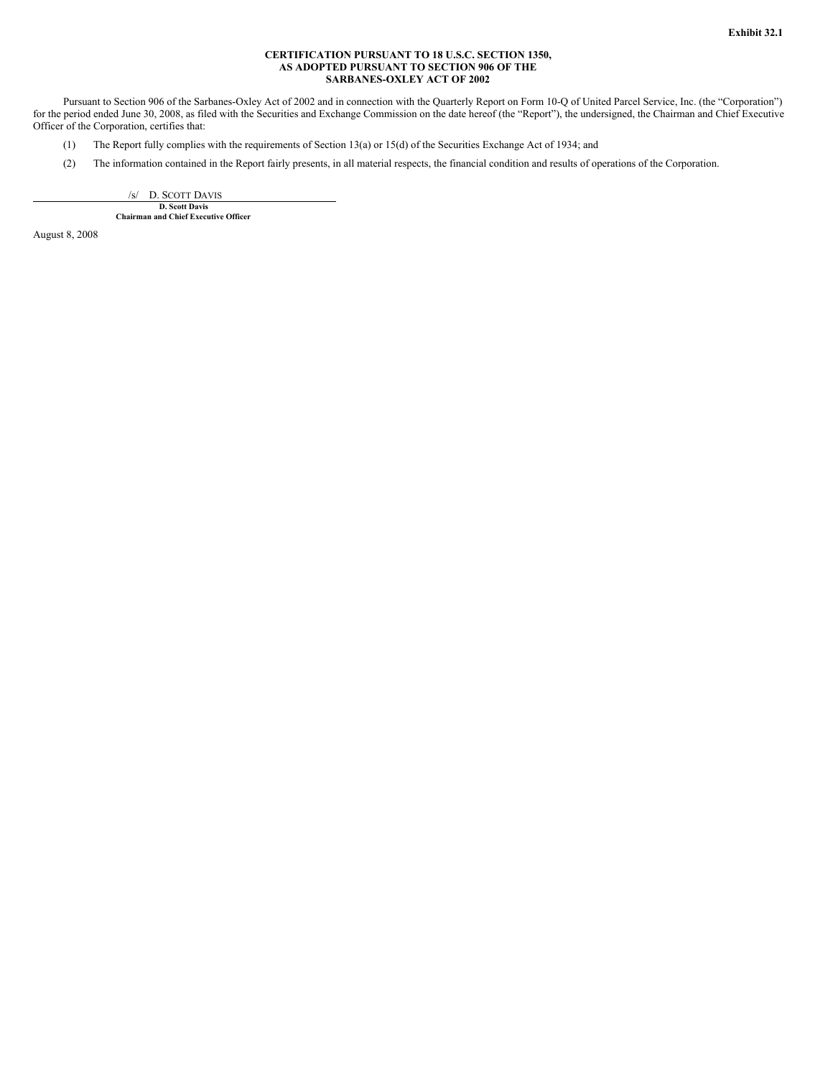### **CERTIFICATION PURSUANT TO 18 U.S.C. SECTION 1350, AS ADOPTED PURSUANT TO SECTION 906 OF THE SARBANES-OXLEY ACT OF 2002**

Pursuant to Section 906 of the Sarbanes-Oxley Act of 2002 and in connection with the Quarterly Report on Form 10-Q of United Parcel Service, Inc. (the "Corporation") for the period ended June 30, 2008, as filed with the Securities and Exchange Commission on the date hereof (the "Report"), the undersigned, the Chairman and Chief Executive Officer of the Corporation, certifies that:

- (1) The Report fully complies with the requirements of Section 13(a) or 15(d) of the Securities Exchange Act of 1934; and
- (2) The information contained in the Report fairly presents, in all material respects, the financial condition and results of operations of the Corporation.

/s/ D. SCOTT DAVIS **D. Scott Davis Chairman and Chief Executive Officer**